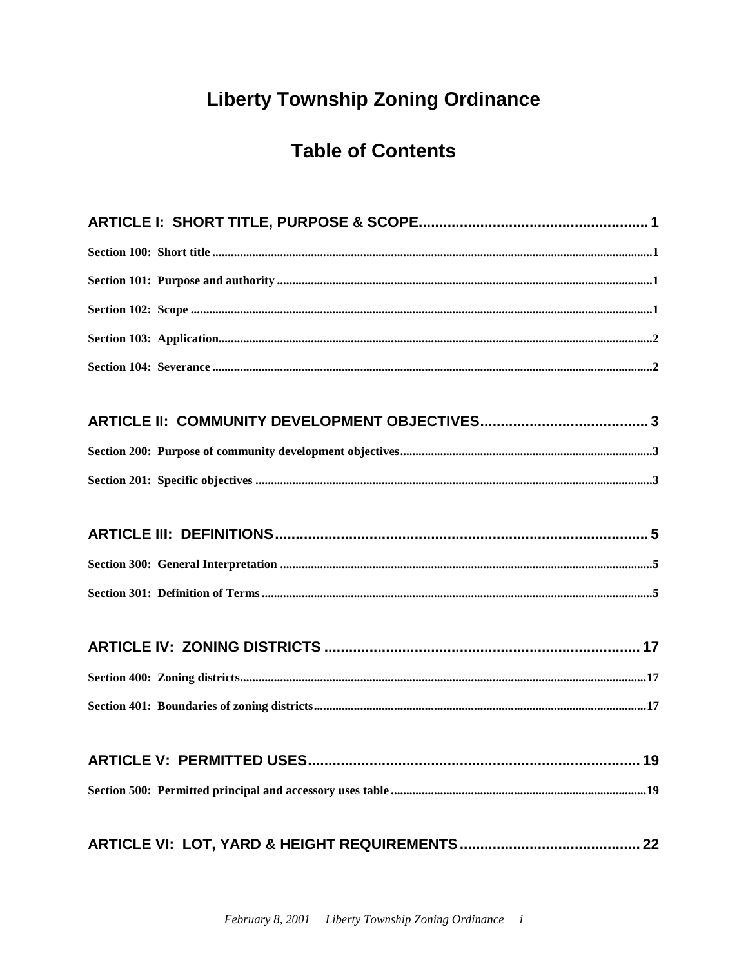# **Liberty Township Zoning Ordinance**

# **Table of Contents**

| .19 |
|-----|
|     |
|     |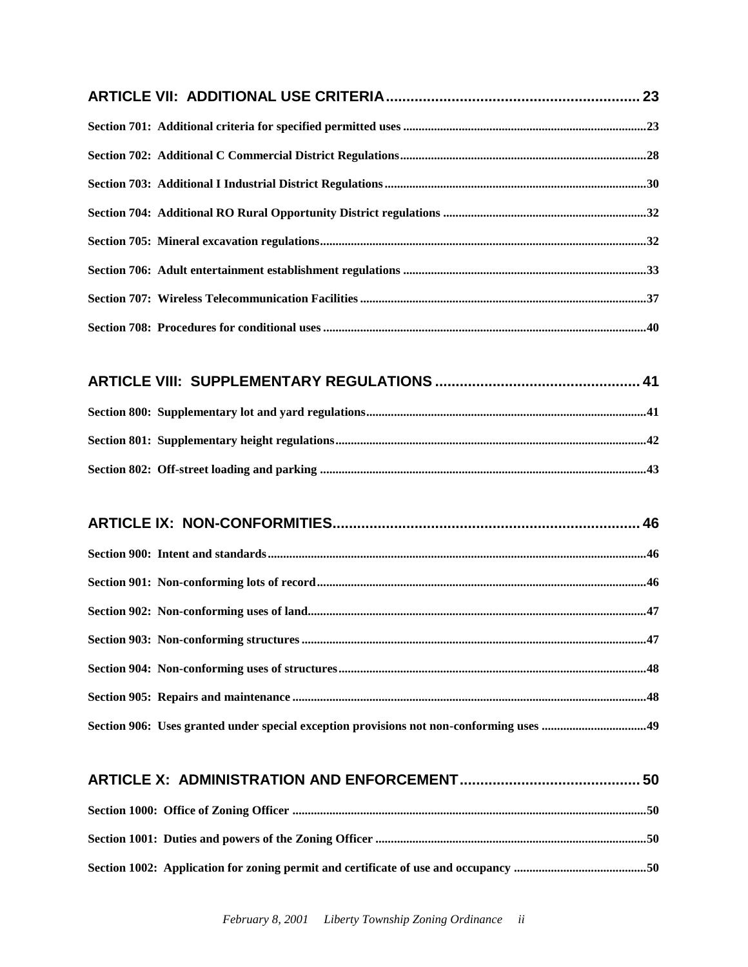#### **[ARTICLE X: ADMINISTRATION AND ENFORCEMENT............................................](#page-52-0) 50**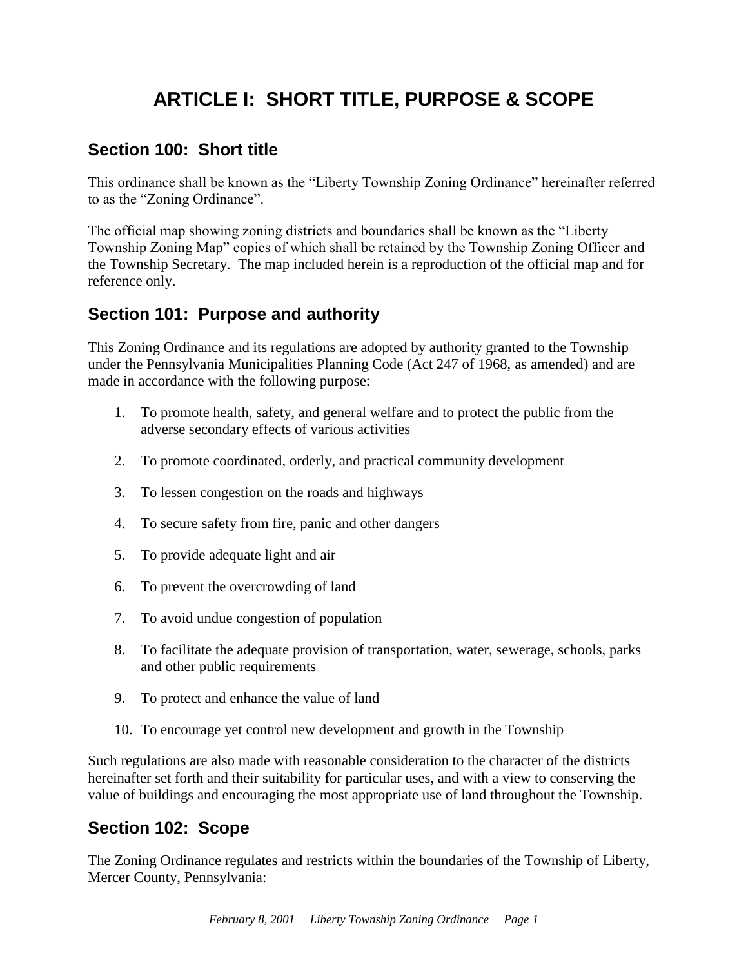# **ARTICLE I: SHORT TITLE, PURPOSE & SCOPE**

## <span id="page-3-1"></span><span id="page-3-0"></span>**Section 100: Short title**

This ordinance shall be known as the "Liberty Township Zoning Ordinance" hereinafter referred to as the "Zoning Ordinance".

The official map showing zoning districts and boundaries shall be known as the "Liberty Township Zoning Map" copies of which shall be retained by the Township Zoning Officer and the Township Secretary. The map included herein is a reproduction of the official map and for reference only.

## <span id="page-3-2"></span>**Section 101: Purpose and authority**

This Zoning Ordinance and its regulations are adopted by authority granted to the Township under the Pennsylvania Municipalities Planning Code (Act 247 of 1968, as amended) and are made in accordance with the following purpose:

- 1. To promote health, safety, and general welfare and to protect the public from the adverse secondary effects of various activities
- 2. To promote coordinated, orderly, and practical community development
- 3. To lessen congestion on the roads and highways
- 4. To secure safety from fire, panic and other dangers
- 5. To provide adequate light and air
- 6. To prevent the overcrowding of land
- 7. To avoid undue congestion of population
- 8. To facilitate the adequate provision of transportation, water, sewerage, schools, parks and other public requirements
- 9. To protect and enhance the value of land
- 10. To encourage yet control new development and growth in the Township

Such regulations are also made with reasonable consideration to the character of the districts hereinafter set forth and their suitability for particular uses, and with a view to conserving the value of buildings and encouraging the most appropriate use of land throughout the Township.

## <span id="page-3-3"></span>**Section 102: Scope**

The Zoning Ordinance regulates and restricts within the boundaries of the Township of Liberty, Mercer County, Pennsylvania: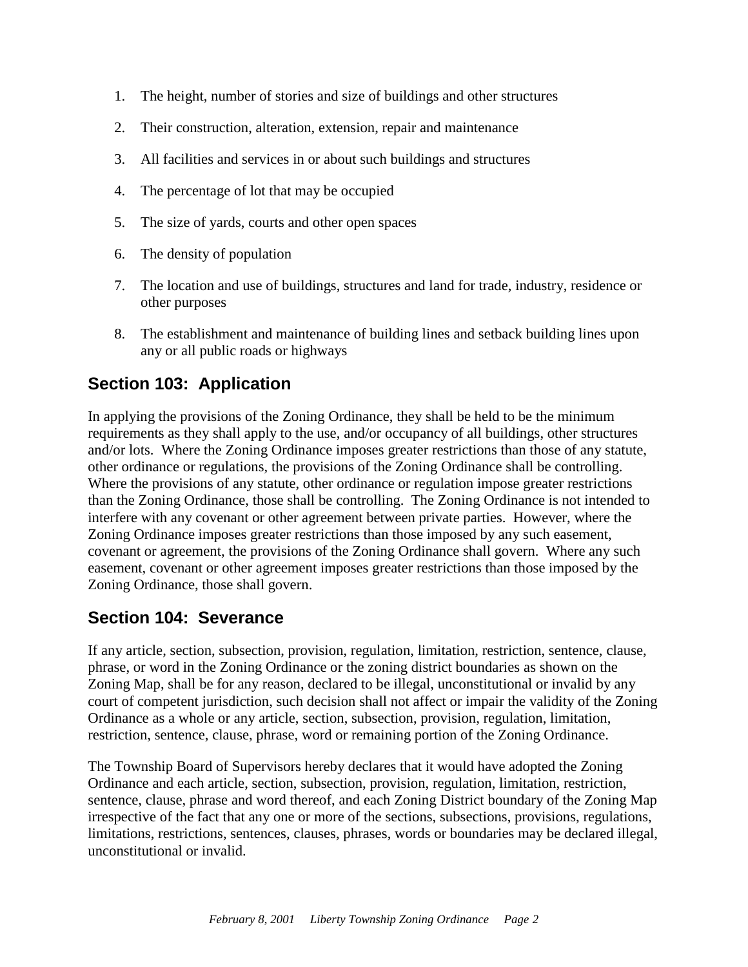- 1. The height, number of stories and size of buildings and other structures
- 2. Their construction, alteration, extension, repair and maintenance
- 3. All facilities and services in or about such buildings and structures
- 4. The percentage of lot that may be occupied
- 5. The size of yards, courts and other open spaces
- 6. The density of population
- 7. The location and use of buildings, structures and land for trade, industry, residence or other purposes
- 8. The establishment and maintenance of building lines and setback building lines upon any or all public roads or highways

## <span id="page-4-0"></span>**Section 103: Application**

In applying the provisions of the Zoning Ordinance, they shall be held to be the minimum requirements as they shall apply to the use, and/or occupancy of all buildings, other structures and/or lots. Where the Zoning Ordinance imposes greater restrictions than those of any statute, other ordinance or regulations, the provisions of the Zoning Ordinance shall be controlling. Where the provisions of any statute, other ordinance or regulation impose greater restrictions than the Zoning Ordinance, those shall be controlling. The Zoning Ordinance is not intended to interfere with any covenant or other agreement between private parties. However, where the Zoning Ordinance imposes greater restrictions than those imposed by any such easement, covenant or agreement, the provisions of the Zoning Ordinance shall govern. Where any such easement, covenant or other agreement imposes greater restrictions than those imposed by the Zoning Ordinance, those shall govern.

#### <span id="page-4-1"></span>**Section 104: Severance**

If any article, section, subsection, provision, regulation, limitation, restriction, sentence, clause, phrase, or word in the Zoning Ordinance or the zoning district boundaries as shown on the Zoning Map, shall be for any reason, declared to be illegal, unconstitutional or invalid by any court of competent jurisdiction, such decision shall not affect or impair the validity of the Zoning Ordinance as a whole or any article, section, subsection, provision, regulation, limitation, restriction, sentence, clause, phrase, word or remaining portion of the Zoning Ordinance.

The Township Board of Supervisors hereby declares that it would have adopted the Zoning Ordinance and each article, section, subsection, provision, regulation, limitation, restriction, sentence, clause, phrase and word thereof, and each Zoning District boundary of the Zoning Map irrespective of the fact that any one or more of the sections, subsections, provisions, regulations, limitations, restrictions, sentences, clauses, phrases, words or boundaries may be declared illegal, unconstitutional or invalid.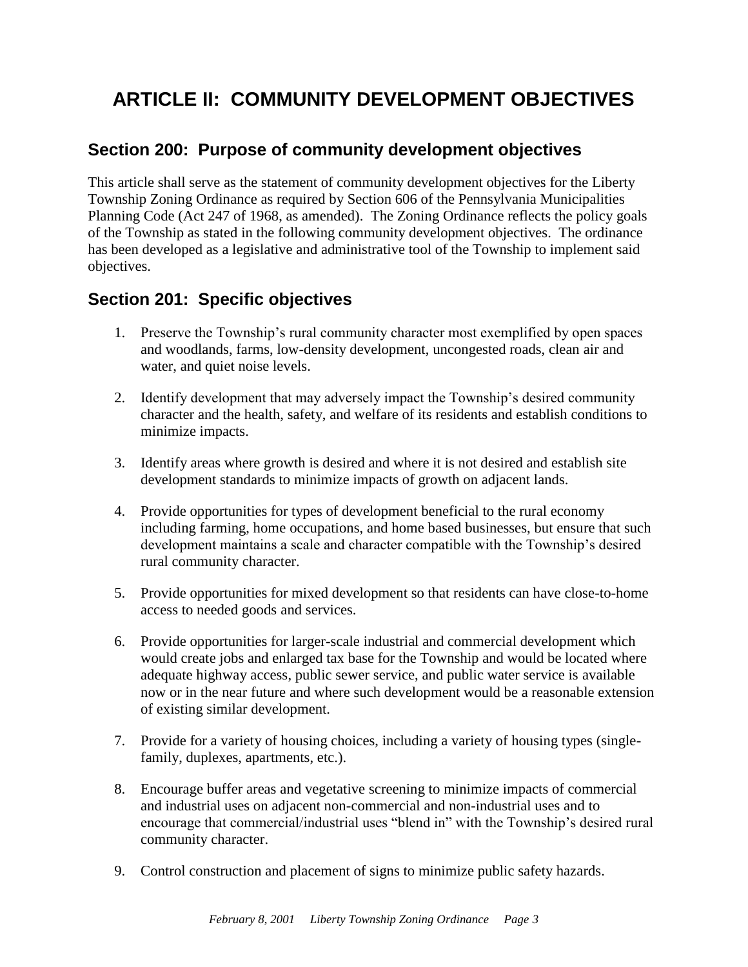# <span id="page-5-0"></span>**ARTICLE II: COMMUNITY DEVELOPMENT OBJECTIVES**

## <span id="page-5-1"></span>**Section 200: Purpose of community development objectives**

This article shall serve as the statement of community development objectives for the Liberty Township Zoning Ordinance as required by Section 606 of the Pennsylvania Municipalities Planning Code (Act 247 of 1968, as amended). The Zoning Ordinance reflects the policy goals of the Township as stated in the following community development objectives. The ordinance has been developed as a legislative and administrative tool of the Township to implement said objectives.

## <span id="page-5-2"></span>**Section 201: Specific objectives**

- 1. Preserve the Township's rural community character most exemplified by open spaces and woodlands, farms, low-density development, uncongested roads, clean air and water, and quiet noise levels.
- 2. Identify development that may adversely impact the Township's desired community character and the health, safety, and welfare of its residents and establish conditions to minimize impacts.
- 3. Identify areas where growth is desired and where it is not desired and establish site development standards to minimize impacts of growth on adjacent lands.
- 4. Provide opportunities for types of development beneficial to the rural economy including farming, home occupations, and home based businesses, but ensure that such development maintains a scale and character compatible with the Township's desired rural community character.
- 5. Provide opportunities for mixed development so that residents can have close-to-home access to needed goods and services.
- 6. Provide opportunities for larger-scale industrial and commercial development which would create jobs and enlarged tax base for the Township and would be located where adequate highway access, public sewer service, and public water service is available now or in the near future and where such development would be a reasonable extension of existing similar development.
- 7. Provide for a variety of housing choices, including a variety of housing types (singlefamily, duplexes, apartments, etc.).
- 8. Encourage buffer areas and vegetative screening to minimize impacts of commercial and industrial uses on adjacent non-commercial and non-industrial uses and to encourage that commercial/industrial uses "blend in" with the Township's desired rural community character.
- 9. Control construction and placement of signs to minimize public safety hazards.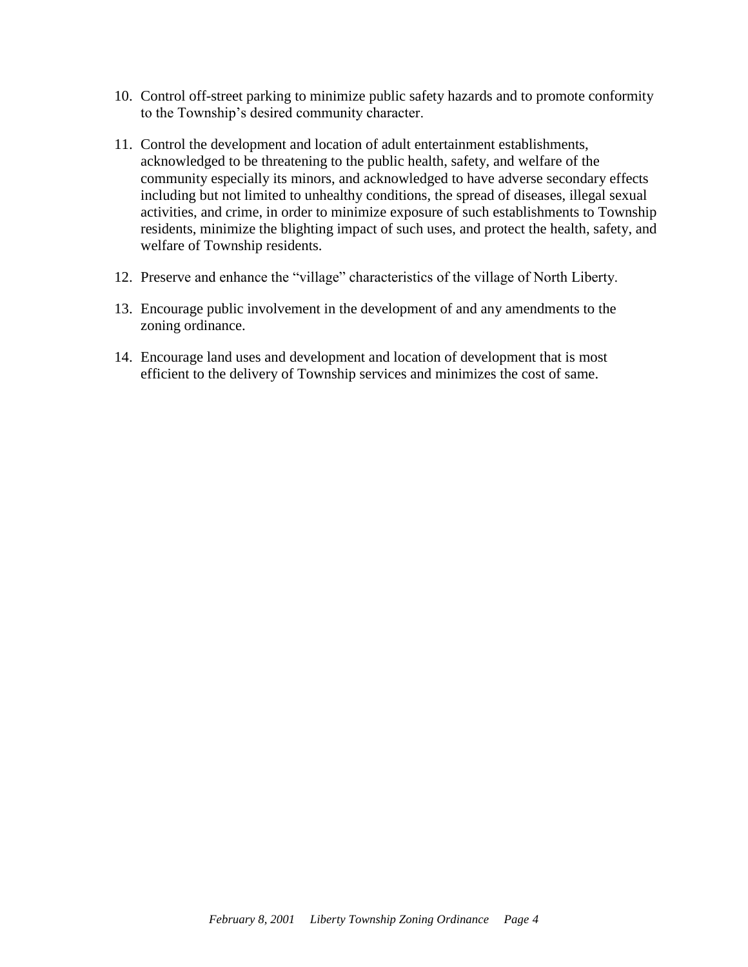- 10. Control off-street parking to minimize public safety hazards and to promote conformity to the Township's desired community character.
- 11. Control the development and location of adult entertainment establishments, acknowledged to be threatening to the public health, safety, and welfare of the community especially its minors, and acknowledged to have adverse secondary effects including but not limited to unhealthy conditions, the spread of diseases, illegal sexual activities, and crime, in order to minimize exposure of such establishments to Township residents, minimize the blighting impact of such uses, and protect the health, safety, and welfare of Township residents.
- 12. Preserve and enhance the "village" characteristics of the village of North Liberty.
- 13. Encourage public involvement in the development of and any amendments to the zoning ordinance.
- 14. Encourage land uses and development and location of development that is most efficient to the delivery of Township services and minimizes the cost of same.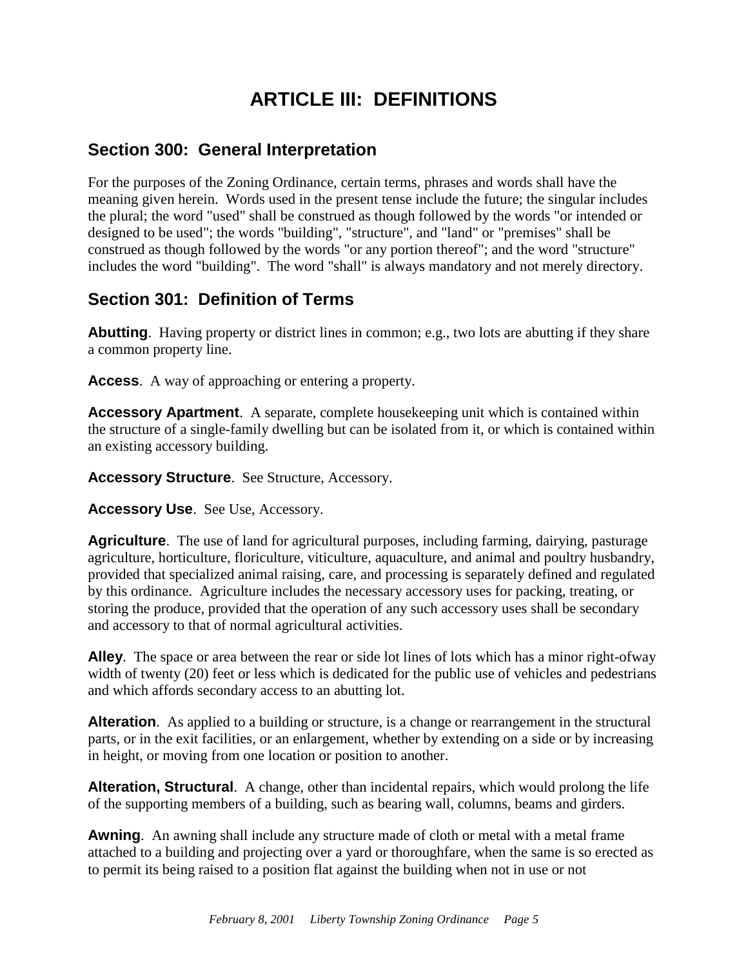# **ARTICLE III: DEFINITIONS**

### <span id="page-7-1"></span><span id="page-7-0"></span>**Section 300: General Interpretation**

For the purposes of the Zoning Ordinance, certain terms, phrases and words shall have the meaning given herein. Words used in the present tense include the future; the singular includes the plural; the word "used" shall be construed as though followed by the words "or intended or designed to be used"; the words "building", "structure", and "land" or "premises" shall be construed as though followed by the words "or any portion thereof"; and the word "structure" includes the word "building". The word "shall" is always mandatory and not merely directory.

## <span id="page-7-2"></span>**Section 301: Definition of Terms**

**Abutting**. Having property or district lines in common; e.g., two lots are abutting if they share a common property line.

**Access**. A way of approaching or entering a property.

**Accessory Apartment**. A separate, complete housekeeping unit which is contained within the structure of a single-family dwelling but can be isolated from it, or which is contained within an existing accessory building.

**Accessory Structure**. See Structure, Accessory.

**Accessory Use**. See Use, Accessory.

**Agriculture**. The use of land for agricultural purposes, including farming, dairying, pasturage agriculture, horticulture, floriculture, viticulture, aquaculture, and animal and poultry husbandry, provided that specialized animal raising, care, and processing is separately defined and regulated by this ordinance. Agriculture includes the necessary accessory uses for packing, treating, or storing the produce, provided that the operation of any such accessory uses shall be secondary and accessory to that of normal agricultural activities.

**Alley**. The space or area between the rear or side lot lines of lots which has a minor right-ofway width of twenty (20) feet or less which is dedicated for the public use of vehicles and pedestrians and which affords secondary access to an abutting lot.

**Alteration**. As applied to a building or structure, is a change or rearrangement in the structural parts, or in the exit facilities, or an enlargement, whether by extending on a side or by increasing in height, or moving from one location or position to another.

**Alteration, Structural**. A change, other than incidental repairs, which would prolong the life of the supporting members of a building, such as bearing wall, columns, beams and girders.

**Awning**. An awning shall include any structure made of cloth or metal with a metal frame attached to a building and projecting over a yard or thoroughfare, when the same is so erected as to permit its being raised to a position flat against the building when not in use or not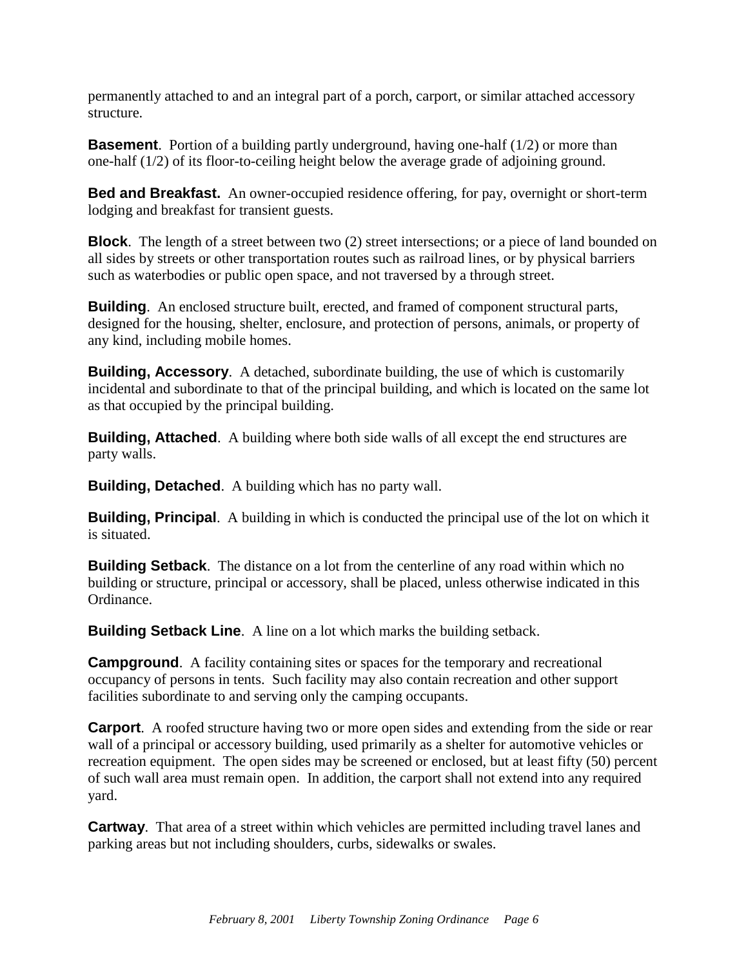permanently attached to and an integral part of a porch, carport, or similar attached accessory structure.

**Basement**. Portion of a building partly underground, having one-half (1/2) or more than one-half (1/2) of its floor-to-ceiling height below the average grade of adjoining ground.

**Bed and Breakfast.** An owner-occupied residence offering, for pay, overnight or short-term lodging and breakfast for transient guests.

**Block**. The length of a street between two (2) street intersections; or a piece of land bounded on all sides by streets or other transportation routes such as railroad lines, or by physical barriers such as waterbodies or public open space, and not traversed by a through street.

**Building**. An enclosed structure built, erected, and framed of component structural parts, designed for the housing, shelter, enclosure, and protection of persons, animals, or property of any kind, including mobile homes.

**Building, Accessory.** A detached, subordinate building, the use of which is customarily incidental and subordinate to that of the principal building, and which is located on the same lot as that occupied by the principal building.

**Building, Attached**. A building where both side walls of all except the end structures are party walls.

**Building, Detached**. A building which has no party wall.

**Building, Principal**. A building in which is conducted the principal use of the lot on which it is situated.

**Building Setback**. The distance on a lot from the centerline of any road within which no building or structure, principal or accessory, shall be placed, unless otherwise indicated in this Ordinance.

**Building Setback Line.** A line on a lot which marks the building setback.

**Campground.** A facility containing sites or spaces for the temporary and recreational occupancy of persons in tents. Such facility may also contain recreation and other support facilities subordinate to and serving only the camping occupants.

**Carport.** A roofed structure having two or more open sides and extending from the side or rear wall of a principal or accessory building, used primarily as a shelter for automotive vehicles or recreation equipment. The open sides may be screened or enclosed, but at least fifty (50) percent of such wall area must remain open. In addition, the carport shall not extend into any required yard.

**Cartway**. That area of a street within which vehicles are permitted including travel lanes and parking areas but not including shoulders, curbs, sidewalks or swales.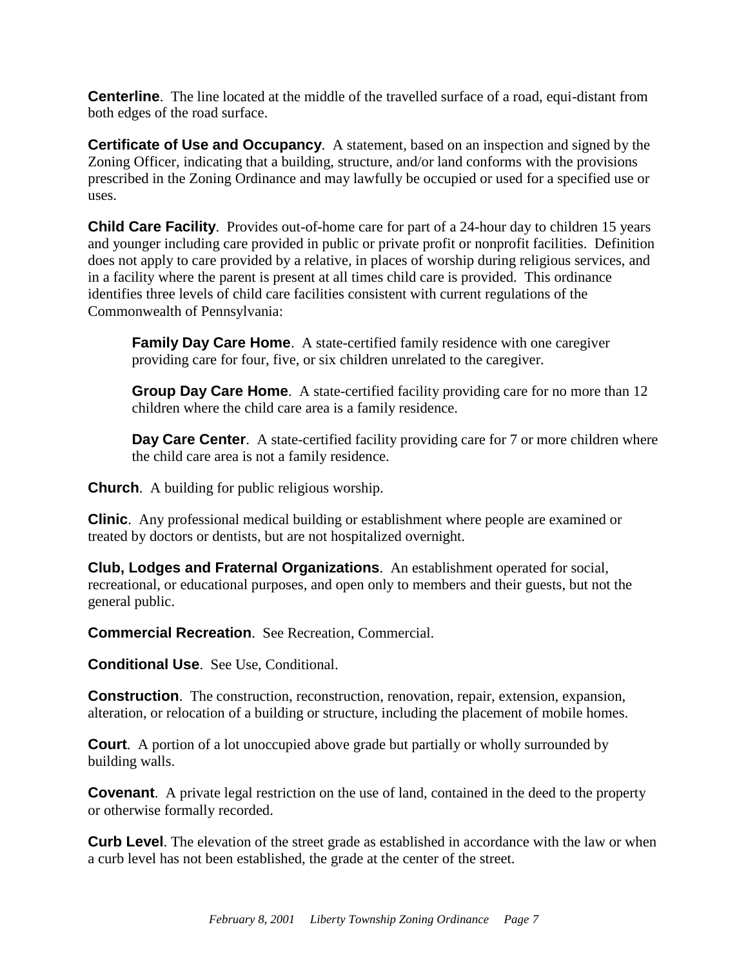**Centerline.** The line located at the middle of the travelled surface of a road, equi-distant from both edges of the road surface.

**Certificate of Use and Occupancy**. A statement, based on an inspection and signed by the Zoning Officer, indicating that a building, structure, and/or land conforms with the provisions prescribed in the Zoning Ordinance and may lawfully be occupied or used for a specified use or uses.

**Child Care Facility**. Provides out-of-home care for part of a 24-hour day to children 15 years and younger including care provided in public or private profit or nonprofit facilities. Definition does not apply to care provided by a relative, in places of worship during religious services, and in a facility where the parent is present at all times child care is provided. This ordinance identifies three levels of child care facilities consistent with current regulations of the Commonwealth of Pennsylvania:

**Family Day Care Home.** A state-certified family residence with one caregiver providing care for four, five, or six children unrelated to the caregiver.

**Group Day Care Home**. A state-certified facility providing care for no more than 12 children where the child care area is a family residence.

**Day Care Center.** A state-certified facility providing care for 7 or more children where the child care area is not a family residence.

**Church**. A building for public religious worship.

**Clinic**. Any professional medical building or establishment where people are examined or treated by doctors or dentists, but are not hospitalized overnight.

**Club, Lodges and Fraternal Organizations**. An establishment operated for social, recreational, or educational purposes, and open only to members and their guests, but not the general public.

**Commercial Recreation**. See Recreation, Commercial.

**Conditional Use**. See Use, Conditional.

**Construction**. The construction, reconstruction, renovation, repair, extension, expansion, alteration, or relocation of a building or structure, including the placement of mobile homes.

**Court**. A portion of a lot unoccupied above grade but partially or wholly surrounded by building walls.

**Covenant.** A private legal restriction on the use of land, contained in the deed to the property or otherwise formally recorded.

**Curb Level**. The elevation of the street grade as established in accordance with the law or when a curb level has not been established, the grade at the center of the street.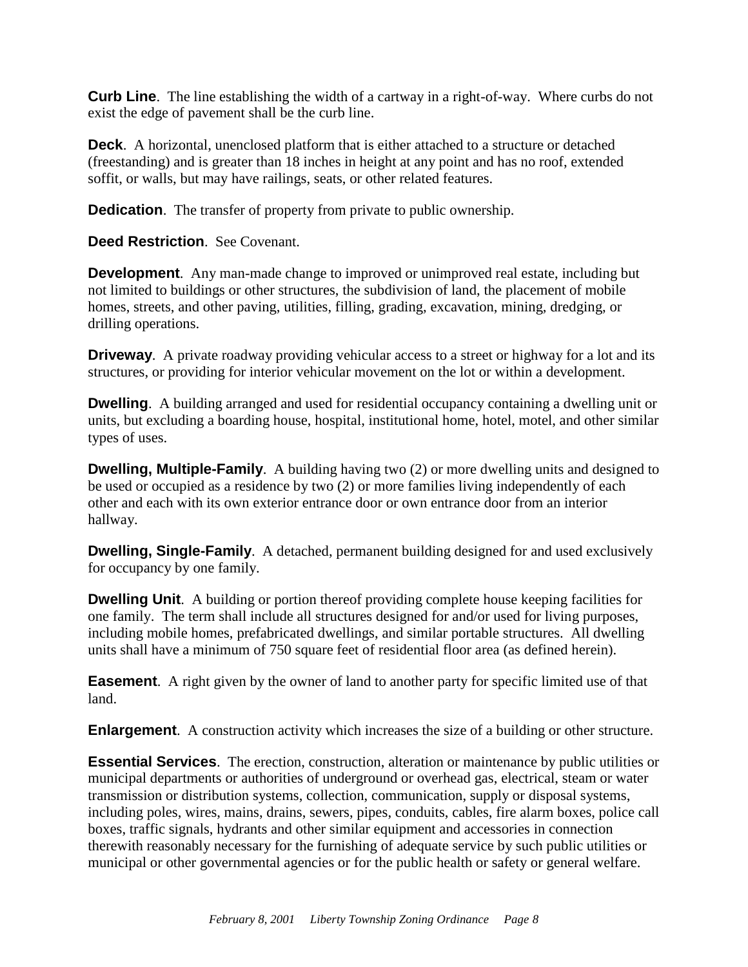**Curb Line**. The line establishing the width of a cartway in a right-of-way. Where curbs do not exist the edge of pavement shall be the curb line.

**Deck.** A horizontal, unenclosed platform that is either attached to a structure or detached (freestanding) and is greater than 18 inches in height at any point and has no roof, extended soffit, or walls, but may have railings, seats, or other related features.

**Dedication.** The transfer of property from private to public ownership.

**Deed Restriction**. See Covenant.

**Development**. Any man-made change to improved or unimproved real estate, including but not limited to buildings or other structures, the subdivision of land, the placement of mobile homes, streets, and other paving, utilities, filling, grading, excavation, mining, dredging, or drilling operations.

**Driveway.** A private roadway providing vehicular access to a street or highway for a lot and its structures, or providing for interior vehicular movement on the lot or within a development.

**Dwelling**. A building arranged and used for residential occupancy containing a dwelling unit or units, but excluding a boarding house, hospital, institutional home, hotel, motel, and other similar types of uses.

**Dwelling, Multiple-Family**. A building having two (2) or more dwelling units and designed to be used or occupied as a residence by two (2) or more families living independently of each other and each with its own exterior entrance door or own entrance door from an interior hallway.

**Dwelling, Single-Family.** A detached, permanent building designed for and used exclusively for occupancy by one family.

**Dwelling Unit.** A building or portion thereof providing complete house keeping facilities for one family. The term shall include all structures designed for and/or used for living purposes, including mobile homes, prefabricated dwellings, and similar portable structures. All dwelling units shall have a minimum of 750 square feet of residential floor area (as defined herein).

**Easement**. A right given by the owner of land to another party for specific limited use of that land.

**Enlargement**. A construction activity which increases the size of a building or other structure.

**Essential Services**. The erection, construction, alteration or maintenance by public utilities or municipal departments or authorities of underground or overhead gas, electrical, steam or water transmission or distribution systems, collection, communication, supply or disposal systems, including poles, wires, mains, drains, sewers, pipes, conduits, cables, fire alarm boxes, police call boxes, traffic signals, hydrants and other similar equipment and accessories in connection therewith reasonably necessary for the furnishing of adequate service by such public utilities or municipal or other governmental agencies or for the public health or safety or general welfare.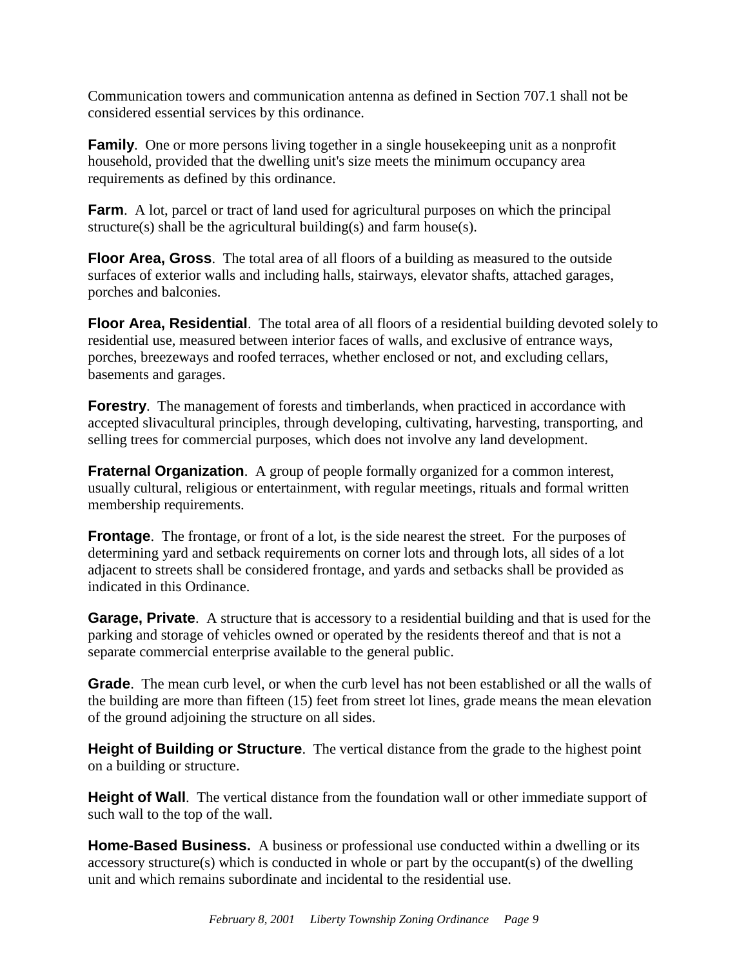Communication towers and communication antenna as defined in Section 707.1 shall not be considered essential services by this ordinance.

**Family**. One or more persons living together in a single house keeping unit as a nonprofit household, provided that the dwelling unit's size meets the minimum occupancy area requirements as defined by this ordinance.

**Farm**. A lot, parcel or tract of land used for agricultural purposes on which the principal structure(s) shall be the agricultural building(s) and farm house(s).

**Floor Area, Gross**. The total area of all floors of a building as measured to the outside surfaces of exterior walls and including halls, stairways, elevator shafts, attached garages, porches and balconies.

**Floor Area, Residential.** The total area of all floors of a residential building devoted solely to residential use, measured between interior faces of walls, and exclusive of entrance ways, porches, breezeways and roofed terraces, whether enclosed or not, and excluding cellars, basements and garages.

**Forestry.** The management of forests and timberlands, when practiced in accordance with accepted slivacultural principles, through developing, cultivating, harvesting, transporting, and selling trees for commercial purposes, which does not involve any land development.

**Fraternal Organization.** A group of people formally organized for a common interest, usually cultural, religious or entertainment, with regular meetings, rituals and formal written membership requirements.

**Frontage.** The frontage, or front of a lot, is the side nearest the street. For the purposes of determining yard and setback requirements on corner lots and through lots, all sides of a lot adjacent to streets shall be considered frontage, and yards and setbacks shall be provided as indicated in this Ordinance.

**Garage, Private.** A structure that is accessory to a residential building and that is used for the parking and storage of vehicles owned or operated by the residents thereof and that is not a separate commercial enterprise available to the general public.

**Grade**. The mean curb level, or when the curb level has not been established or all the walls of the building are more than fifteen (15) feet from street lot lines, grade means the mean elevation of the ground adjoining the structure on all sides.

**Height of Building or Structure**. The vertical distance from the grade to the highest point on a building or structure.

**Height of Wall**. The vertical distance from the foundation wall or other immediate support of such wall to the top of the wall.

**Home-Based Business.** A business or professional use conducted within a dwelling or its accessory structure(s) which is conducted in whole or part by the occupant(s) of the dwelling unit and which remains subordinate and incidental to the residential use.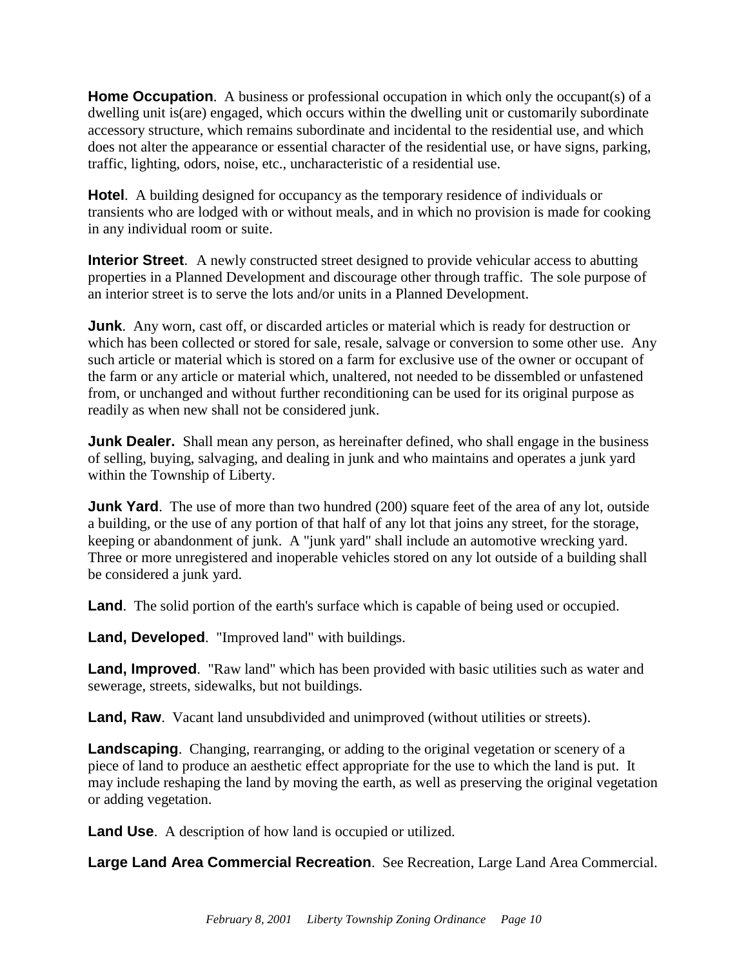**Home Occupation.** A business or professional occupation in which only the occupant(s) of a dwelling unit is(are) engaged, which occurs within the dwelling unit or customarily subordinate accessory structure, which remains subordinate and incidental to the residential use, and which does not alter the appearance or essential character of the residential use, or have signs, parking, traffic, lighting, odors, noise, etc., uncharacteristic of a residential use.

**Hotel**. A building designed for occupancy as the temporary residence of individuals or transients who are lodged with or without meals, and in which no provision is made for cooking in any individual room or suite.

**Interior Street.** A newly constructed street designed to provide vehicular access to abutting properties in a Planned Development and discourage other through traffic. The sole purpose of an interior street is to serve the lots and/or units in a Planned Development.

**Junk**. Any worn, cast off, or discarded articles or material which is ready for destruction or which has been collected or stored for sale, resale, salvage or conversion to some other use. Any such article or material which is stored on a farm for exclusive use of the owner or occupant of the farm or any article or material which, unaltered, not needed to be dissembled or unfastened from, or unchanged and without further reconditioning can be used for its original purpose as readily as when new shall not be considered junk.

**Junk Dealer.** Shall mean any person, as hereinafter defined, who shall engage in the business of selling, buying, salvaging, and dealing in junk and who maintains and operates a junk yard within the Township of Liberty.

**Junk Yard**. The use of more than two hundred (200) square feet of the area of any lot, outside a building, or the use of any portion of that half of any lot that joins any street, for the storage, keeping or abandonment of junk. A "junk yard" shall include an automotive wrecking yard. Three or more unregistered and inoperable vehicles stored on any lot outside of a building shall be considered a junk yard.

**Land**. The solid portion of the earth's surface which is capable of being used or occupied.

**Land, Developed**. "Improved land" with buildings.

**Land, Improved.** "Raw land" which has been provided with basic utilities such as water and sewerage, streets, sidewalks, but not buildings.

**Land, Raw**. Vacant land unsubdivided and unimproved (without utilities or streets).

**Landscaping**. Changing, rearranging, or adding to the original vegetation or scenery of a piece of land to produce an aesthetic effect appropriate for the use to which the land is put. It may include reshaping the land by moving the earth, as well as preserving the original vegetation or adding vegetation.

**Land Use**. A description of how land is occupied or utilized.

**Large Land Area Commercial Recreation**. See Recreation, Large Land Area Commercial.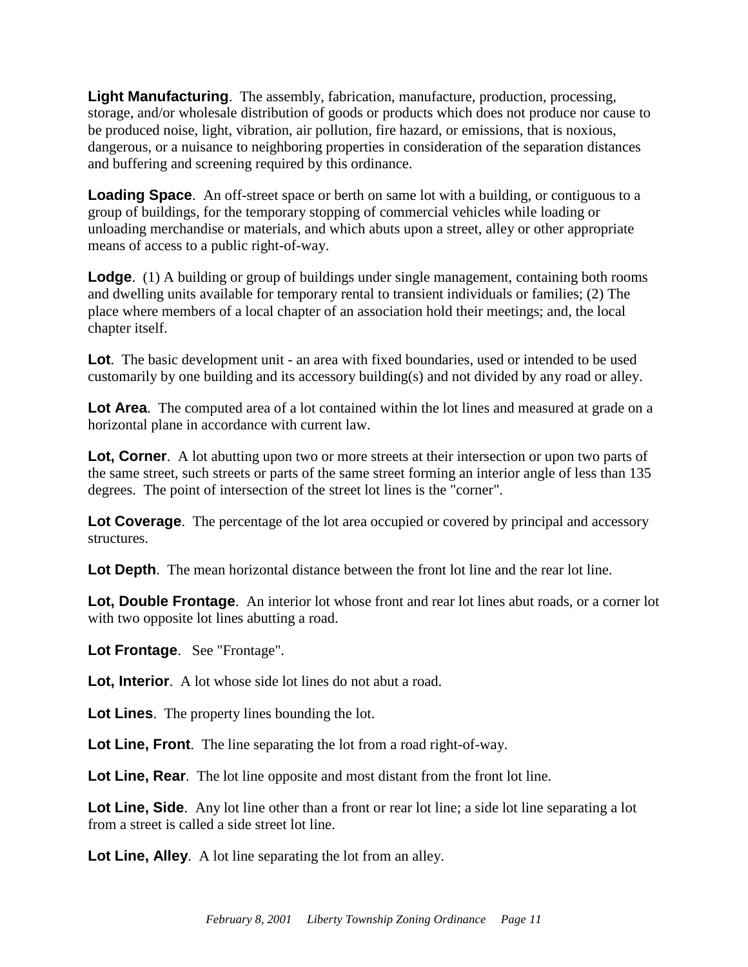**Light Manufacturing**. The assembly, fabrication, manufacture, production, processing, storage, and/or wholesale distribution of goods or products which does not produce nor cause to be produced noise, light, vibration, air pollution, fire hazard, or emissions, that is noxious, dangerous, or a nuisance to neighboring properties in consideration of the separation distances and buffering and screening required by this ordinance.

**Loading Space.** An off-street space or berth on same lot with a building, or contiguous to a group of buildings, for the temporary stopping of commercial vehicles while loading or unloading merchandise or materials, and which abuts upon a street, alley or other appropriate means of access to a public right-of-way.

**Lodge.** (1) A building or group of buildings under single management, containing both rooms and dwelling units available for temporary rental to transient individuals or families; (2) The place where members of a local chapter of an association hold their meetings; and, the local chapter itself.

**Lot**. The basic development unit - an area with fixed boundaries, used or intended to be used customarily by one building and its accessory building(s) and not divided by any road or alley.

**Lot Area**. The computed area of a lot contained within the lot lines and measured at grade on a horizontal plane in accordance with current law.

**Lot, Corner.** A lot abutting upon two or more streets at their intersection or upon two parts of the same street, such streets or parts of the same street forming an interior angle of less than 135 degrees. The point of intersection of the street lot lines is the "corner".

**Lot Coverage**. The percentage of the lot area occupied or covered by principal and accessory structures.

Lot Depth. The mean horizontal distance between the front lot line and the rear lot line.

**Lot, Double Frontage**. An interior lot whose front and rear lot lines abut roads, or a corner lot with two opposite lot lines abutting a road.

**Lot Frontage**. See "Frontage".

**Lot, Interior.** A lot whose side lot lines do not abut a road.

**Lot Lines**. The property lines bounding the lot.

**Lot Line, Front**. The line separating the lot from a road right-of-way.

**Lot Line, Rear**. The lot line opposite and most distant from the front lot line.

**Lot Line, Side**. Any lot line other than a front or rear lot line; a side lot line separating a lot from a street is called a side street lot line.

**Lot Line, Alley**. A lot line separating the lot from an alley.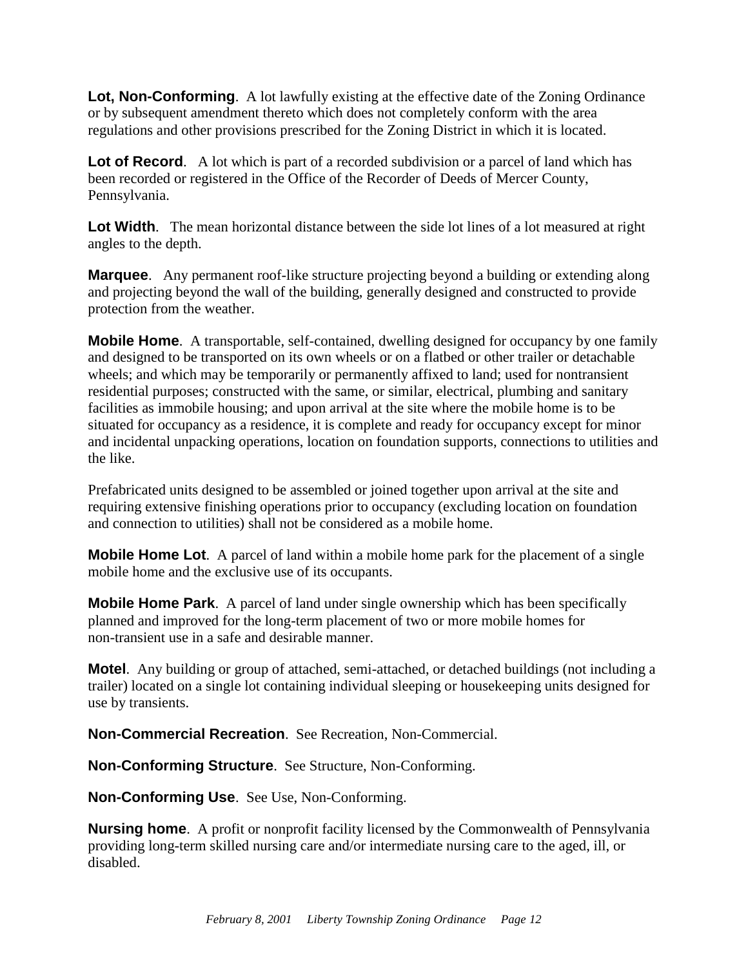**Lot, Non-Conforming**. A lot lawfully existing at the effective date of the Zoning Ordinance or by subsequent amendment thereto which does not completely conform with the area regulations and other provisions prescribed for the Zoning District in which it is located.

**Lot of Record.** A lot which is part of a recorded subdivision or a parcel of land which has been recorded or registered in the Office of the Recorder of Deeds of Mercer County, Pennsylvania.

Lot Width. The mean horizontal distance between the side lot lines of a lot measured at right angles to the depth.

**Marquee.** Any permanent roof-like structure projecting beyond a building or extending along and projecting beyond the wall of the building, generally designed and constructed to provide protection from the weather.

**Mobile Home.** A transportable, self-contained, dwelling designed for occupancy by one family and designed to be transported on its own wheels or on a flatbed or other trailer or detachable wheels; and which may be temporarily or permanently affixed to land; used for nontransient residential purposes; constructed with the same, or similar, electrical, plumbing and sanitary facilities as immobile housing; and upon arrival at the site where the mobile home is to be situated for occupancy as a residence, it is complete and ready for occupancy except for minor and incidental unpacking operations, location on foundation supports, connections to utilities and the like.

Prefabricated units designed to be assembled or joined together upon arrival at the site and requiring extensive finishing operations prior to occupancy (excluding location on foundation and connection to utilities) shall not be considered as a mobile home.

**Mobile Home Lot**. A parcel of land within a mobile home park for the placement of a single mobile home and the exclusive use of its occupants.

**Mobile Home Park**. A parcel of land under single ownership which has been specifically planned and improved for the long-term placement of two or more mobile homes for non-transient use in a safe and desirable manner.

**Motel**. Any building or group of attached, semi-attached, or detached buildings (not including a trailer) located on a single lot containing individual sleeping or housekeeping units designed for use by transients.

**Non-Commercial Recreation**. See Recreation, Non-Commercial.

**Non-Conforming Structure**. See Structure, Non-Conforming.

**Non-Conforming Use**. See Use, Non-Conforming.

**Nursing home.** A profit or nonprofit facility licensed by the Commonwealth of Pennsylvania providing long-term skilled nursing care and/or intermediate nursing care to the aged, ill, or disabled.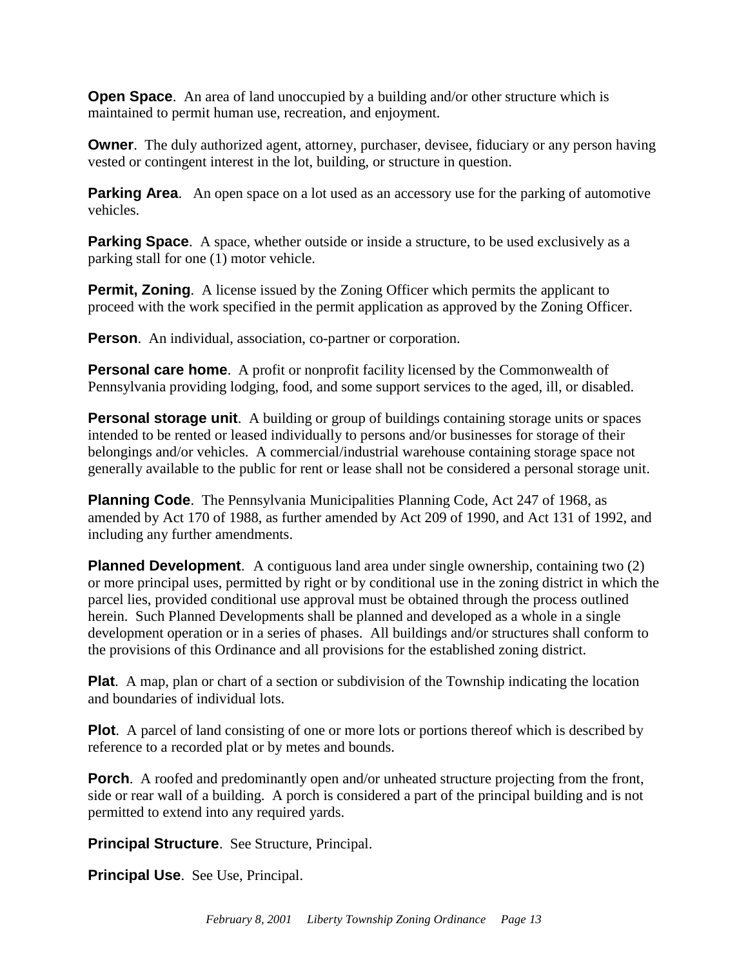**Open Space.** An area of land unoccupied by a building and/or other structure which is maintained to permit human use, recreation, and enjoyment.

**Owner**. The duly authorized agent, attorney, purchaser, devisee, fiduciary or any person having vested or contingent interest in the lot, building, or structure in question.

**Parking Area.** An open space on a lot used as an accessory use for the parking of automotive vehicles.

**Parking Space.** A space, whether outside or inside a structure, to be used exclusively as a parking stall for one (1) motor vehicle.

**Permit, Zoning.** A license issued by the Zoning Officer which permits the applicant to proceed with the work specified in the permit application as approved by the Zoning Officer.

**Person.** An individual, association, co-partner or corporation.

**Personal care home.** A profit or nonprofit facility licensed by the Commonwealth of Pennsylvania providing lodging, food, and some support services to the aged, ill, or disabled.

**Personal storage unit.** A building or group of buildings containing storage units or spaces intended to be rented or leased individually to persons and/or businesses for storage of their belongings and/or vehicles. A commercial/industrial warehouse containing storage space not generally available to the public for rent or lease shall not be considered a personal storage unit.

**Planning Code**. The Pennsylvania Municipalities Planning Code, Act 247 of 1968, as amended by Act 170 of 1988, as further amended by Act 209 of 1990, and Act 131 of 1992, and including any further amendments.

**Planned Development**. A contiguous land area under single ownership, containing two (2) or more principal uses, permitted by right or by conditional use in the zoning district in which the parcel lies, provided conditional use approval must be obtained through the process outlined herein. Such Planned Developments shall be planned and developed as a whole in a single development operation or in a series of phases. All buildings and/or structures shall conform to the provisions of this Ordinance and all provisions for the established zoning district.

**Plat**. A map, plan or chart of a section or subdivision of the Township indicating the location and boundaries of individual lots.

**Plot**. A parcel of land consisting of one or more lots or portions thereof which is described by reference to a recorded plat or by metes and bounds.

**Porch.** A roofed and predominantly open and/or unheated structure projecting from the front, side or rear wall of a building. A porch is considered a part of the principal building and is not permitted to extend into any required yards.

**Principal Structure.** See Structure, Principal.

**Principal Use**. See Use, Principal.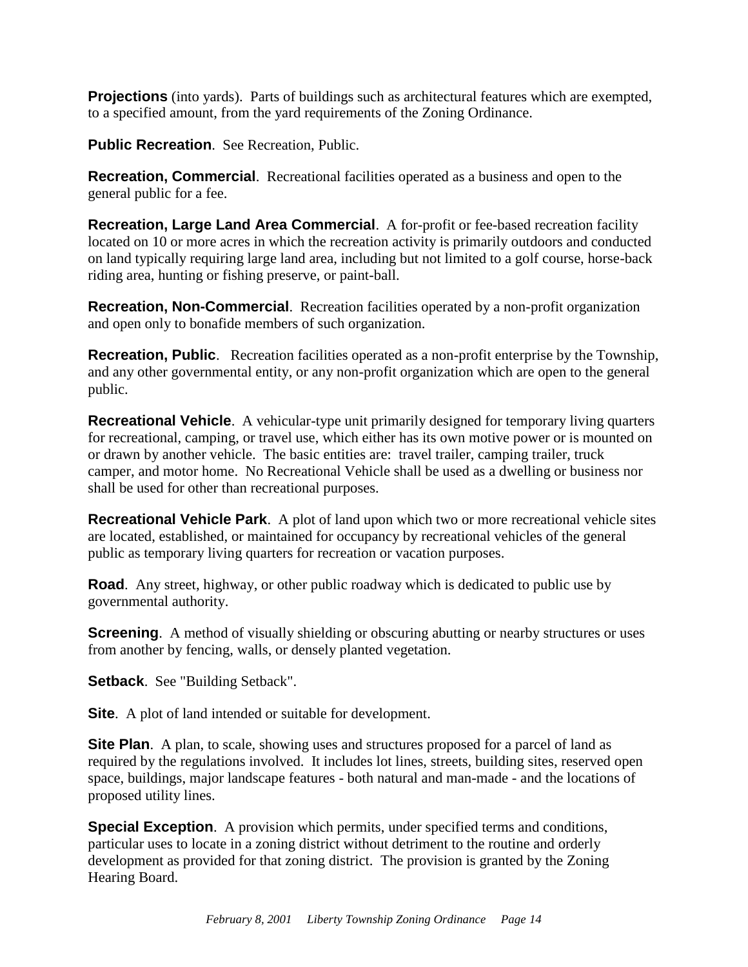**Projections** (into yards). Parts of buildings such as architectural features which are exempted, to a specified amount, from the yard requirements of the Zoning Ordinance.

**Public Recreation.** See Recreation, Public.

**Recreation, Commercial**. Recreational facilities operated as a business and open to the general public for a fee.

**Recreation, Large Land Area Commercial**. A for-profit or fee-based recreation facility located on 10 or more acres in which the recreation activity is primarily outdoors and conducted on land typically requiring large land area, including but not limited to a golf course, horse-back riding area, hunting or fishing preserve, or paint-ball.

**Recreation, Non-Commercial**. Recreation facilities operated by a non-profit organization and open only to bonafide members of such organization.

**Recreation, Public**. Recreation facilities operated as a non-profit enterprise by the Township, and any other governmental entity, or any non-profit organization which are open to the general public.

**Recreational Vehicle**. A vehicular-type unit primarily designed for temporary living quarters for recreational, camping, or travel use, which either has its own motive power or is mounted on or drawn by another vehicle. The basic entities are: travel trailer, camping trailer, truck camper, and motor home. No Recreational Vehicle shall be used as a dwelling or business nor shall be used for other than recreational purposes.

**Recreational Vehicle Park**. A plot of land upon which two or more recreational vehicle sites are located, established, or maintained for occupancy by recreational vehicles of the general public as temporary living quarters for recreation or vacation purposes.

**Road**. Any street, highway, or other public roadway which is dedicated to public use by governmental authority.

**Screening.** A method of visually shielding or obscuring abutting or nearby structures or uses from another by fencing, walls, or densely planted vegetation.

**Setback**. See "Building Setback".

**Site.** A plot of land intended or suitable for development.

**Site Plan.** A plan, to scale, showing uses and structures proposed for a parcel of land as required by the regulations involved. It includes lot lines, streets, building sites, reserved open space, buildings, major landscape features - both natural and man-made - and the locations of proposed utility lines.

**Special Exception.** A provision which permits, under specified terms and conditions, particular uses to locate in a zoning district without detriment to the routine and orderly development as provided for that zoning district. The provision is granted by the Zoning Hearing Board.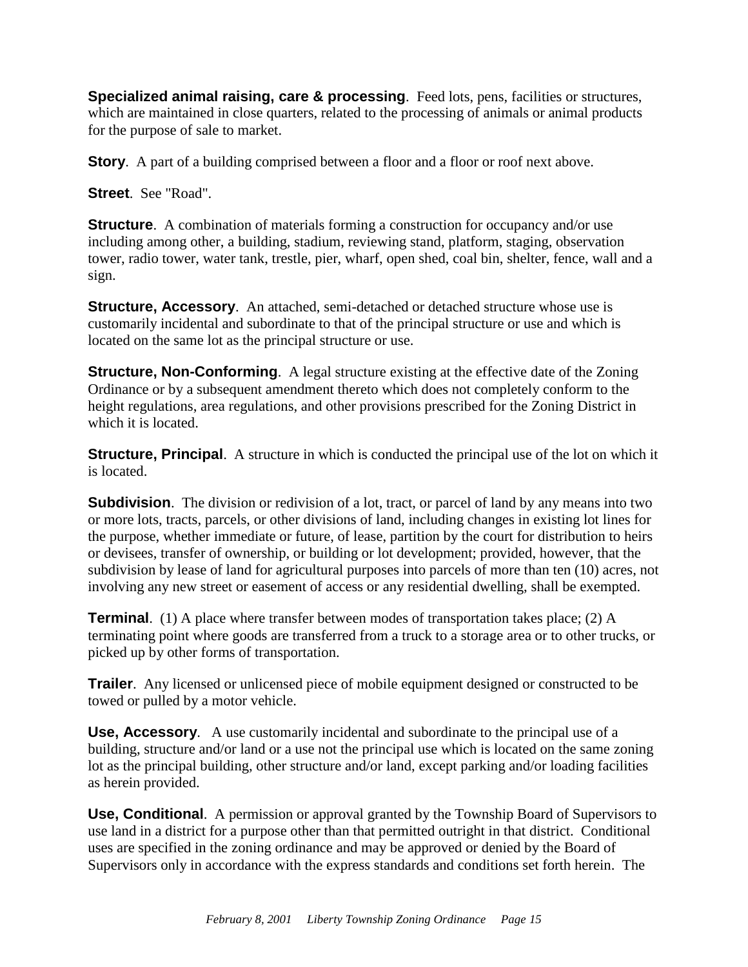**Specialized animal raising, care & processing**. Feed lots, pens, facilities or structures, which are maintained in close quarters, related to the processing of animals or animal products for the purpose of sale to market.

**Story.** A part of a building comprised between a floor and a floor or roof next above.

**Street**. See "Road".

**Structure**. A combination of materials forming a construction for occupancy and/or use including among other, a building, stadium, reviewing stand, platform, staging, observation tower, radio tower, water tank, trestle, pier, wharf, open shed, coal bin, shelter, fence, wall and a sign.

**Structure, Accessory**. An attached, semi-detached or detached structure whose use is customarily incidental and subordinate to that of the principal structure or use and which is located on the same lot as the principal structure or use.

**Structure, Non-Conforming.** A legal structure existing at the effective date of the Zoning Ordinance or by a subsequent amendment thereto which does not completely conform to the height regulations, area regulations, and other provisions prescribed for the Zoning District in which it is located.

**Structure, Principal**. A structure in which is conducted the principal use of the lot on which it is located.

**Subdivision.** The division or redivision of a lot, tract, or parcel of land by any means into two or more lots, tracts, parcels, or other divisions of land, including changes in existing lot lines for the purpose, whether immediate or future, of lease, partition by the court for distribution to heirs or devisees, transfer of ownership, or building or lot development; provided, however, that the subdivision by lease of land for agricultural purposes into parcels of more than ten (10) acres, not involving any new street or easement of access or any residential dwelling, shall be exempted.

**Terminal.** (1) A place where transfer between modes of transportation takes place; (2) A terminating point where goods are transferred from a truck to a storage area or to other trucks, or picked up by other forms of transportation.

**Trailer**. Any licensed or unlicensed piece of mobile equipment designed or constructed to be towed or pulled by a motor vehicle.

**Use, Accessory**. A use customarily incidental and subordinate to the principal use of a building, structure and/or land or a use not the principal use which is located on the same zoning lot as the principal building, other structure and/or land, except parking and/or loading facilities as herein provided.

**Use, Conditional**. A permission or approval granted by the Township Board of Supervisors to use land in a district for a purpose other than that permitted outright in that district. Conditional uses are specified in the zoning ordinance and may be approved or denied by the Board of Supervisors only in accordance with the express standards and conditions set forth herein. The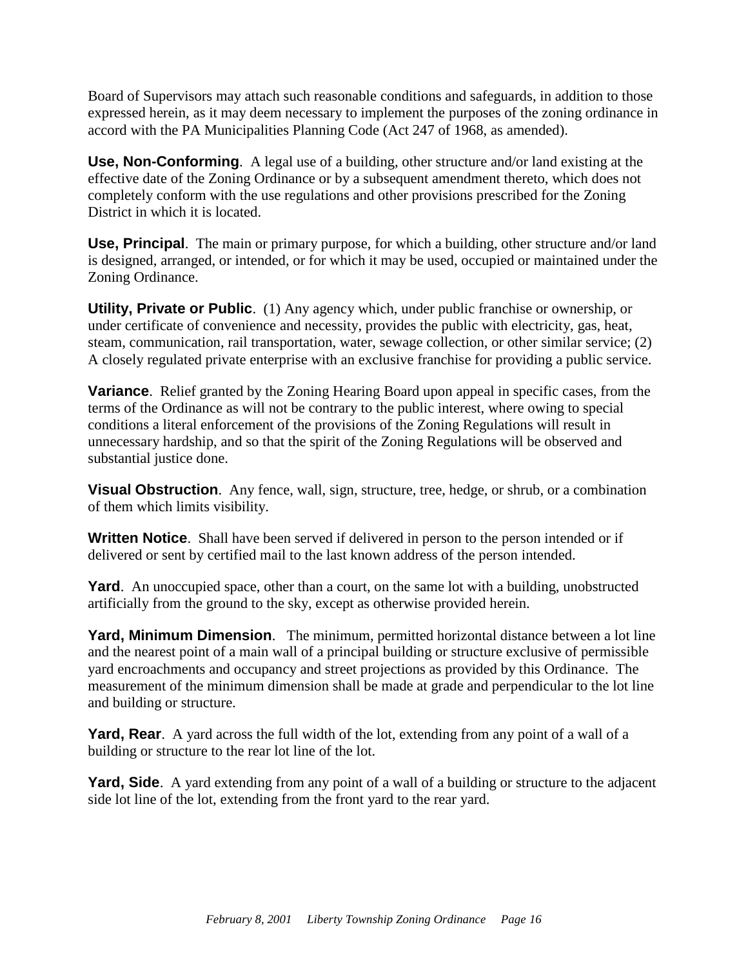Board of Supervisors may attach such reasonable conditions and safeguards, in addition to those expressed herein, as it may deem necessary to implement the purposes of the zoning ordinance in accord with the PA Municipalities Planning Code (Act 247 of 1968, as amended).

**Use, Non-Conforming**. A legal use of a building, other structure and/or land existing at the effective date of the Zoning Ordinance or by a subsequent amendment thereto, which does not completely conform with the use regulations and other provisions prescribed for the Zoning District in which it is located.

**Use, Principal**. The main or primary purpose, for which a building, other structure and/or land is designed, arranged, or intended, or for which it may be used, occupied or maintained under the Zoning Ordinance.

**Utility, Private or Public**. (1) Any agency which, under public franchise or ownership, or under certificate of convenience and necessity, provides the public with electricity, gas, heat, steam, communication, rail transportation, water, sewage collection, or other similar service; (2) A closely regulated private enterprise with an exclusive franchise for providing a public service.

**Variance**. Relief granted by the Zoning Hearing Board upon appeal in specific cases, from the terms of the Ordinance as will not be contrary to the public interest, where owing to special conditions a literal enforcement of the provisions of the Zoning Regulations will result in unnecessary hardship, and so that the spirit of the Zoning Regulations will be observed and substantial justice done.

**Visual Obstruction**. Any fence, wall, sign, structure, tree, hedge, or shrub, or a combination of them which limits visibility.

**Written Notice**. Shall have been served if delivered in person to the person intended or if delivered or sent by certified mail to the last known address of the person intended.

**Yard**. An unoccupied space, other than a court, on the same lot with a building, unobstructed artificially from the ground to the sky, except as otherwise provided herein.

**Yard, Minimum Dimension**. The minimum, permitted horizontal distance between a lot line and the nearest point of a main wall of a principal building or structure exclusive of permissible yard encroachments and occupancy and street projections as provided by this Ordinance. The measurement of the minimum dimension shall be made at grade and perpendicular to the lot line and building or structure.

**Yard, Rear.** A yard across the full width of the lot, extending from any point of a wall of a building or structure to the rear lot line of the lot.

**Yard, Side**. A yard extending from any point of a wall of a building or structure to the adjacent side lot line of the lot, extending from the front yard to the rear yard.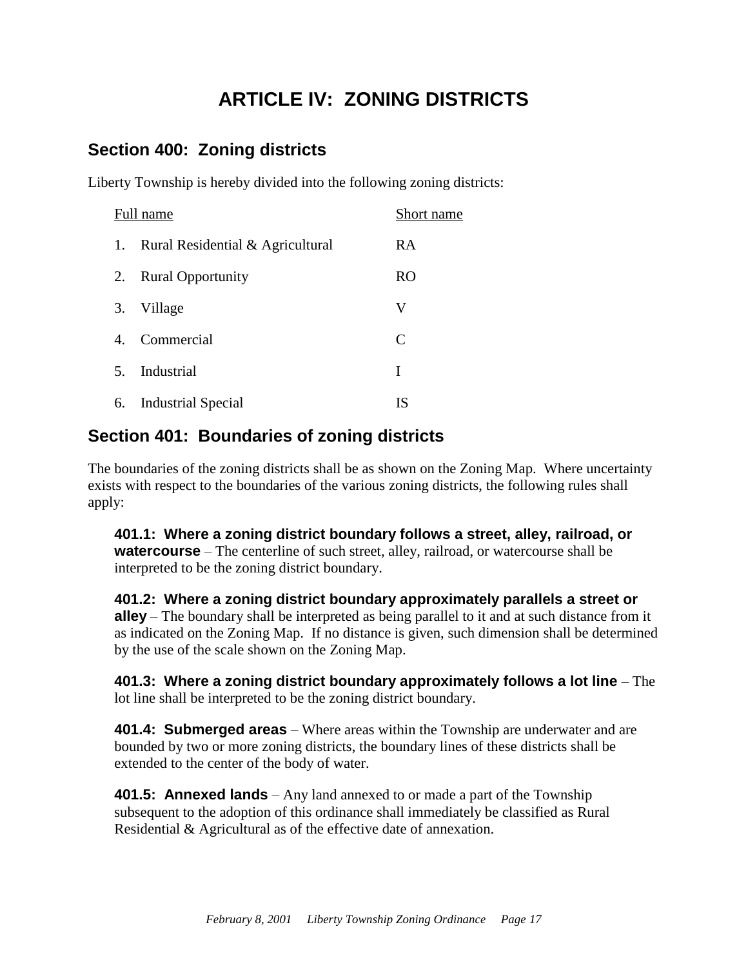# **ARTICLE IV: ZONING DISTRICTS**

## <span id="page-19-1"></span><span id="page-19-0"></span>**Section 400: Zoning districts**

Liberty Township is hereby divided into the following zoning districts:

| Full name      |                                  | Short name     |
|----------------|----------------------------------|----------------|
| 1.             | Rural Residential & Agricultural | RA             |
| 2.             | <b>Rural Opportunity</b>         | R <sub>O</sub> |
| 3.             | Village                          | V              |
| 4 <sup>1</sup> | Commercial                       | $\mathsf{C}$   |
| $5_{-}$        | Industrial                       | T              |
| 6.             | <b>Industrial Special</b>        | IS             |

## <span id="page-19-2"></span>**Section 401: Boundaries of zoning districts**

The boundaries of the zoning districts shall be as shown on the Zoning Map. Where uncertainty exists with respect to the boundaries of the various zoning districts, the following rules shall apply:

**401.1: Where a zoning district boundary follows a street, alley, railroad, or watercourse** – The centerline of such street, alley, railroad, or watercourse shall be interpreted to be the zoning district boundary.

**401.2: Where a zoning district boundary approximately parallels a street or alley** – The boundary shall be interpreted as being parallel to it and at such distance from it as indicated on the Zoning Map. If no distance is given, such dimension shall be determined by the use of the scale shown on the Zoning Map.

**401.3: Where a zoning district boundary approximately follows a lot line** – The lot line shall be interpreted to be the zoning district boundary.

**401.4: Submerged areas** – Where areas within the Township are underwater and are bounded by two or more zoning districts, the boundary lines of these districts shall be extended to the center of the body of water.

**401.5: Annexed lands** – Any land annexed to or made a part of the Township subsequent to the adoption of this ordinance shall immediately be classified as Rural Residential & Agricultural as of the effective date of annexation.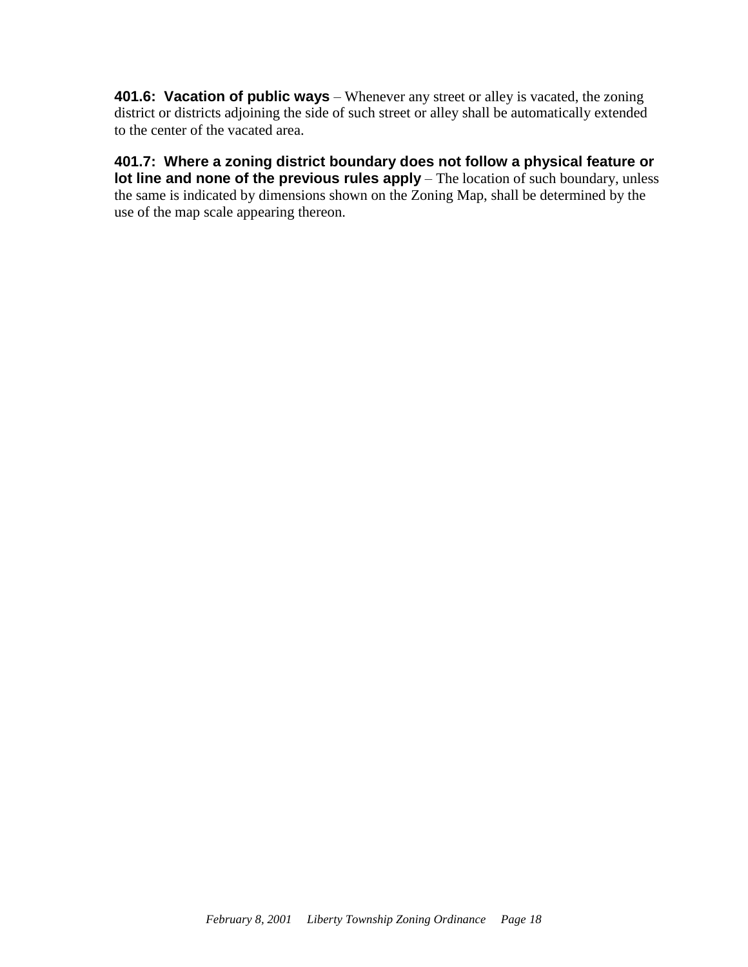**401.6: Vacation of public ways** – Whenever any street or alley is vacated, the zoning district or districts adjoining the side of such street or alley shall be automatically extended to the center of the vacated area.

**401.7: Where a zoning district boundary does not follow a physical feature or lot line and none of the previous rules apply** – The location of such boundary, unless the same is indicated by dimensions shown on the Zoning Map, shall be determined by the use of the map scale appearing thereon.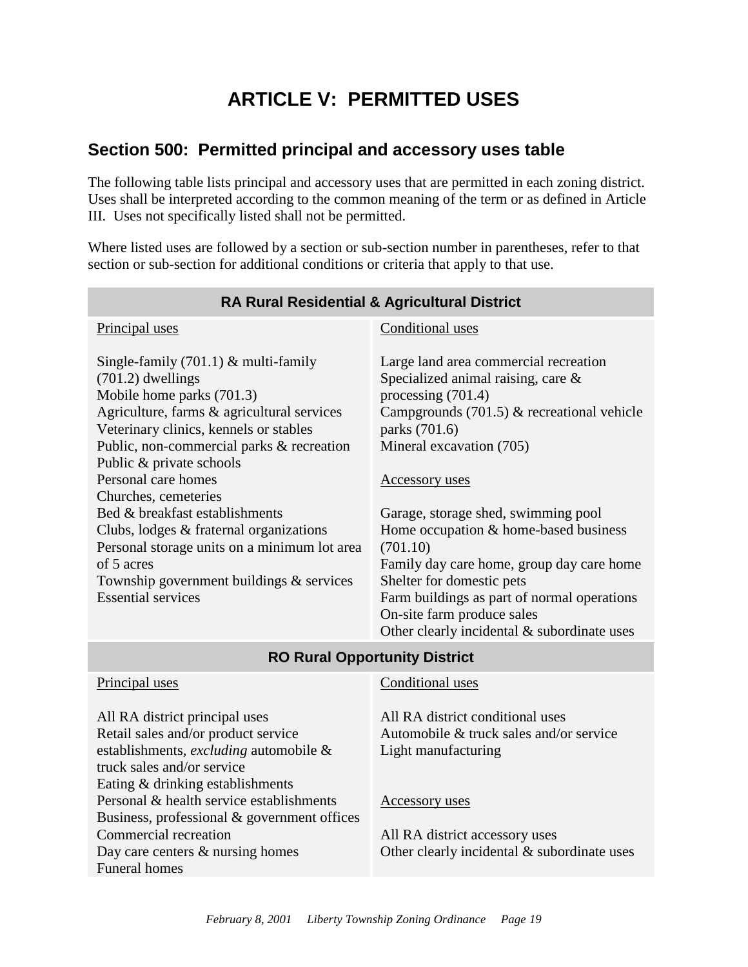# **ARTICLE V: PERMITTED USES**

#### <span id="page-21-1"></span><span id="page-21-0"></span>**Section 500: Permitted principal and accessory uses table**

The following table lists principal and accessory uses that are permitted in each zoning district. Uses shall be interpreted according to the common meaning of the term or as defined in Article III. Uses not specifically listed shall not be permitted.

Where listed uses are followed by a section or sub-section number in parentheses, refer to that section or sub-section for additional conditions or criteria that apply to that use.

| <b>RA Rural Residential &amp; Agricultural District</b>                                                                                                                                                                                                                                                                                                                                                                                                                                                                        |                                                                                                                                                                                                                                                                                                                                                                                                                                                                                                                                |  |  |  |
|--------------------------------------------------------------------------------------------------------------------------------------------------------------------------------------------------------------------------------------------------------------------------------------------------------------------------------------------------------------------------------------------------------------------------------------------------------------------------------------------------------------------------------|--------------------------------------------------------------------------------------------------------------------------------------------------------------------------------------------------------------------------------------------------------------------------------------------------------------------------------------------------------------------------------------------------------------------------------------------------------------------------------------------------------------------------------|--|--|--|
| Principal uses                                                                                                                                                                                                                                                                                                                                                                                                                                                                                                                 | Conditional uses                                                                                                                                                                                                                                                                                                                                                                                                                                                                                                               |  |  |  |
| Single-family $(701.1)$ & multi-family<br>$(701.2)$ dwellings<br>Mobile home parks (701.3)<br>Agriculture, farms & agricultural services<br>Veterinary clinics, kennels or stables<br>Public, non-commercial parks & recreation<br>Public & private schools<br>Personal care homes<br>Churches, cemeteries<br>Bed & breakfast establishments<br>Clubs, lodges & fraternal organizations<br>Personal storage units on a minimum lot area<br>of 5 acres<br>Township government buildings & services<br><b>Essential services</b> | Large land area commercial recreation<br>Specialized animal raising, care $\&$<br>processing $(701.4)$<br>Campgrounds $(701.5)$ & recreational vehicle<br>parks (701.6)<br>Mineral excavation (705)<br><b>Accessory</b> uses<br>Garage, storage shed, swimming pool<br>Home occupation & home-based business<br>(701.10)<br>Family day care home, group day care home<br>Shelter for domestic pets<br>Farm buildings as part of normal operations<br>On-site farm produce sales<br>Other clearly incidental & subordinate uses |  |  |  |
| <b>RO Rural Opportunity District</b>                                                                                                                                                                                                                                                                                                                                                                                                                                                                                           |                                                                                                                                                                                                                                                                                                                                                                                                                                                                                                                                |  |  |  |
| Principal uses<br>All RA district principal uses<br>Retail sales and/or product service<br>establishments, excluding automobile &<br>truck sales and/or service<br>Eating & drinking establishments<br>Personal & health service establishments<br>Business, professional & government offices<br>Commercial recreation                                                                                                                                                                                                        | Conditional uses<br>All RA district conditional uses<br>Automobile & truck sales and/or service<br>Light manufacturing<br><b>Accessory</b> uses<br>All RA district accessory uses                                                                                                                                                                                                                                                                                                                                              |  |  |  |

Other clearly incidental & subordinate uses

Day care centers & nursing homes

Funeral homes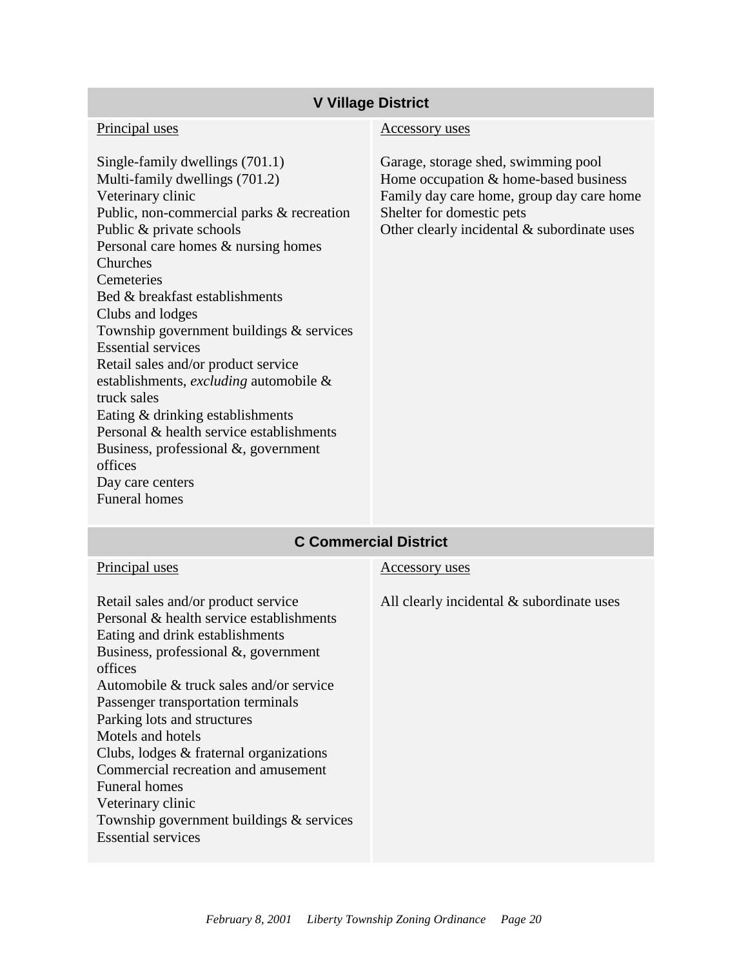#### **V Village District**

#### Principal uses

Single-family dwellings (701.1) Multi-family dwellings (701.2) Veterinary clinic Public, non-commercial parks & recreation Public & private schools Personal care homes & nursing homes Churches Cemeteries Bed & breakfast establishments Clubs and lodges Township government buildings & services Essential services Retail sales and/or product service establishments, *excluding* automobile & truck sales Eating & drinking establishments Personal & health service establishments Business, professional &, government offices Day care centers Funeral homes

#### Accessory uses

Garage, storage shed, swimming pool Home occupation & home-based business Family day care home, group day care home Shelter for domestic pets Other clearly incidental & subordinate uses

#### **C Commercial District**

| Principal uses                                                                                                                                                                                                                                                                                                                                                                                                                                                                                                           | Accessory uses                            |
|--------------------------------------------------------------------------------------------------------------------------------------------------------------------------------------------------------------------------------------------------------------------------------------------------------------------------------------------------------------------------------------------------------------------------------------------------------------------------------------------------------------------------|-------------------------------------------|
| Retail sales and/or product service<br>Personal & health service establishments<br>Eating and drink establishments<br>Business, professional $\&$ , government<br>offices<br>Automobile $&$ truck sales and/or service<br>Passenger transportation terminals<br>Parking lots and structures<br>Motels and hotels<br>Clubs, lodges & fraternal organizations<br>Commercial recreation and amusement<br><b>Funeral homes</b><br>Veterinary clinic<br>Township government buildings & services<br><b>Essential services</b> | All clearly incidental & subordinate uses |
|                                                                                                                                                                                                                                                                                                                                                                                                                                                                                                                          |                                           |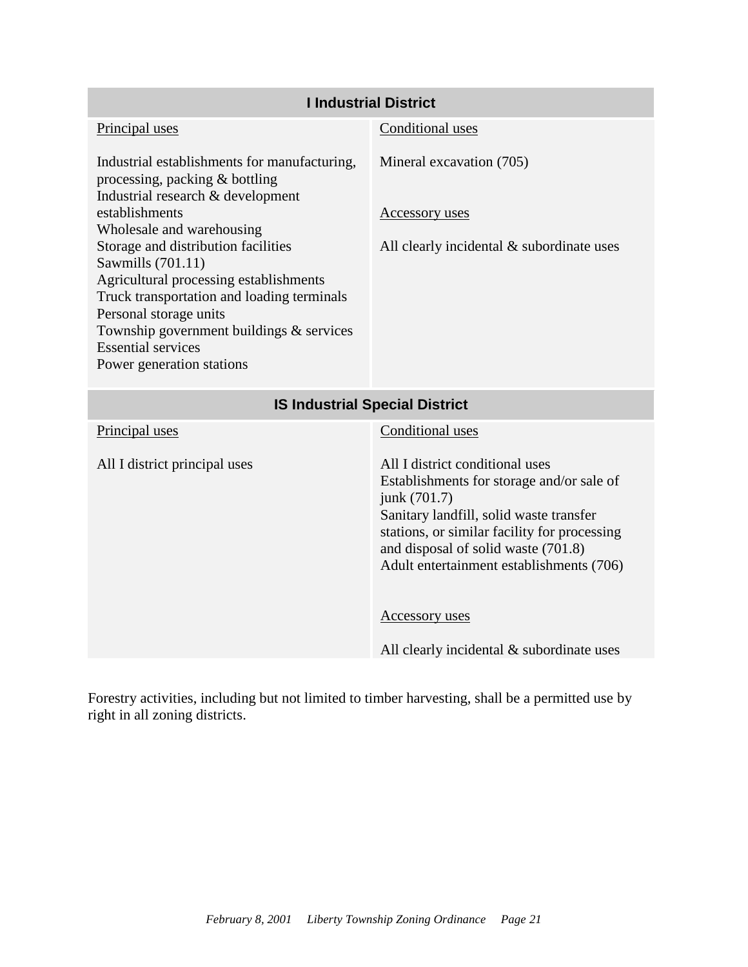| <b>I Industrial District</b>                                                                                                                                                                                                                                                     |                                                                                                                                                                                                                                                                            |  |  |  |  |
|----------------------------------------------------------------------------------------------------------------------------------------------------------------------------------------------------------------------------------------------------------------------------------|----------------------------------------------------------------------------------------------------------------------------------------------------------------------------------------------------------------------------------------------------------------------------|--|--|--|--|
| Principal uses                                                                                                                                                                                                                                                                   | Conditional uses                                                                                                                                                                                                                                                           |  |  |  |  |
| Industrial establishments for manufacturing,<br>processing, packing & bottling<br>Industrial research & development<br>establishments                                                                                                                                            | Mineral excavation (705)                                                                                                                                                                                                                                                   |  |  |  |  |
| Wholesale and warehousing                                                                                                                                                                                                                                                        | <b>Accessory uses</b>                                                                                                                                                                                                                                                      |  |  |  |  |
| Storage and distribution facilities<br>Sawmills (701.11)<br>Agricultural processing establishments<br>Truck transportation and loading terminals<br>Personal storage units<br>Township government buildings & services<br><b>Essential services</b><br>Power generation stations | All clearly incidental $&$ subordinate uses                                                                                                                                                                                                                                |  |  |  |  |
| <b>IS Industrial Special District</b>                                                                                                                                                                                                                                            |                                                                                                                                                                                                                                                                            |  |  |  |  |
| Principal uses                                                                                                                                                                                                                                                                   | Conditional uses                                                                                                                                                                                                                                                           |  |  |  |  |
| All I district principal uses                                                                                                                                                                                                                                                    | All I district conditional uses<br>Establishments for storage and/or sale of<br>junk (701.7)<br>Sanitary landfill, solid waste transfer<br>stations, or similar facility for processing<br>and disposal of solid waste (701.8)<br>Adult entertainment establishments (706) |  |  |  |  |
|                                                                                                                                                                                                                                                                                  | <b>Accessory uses</b>                                                                                                                                                                                                                                                      |  |  |  |  |
|                                                                                                                                                                                                                                                                                  | All clearly incidental & subordinate uses                                                                                                                                                                                                                                  |  |  |  |  |

Forestry activities, including but not limited to timber harvesting, shall be a permitted use by right in all zoning districts.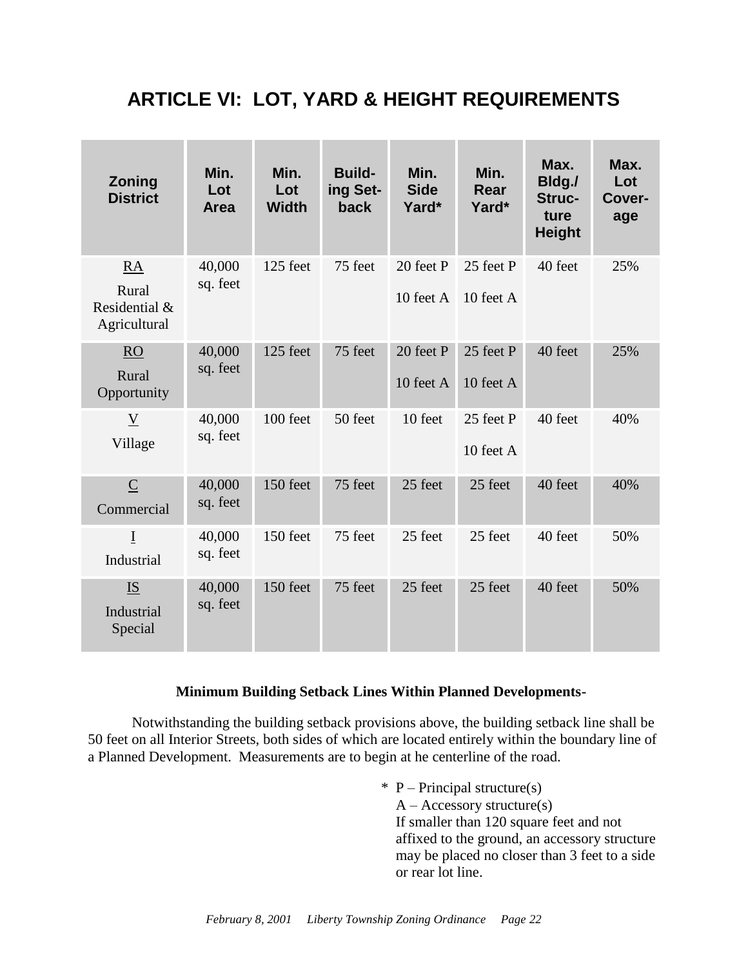# <span id="page-24-0"></span>**ARTICLE VI: LOT, YARD & HEIGHT REQUIREMENTS**

| Zoning<br><b>District</b>                           | Min.<br>Lot<br><b>Area</b> | Min.<br>Lot<br><b>Width</b> | <b>Build-</b><br>ing Set-<br>back | Min.<br><b>Side</b><br>Yard* | Min.<br>Rear<br>Yard*  | Max.<br>Bldg./<br>Struc-<br>ture<br><b>Height</b> | Max.<br>Lot<br>Cover-<br>age |
|-----------------------------------------------------|----------------------------|-----------------------------|-----------------------------------|------------------------------|------------------------|---------------------------------------------------|------------------------------|
| <b>RA</b><br>Rural<br>Residential &<br>Agricultural | 40,000<br>sq. feet         | 125 feet                    | 75 feet                           | 20 feet P<br>10 feet A       | 25 feet P<br>10 feet A | 40 feet                                           | 25%                          |
| <b>RO</b><br>Rural<br>Opportunity                   | 40,000<br>sq. feet         | 125 feet                    | 75 feet                           | 20 feet P<br>10 feet A       | 25 feet P<br>10 feet A | 40 feet                                           | 25%                          |
| $\underline{V}$<br>Village                          | 40,000<br>sq. feet         | 100 feet                    | 50 feet                           | 10 feet                      | 25 feet P<br>10 feet A | 40 feet                                           | 40%                          |
| $\overline{C}$<br>Commercial                        | 40,000<br>sq. feet         | 150 feet                    | 75 feet                           | 25 feet                      | 25 feet                | 40 feet                                           | 40%                          |
| $\overline{I}$<br>Industrial                        | 40,000<br>sq. feet         | 150 feet                    | 75 feet                           | 25 feet                      | 25 feet                | 40 feet                                           | 50%                          |
| <b>IS</b><br>Industrial<br>Special                  | 40,000<br>sq. feet         | 150 feet                    | 75 feet                           | 25 feet                      | 25 feet                | 40 feet                                           | 50%                          |

#### **Minimum Building Setback Lines Within Planned Developments-**

Notwithstanding the building setback provisions above, the building setback line shall be 50 feet on all Interior Streets, both sides of which are located entirely within the boundary line of a Planned Development. Measurements are to begin at he centerline of the road.

> $*$  P – Principal structure(s)  $A - Accessory structure(s)$ If smaller than 120 square feet and not affixed to the ground, an accessory structure may be placed no closer than 3 feet to a side or rear lot line.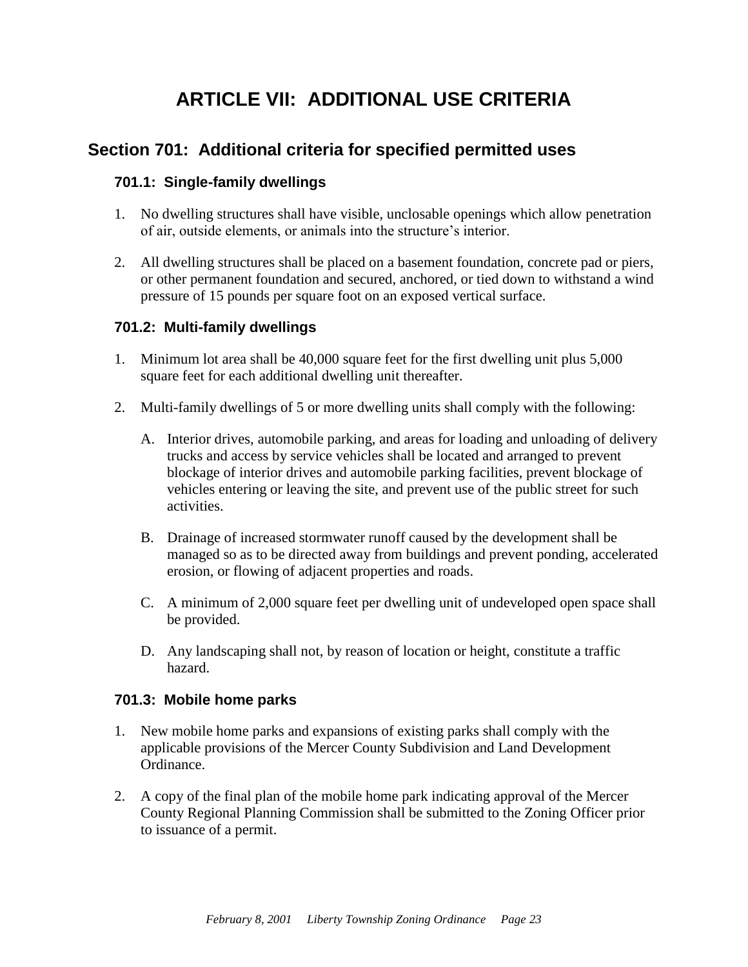# **ARTICLE VII: ADDITIONAL USE CRITERIA**

### <span id="page-25-1"></span><span id="page-25-0"></span>**Section 701: Additional criteria for specified permitted uses**

#### **701.1: Single-family dwellings**

- 1. No dwelling structures shall have visible, unclosable openings which allow penetration of air, outside elements, or animals into the structure's interior.
- 2. All dwelling structures shall be placed on a basement foundation, concrete pad or piers, or other permanent foundation and secured, anchored, or tied down to withstand a wind pressure of 15 pounds per square foot on an exposed vertical surface.

#### **701.2: Multi-family dwellings**

- 1. Minimum lot area shall be 40,000 square feet for the first dwelling unit plus 5,000 square feet for each additional dwelling unit thereafter.
- 2. Multi-family dwellings of 5 or more dwelling units shall comply with the following:
	- A. Interior drives, automobile parking, and areas for loading and unloading of delivery trucks and access by service vehicles shall be located and arranged to prevent blockage of interior drives and automobile parking facilities, prevent blockage of vehicles entering or leaving the site, and prevent use of the public street for such activities.
	- B. Drainage of increased stormwater runoff caused by the development shall be managed so as to be directed away from buildings and prevent ponding, accelerated erosion, or flowing of adjacent properties and roads.
	- C. A minimum of 2,000 square feet per dwelling unit of undeveloped open space shall be provided.
	- D. Any landscaping shall not, by reason of location or height, constitute a traffic hazard.

#### **701.3: Mobile home parks**

- 1. New mobile home parks and expansions of existing parks shall comply with the applicable provisions of the Mercer County Subdivision and Land Development Ordinance.
- 2. A copy of the final plan of the mobile home park indicating approval of the Mercer County Regional Planning Commission shall be submitted to the Zoning Officer prior to issuance of a permit.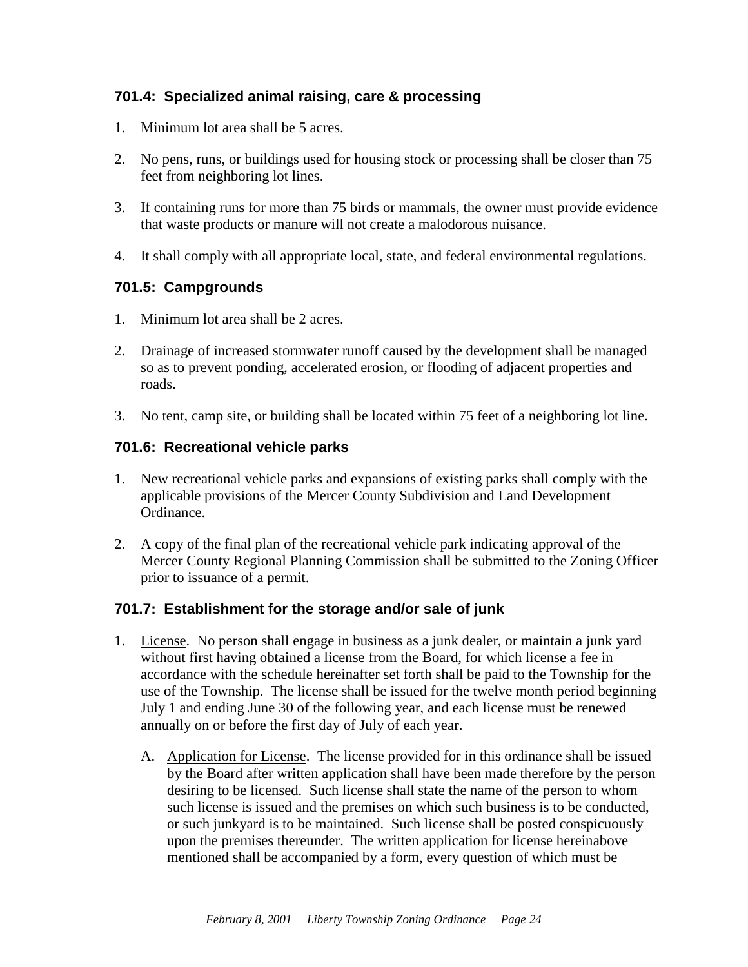#### **701.4: Specialized animal raising, care & processing**

- 1. Minimum lot area shall be 5 acres.
- 2. No pens, runs, or buildings used for housing stock or processing shall be closer than 75 feet from neighboring lot lines.
- 3. If containing runs for more than 75 birds or mammals, the owner must provide evidence that waste products or manure will not create a malodorous nuisance.
- 4. It shall comply with all appropriate local, state, and federal environmental regulations.

#### **701.5: Campgrounds**

- 1. Minimum lot area shall be 2 acres.
- 2. Drainage of increased stormwater runoff caused by the development shall be managed so as to prevent ponding, accelerated erosion, or flooding of adjacent properties and roads.
- 3. No tent, camp site, or building shall be located within 75 feet of a neighboring lot line.

#### **701.6: Recreational vehicle parks**

- 1. New recreational vehicle parks and expansions of existing parks shall comply with the applicable provisions of the Mercer County Subdivision and Land Development Ordinance.
- 2. A copy of the final plan of the recreational vehicle park indicating approval of the Mercer County Regional Planning Commission shall be submitted to the Zoning Officer prior to issuance of a permit.

#### **701.7: Establishment for the storage and/or sale of junk**

- 1. License. No person shall engage in business as a junk dealer, or maintain a junk yard without first having obtained a license from the Board, for which license a fee in accordance with the schedule hereinafter set forth shall be paid to the Township for the use of the Township. The license shall be issued for the twelve month period beginning July 1 and ending June 30 of the following year, and each license must be renewed annually on or before the first day of July of each year.
	- A. Application for License. The license provided for in this ordinance shall be issued by the Board after written application shall have been made therefore by the person desiring to be licensed. Such license shall state the name of the person to whom such license is issued and the premises on which such business is to be conducted, or such junkyard is to be maintained. Such license shall be posted conspicuously upon the premises thereunder. The written application for license hereinabove mentioned shall be accompanied by a form, every question of which must be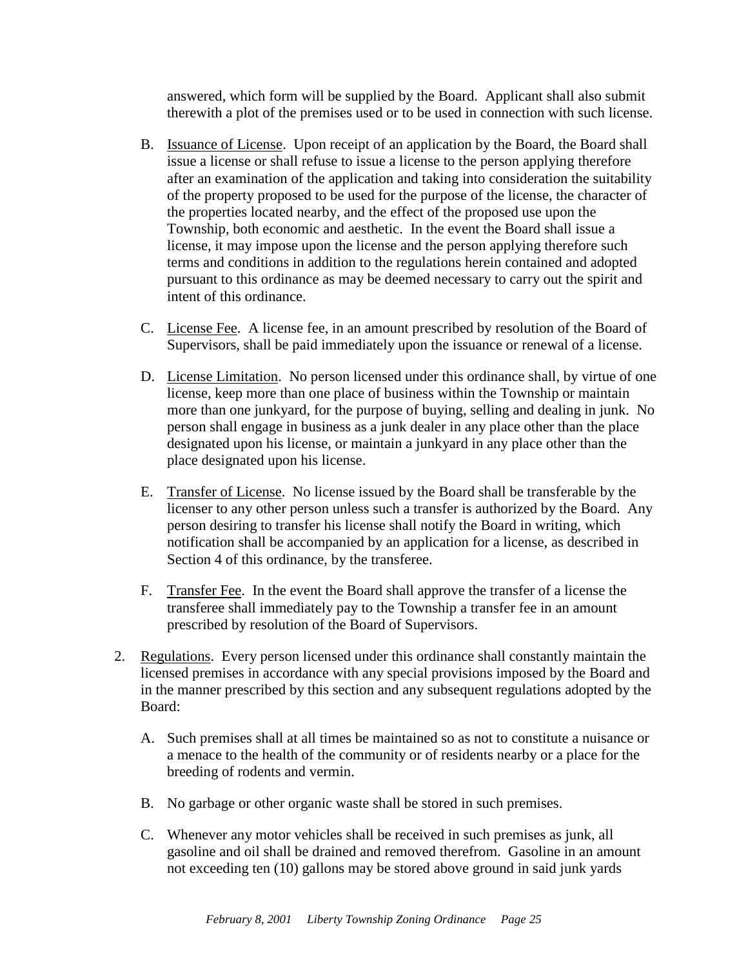answered, which form will be supplied by the Board. Applicant shall also submit therewith a plot of the premises used or to be used in connection with such license.

- B. Issuance of License. Upon receipt of an application by the Board, the Board shall issue a license or shall refuse to issue a license to the person applying therefore after an examination of the application and taking into consideration the suitability of the property proposed to be used for the purpose of the license, the character of the properties located nearby, and the effect of the proposed use upon the Township, both economic and aesthetic. In the event the Board shall issue a license, it may impose upon the license and the person applying therefore such terms and conditions in addition to the regulations herein contained and adopted pursuant to this ordinance as may be deemed necessary to carry out the spirit and intent of this ordinance.
- C. License Fee. A license fee, in an amount prescribed by resolution of the Board of Supervisors, shall be paid immediately upon the issuance or renewal of a license.
- D. License Limitation. No person licensed under this ordinance shall, by virtue of one license, keep more than one place of business within the Township or maintain more than one junkyard, for the purpose of buying, selling and dealing in junk. No person shall engage in business as a junk dealer in any place other than the place designated upon his license, or maintain a junkyard in any place other than the place designated upon his license.
- E. Transfer of License. No license issued by the Board shall be transferable by the licenser to any other person unless such a transfer is authorized by the Board. Any person desiring to transfer his license shall notify the Board in writing, which notification shall be accompanied by an application for a license, as described in Section 4 of this ordinance, by the transferee.
- F. Transfer Fee. In the event the Board shall approve the transfer of a license the transferee shall immediately pay to the Township a transfer fee in an amount prescribed by resolution of the Board of Supervisors.
- 2. Regulations. Every person licensed under this ordinance shall constantly maintain the licensed premises in accordance with any special provisions imposed by the Board and in the manner prescribed by this section and any subsequent regulations adopted by the Board:
	- A. Such premises shall at all times be maintained so as not to constitute a nuisance or a menace to the health of the community or of residents nearby or a place for the breeding of rodents and vermin.
	- B. No garbage or other organic waste shall be stored in such premises.
	- C. Whenever any motor vehicles shall be received in such premises as junk, all gasoline and oil shall be drained and removed therefrom. Gasoline in an amount not exceeding ten (10) gallons may be stored above ground in said junk yards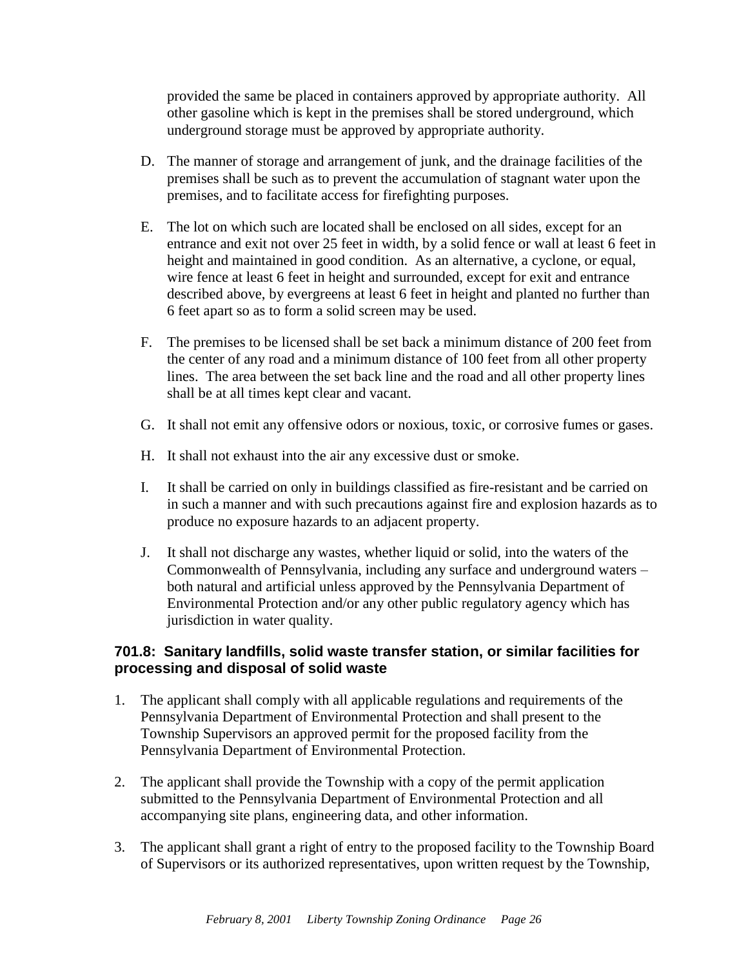provided the same be placed in containers approved by appropriate authority. All other gasoline which is kept in the premises shall be stored underground, which underground storage must be approved by appropriate authority.

- D. The manner of storage and arrangement of junk, and the drainage facilities of the premises shall be such as to prevent the accumulation of stagnant water upon the premises, and to facilitate access for firefighting purposes.
- E. The lot on which such are located shall be enclosed on all sides, except for an entrance and exit not over 25 feet in width, by a solid fence or wall at least 6 feet in height and maintained in good condition. As an alternative, a cyclone, or equal, wire fence at least 6 feet in height and surrounded, except for exit and entrance described above, by evergreens at least 6 feet in height and planted no further than 6 feet apart so as to form a solid screen may be used.
- F. The premises to be licensed shall be set back a minimum distance of 200 feet from the center of any road and a minimum distance of 100 feet from all other property lines. The area between the set back line and the road and all other property lines shall be at all times kept clear and vacant.
- G. It shall not emit any offensive odors or noxious, toxic, or corrosive fumes or gases.
- H. It shall not exhaust into the air any excessive dust or smoke.
- I. It shall be carried on only in buildings classified as fire-resistant and be carried on in such a manner and with such precautions against fire and explosion hazards as to produce no exposure hazards to an adjacent property.
- J. It shall not discharge any wastes, whether liquid or solid, into the waters of the Commonwealth of Pennsylvania, including any surface and underground waters – both natural and artificial unless approved by the Pennsylvania Department of Environmental Protection and/or any other public regulatory agency which has jurisdiction in water quality.

#### **701.8: Sanitary landfills, solid waste transfer station, or similar facilities for processing and disposal of solid waste**

- 1. The applicant shall comply with all applicable regulations and requirements of the Pennsylvania Department of Environmental Protection and shall present to the Township Supervisors an approved permit for the proposed facility from the Pennsylvania Department of Environmental Protection.
- 2. The applicant shall provide the Township with a copy of the permit application submitted to the Pennsylvania Department of Environmental Protection and all accompanying site plans, engineering data, and other information.
- 3. The applicant shall grant a right of entry to the proposed facility to the Township Board of Supervisors or its authorized representatives, upon written request by the Township,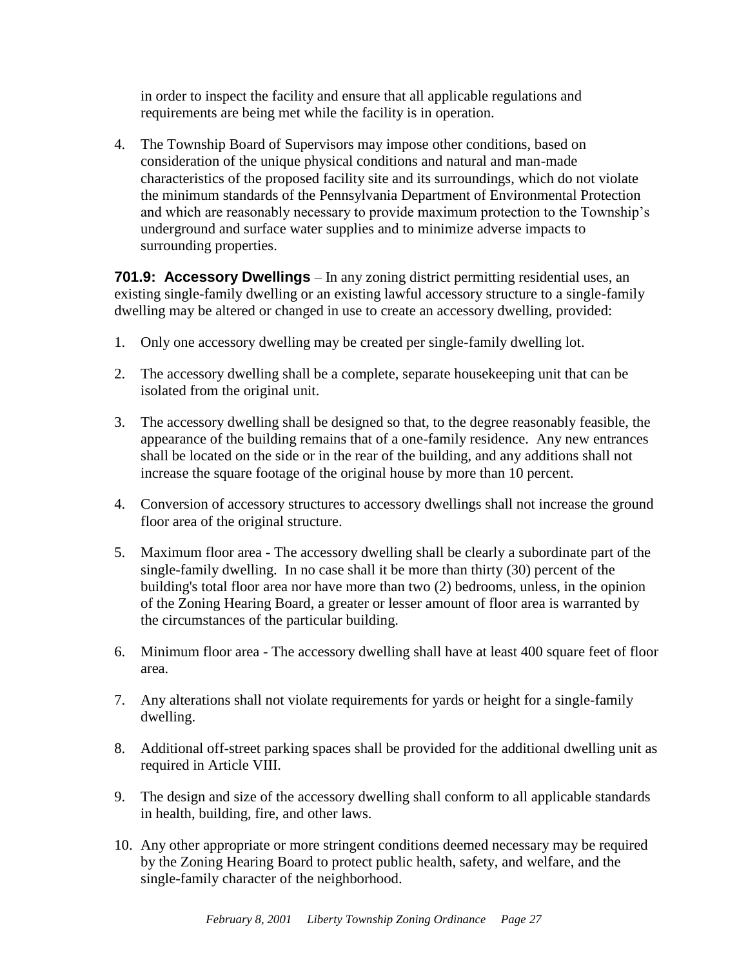in order to inspect the facility and ensure that all applicable regulations and requirements are being met while the facility is in operation.

4. The Township Board of Supervisors may impose other conditions, based on consideration of the unique physical conditions and natural and man-made characteristics of the proposed facility site and its surroundings, which do not violate the minimum standards of the Pennsylvania Department of Environmental Protection and which are reasonably necessary to provide maximum protection to the Township's underground and surface water supplies and to minimize adverse impacts to surrounding properties.

**701.9: Accessory Dwellings** – In any zoning district permitting residential uses, an existing single-family dwelling or an existing lawful accessory structure to a single-family dwelling may be altered or changed in use to create an accessory dwelling, provided:

- 1. Only one accessory dwelling may be created per single-family dwelling lot.
- 2. The accessory dwelling shall be a complete, separate housekeeping unit that can be isolated from the original unit.
- 3. The accessory dwelling shall be designed so that, to the degree reasonably feasible, the appearance of the building remains that of a one-family residence. Any new entrances shall be located on the side or in the rear of the building, and any additions shall not increase the square footage of the original house by more than 10 percent.
- 4. Conversion of accessory structures to accessory dwellings shall not increase the ground floor area of the original structure.
- 5. Maximum floor area The accessory dwelling shall be clearly a subordinate part of the single-family dwelling. In no case shall it be more than thirty (30) percent of the building's total floor area nor have more than two (2) bedrooms, unless, in the opinion of the Zoning Hearing Board, a greater or lesser amount of floor area is warranted by the circumstances of the particular building.
- 6. Minimum floor area The accessory dwelling shall have at least 400 square feet of floor area.
- 7. Any alterations shall not violate requirements for yards or height for a single-family dwelling.
- 8. Additional off-street parking spaces shall be provided for the additional dwelling unit as required in Article VIII.
- 9. The design and size of the accessory dwelling shall conform to all applicable standards in health, building, fire, and other laws.
- 10. Any other appropriate or more stringent conditions deemed necessary may be required by the Zoning Hearing Board to protect public health, safety, and welfare, and the single-family character of the neighborhood.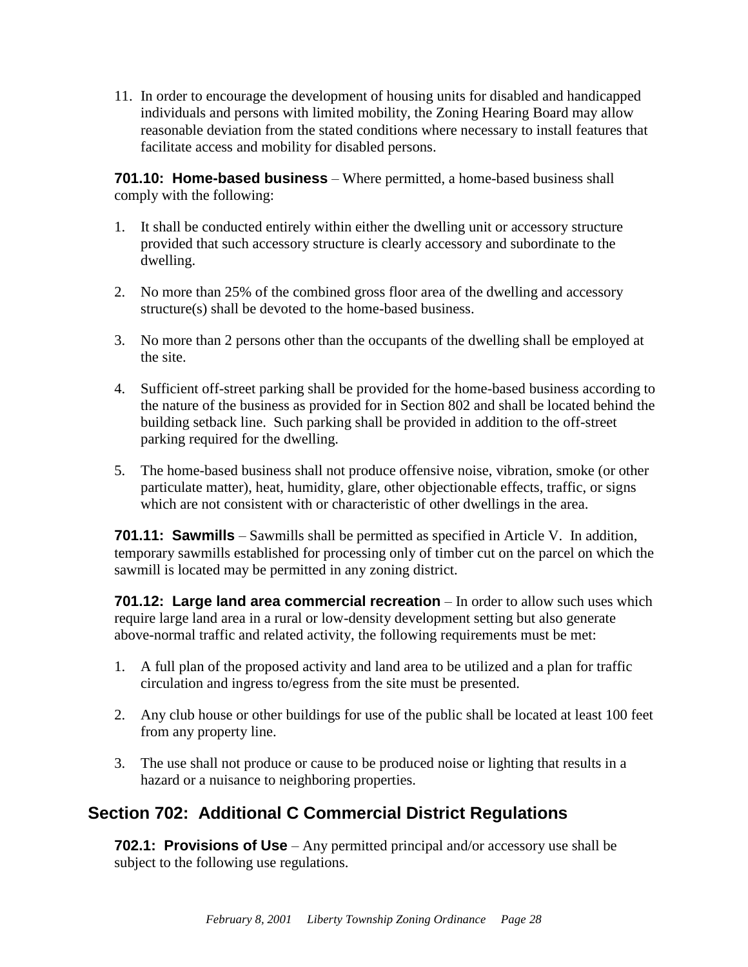11. In order to encourage the development of housing units for disabled and handicapped individuals and persons with limited mobility, the Zoning Hearing Board may allow reasonable deviation from the stated conditions where necessary to install features that facilitate access and mobility for disabled persons.

**701.10: Home-based business** – Where permitted, a home-based business shall comply with the following:

- 1. It shall be conducted entirely within either the dwelling unit or accessory structure provided that such accessory structure is clearly accessory and subordinate to the dwelling.
- 2. No more than 25% of the combined gross floor area of the dwelling and accessory structure(s) shall be devoted to the home-based business.
- 3. No more than 2 persons other than the occupants of the dwelling shall be employed at the site.
- 4. Sufficient off-street parking shall be provided for the home-based business according to the nature of the business as provided for in Section 802 and shall be located behind the building setback line. Such parking shall be provided in addition to the off-street parking required for the dwelling.
- 5. The home-based business shall not produce offensive noise, vibration, smoke (or other particulate matter), heat, humidity, glare, other objectionable effects, traffic, or signs which are not consistent with or characteristic of other dwellings in the area.

**701.11: Sawmills** – Sawmills shall be permitted as specified in Article V. In addition, temporary sawmills established for processing only of timber cut on the parcel on which the sawmill is located may be permitted in any zoning district.

**701.12: Large land area commercial recreation** – In order to allow such uses which require large land area in a rural or low-density development setting but also generate above-normal traffic and related activity, the following requirements must be met:

- 1. A full plan of the proposed activity and land area to be utilized and a plan for traffic circulation and ingress to/egress from the site must be presented.
- 2. Any club house or other buildings for use of the public shall be located at least 100 feet from any property line.
- 3. The use shall not produce or cause to be produced noise or lighting that results in a hazard or a nuisance to neighboring properties.

## <span id="page-30-0"></span>**Section 702: Additional C Commercial District Regulations**

**702.1: Provisions of Use** – Any permitted principal and/or accessory use shall be subject to the following use regulations.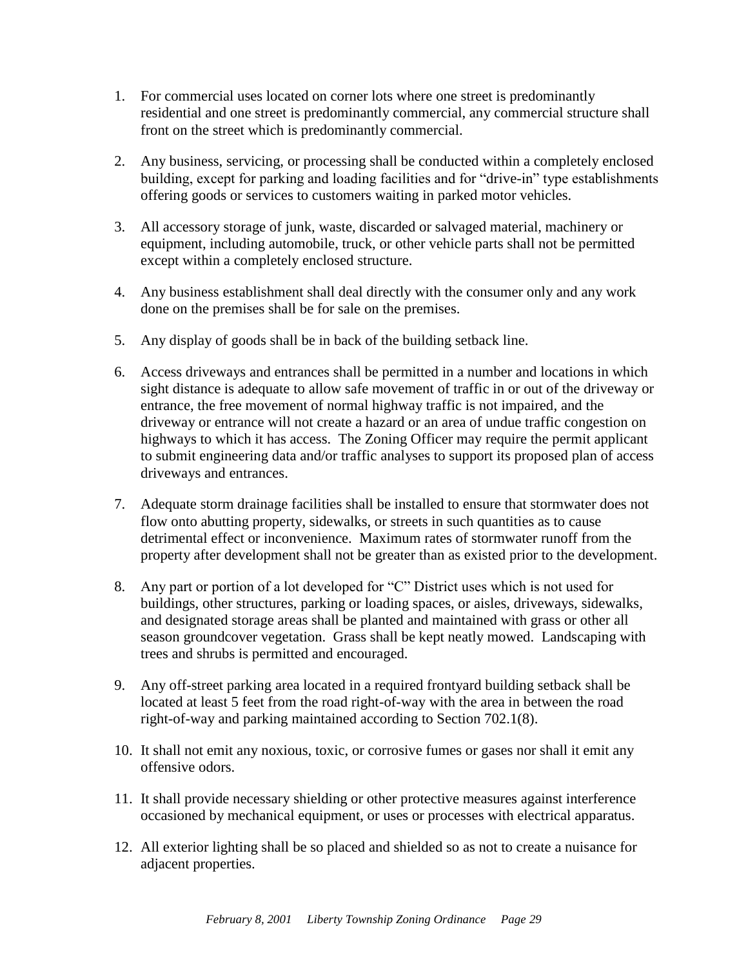- 1. For commercial uses located on corner lots where one street is predominantly residential and one street is predominantly commercial, any commercial structure shall front on the street which is predominantly commercial.
- 2. Any business, servicing, or processing shall be conducted within a completely enclosed building, except for parking and loading facilities and for "drive-in" type establishments offering goods or services to customers waiting in parked motor vehicles.
- 3. All accessory storage of junk, waste, discarded or salvaged material, machinery or equipment, including automobile, truck, or other vehicle parts shall not be permitted except within a completely enclosed structure.
- 4. Any business establishment shall deal directly with the consumer only and any work done on the premises shall be for sale on the premises.
- 5. Any display of goods shall be in back of the building setback line.
- 6. Access driveways and entrances shall be permitted in a number and locations in which sight distance is adequate to allow safe movement of traffic in or out of the driveway or entrance, the free movement of normal highway traffic is not impaired, and the driveway or entrance will not create a hazard or an area of undue traffic congestion on highways to which it has access. The Zoning Officer may require the permit applicant to submit engineering data and/or traffic analyses to support its proposed plan of access driveways and entrances.
- 7. Adequate storm drainage facilities shall be installed to ensure that stormwater does not flow onto abutting property, sidewalks, or streets in such quantities as to cause detrimental effect or inconvenience. Maximum rates of stormwater runoff from the property after development shall not be greater than as existed prior to the development.
- 8. Any part or portion of a lot developed for "C" District uses which is not used for buildings, other structures, parking or loading spaces, or aisles, driveways, sidewalks, and designated storage areas shall be planted and maintained with grass or other all season groundcover vegetation. Grass shall be kept neatly mowed. Landscaping with trees and shrubs is permitted and encouraged.
- 9. Any off-street parking area located in a required frontyard building setback shall be located at least 5 feet from the road right-of-way with the area in between the road right-of-way and parking maintained according to Section 702.1(8).
- 10. It shall not emit any noxious, toxic, or corrosive fumes or gases nor shall it emit any offensive odors.
- 11. It shall provide necessary shielding or other protective measures against interference occasioned by mechanical equipment, or uses or processes with electrical apparatus.
- 12. All exterior lighting shall be so placed and shielded so as not to create a nuisance for adjacent properties.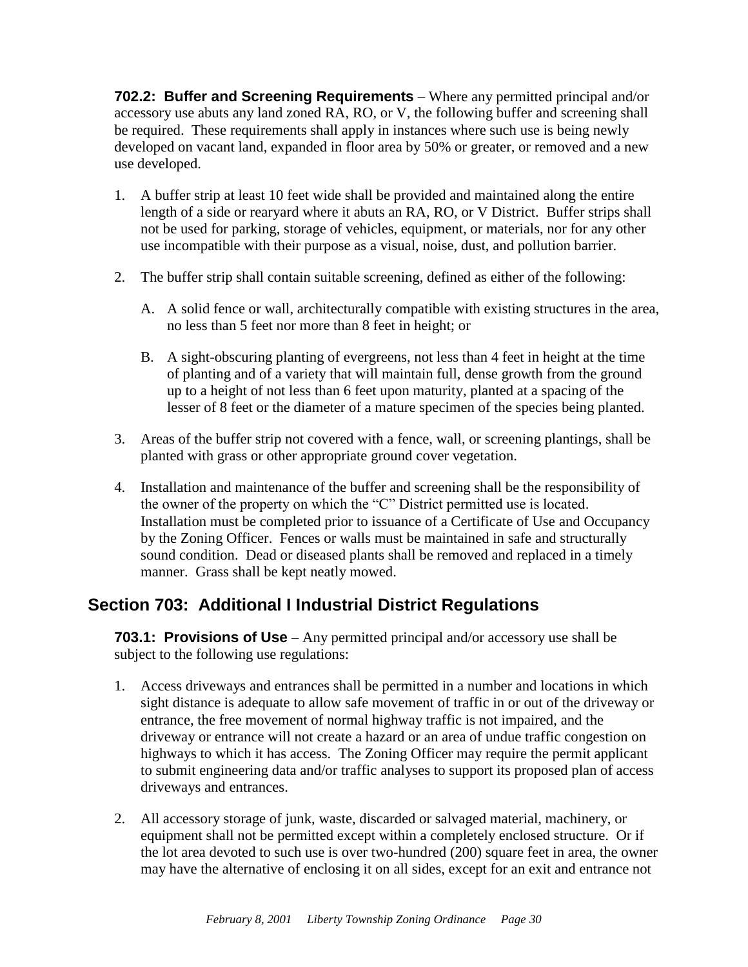**702.2: Buffer and Screening Requirements** – Where any permitted principal and/or accessory use abuts any land zoned RA, RO, or V, the following buffer and screening shall be required. These requirements shall apply in instances where such use is being newly developed on vacant land, expanded in floor area by 50% or greater, or removed and a new use developed.

- 1. A buffer strip at least 10 feet wide shall be provided and maintained along the entire length of a side or rearyard where it abuts an RA, RO, or V District. Buffer strips shall not be used for parking, storage of vehicles, equipment, or materials, nor for any other use incompatible with their purpose as a visual, noise, dust, and pollution barrier.
- 2. The buffer strip shall contain suitable screening, defined as either of the following:
	- A. A solid fence or wall, architecturally compatible with existing structures in the area, no less than 5 feet nor more than 8 feet in height; or
	- B. A sight-obscuring planting of evergreens, not less than 4 feet in height at the time of planting and of a variety that will maintain full, dense growth from the ground up to a height of not less than 6 feet upon maturity, planted at a spacing of the lesser of 8 feet or the diameter of a mature specimen of the species being planted.
- 3. Areas of the buffer strip not covered with a fence, wall, or screening plantings, shall be planted with grass or other appropriate ground cover vegetation.
- 4. Installation and maintenance of the buffer and screening shall be the responsibility of the owner of the property on which the "C" District permitted use is located. Installation must be completed prior to issuance of a Certificate of Use and Occupancy by the Zoning Officer. Fences or walls must be maintained in safe and structurally sound condition. Dead or diseased plants shall be removed and replaced in a timely manner. Grass shall be kept neatly mowed.

## <span id="page-32-0"></span>**Section 703: Additional I Industrial District Regulations**

**703.1: Provisions of Use** – Any permitted principal and/or accessory use shall be subject to the following use regulations:

- 1. Access driveways and entrances shall be permitted in a number and locations in which sight distance is adequate to allow safe movement of traffic in or out of the driveway or entrance, the free movement of normal highway traffic is not impaired, and the driveway or entrance will not create a hazard or an area of undue traffic congestion on highways to which it has access. The Zoning Officer may require the permit applicant to submit engineering data and/or traffic analyses to support its proposed plan of access driveways and entrances.
- 2. All accessory storage of junk, waste, discarded or salvaged material, machinery, or equipment shall not be permitted except within a completely enclosed structure. Or if the lot area devoted to such use is over two-hundred (200) square feet in area, the owner may have the alternative of enclosing it on all sides, except for an exit and entrance not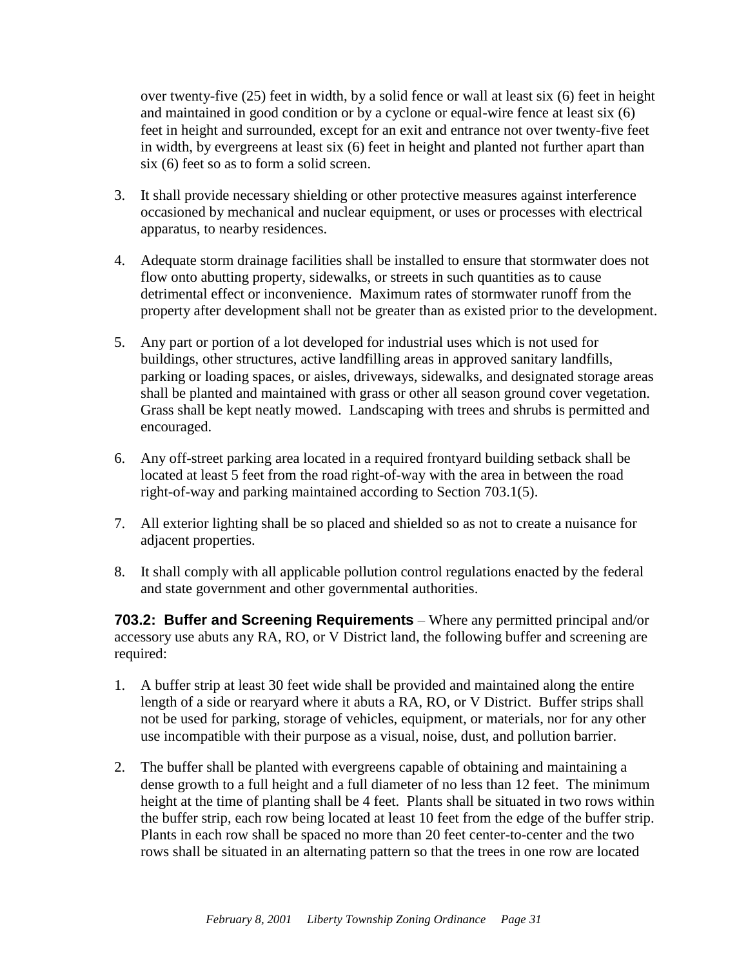over twenty-five (25) feet in width, by a solid fence or wall at least six (6) feet in height and maintained in good condition or by a cyclone or equal-wire fence at least six (6) feet in height and surrounded, except for an exit and entrance not over twenty-five feet in width, by evergreens at least six (6) feet in height and planted not further apart than six (6) feet so as to form a solid screen.

- 3. It shall provide necessary shielding or other protective measures against interference occasioned by mechanical and nuclear equipment, or uses or processes with electrical apparatus, to nearby residences.
- 4. Adequate storm drainage facilities shall be installed to ensure that stormwater does not flow onto abutting property, sidewalks, or streets in such quantities as to cause detrimental effect or inconvenience. Maximum rates of stormwater runoff from the property after development shall not be greater than as existed prior to the development.
- 5. Any part or portion of a lot developed for industrial uses which is not used for buildings, other structures, active landfilling areas in approved sanitary landfills, parking or loading spaces, or aisles, driveways, sidewalks, and designated storage areas shall be planted and maintained with grass or other all season ground cover vegetation. Grass shall be kept neatly mowed. Landscaping with trees and shrubs is permitted and encouraged.
- 6. Any off-street parking area located in a required frontyard building setback shall be located at least 5 feet from the road right-of-way with the area in between the road right-of-way and parking maintained according to Section 703.1(5).
- 7. All exterior lighting shall be so placed and shielded so as not to create a nuisance for adjacent properties.
- 8. It shall comply with all applicable pollution control regulations enacted by the federal and state government and other governmental authorities.

**703.2: Buffer and Screening Requirements** – Where any permitted principal and/or accessory use abuts any RA, RO, or V District land, the following buffer and screening are required:

- 1. A buffer strip at least 30 feet wide shall be provided and maintained along the entire length of a side or rearyard where it abuts a RA, RO, or V District. Buffer strips shall not be used for parking, storage of vehicles, equipment, or materials, nor for any other use incompatible with their purpose as a visual, noise, dust, and pollution barrier.
- 2. The buffer shall be planted with evergreens capable of obtaining and maintaining a dense growth to a full height and a full diameter of no less than 12 feet. The minimum height at the time of planting shall be 4 feet. Plants shall be situated in two rows within the buffer strip, each row being located at least 10 feet from the edge of the buffer strip. Plants in each row shall be spaced no more than 20 feet center-to-center and the two rows shall be situated in an alternating pattern so that the trees in one row are located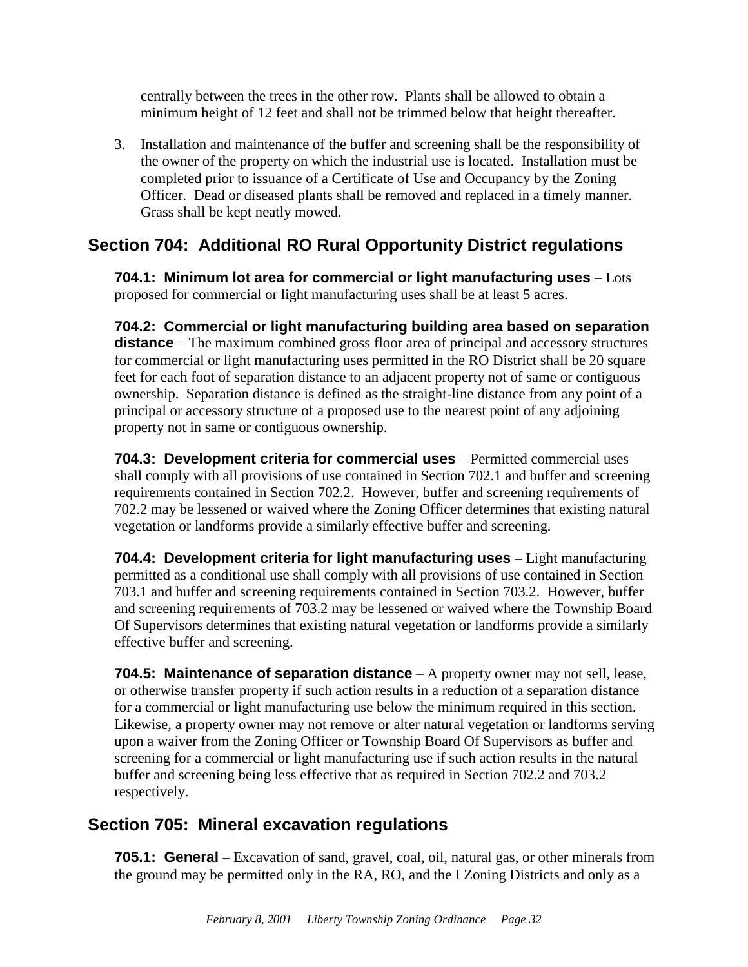centrally between the trees in the other row. Plants shall be allowed to obtain a minimum height of 12 feet and shall not be trimmed below that height thereafter.

3. Installation and maintenance of the buffer and screening shall be the responsibility of the owner of the property on which the industrial use is located. Installation must be completed prior to issuance of a Certificate of Use and Occupancy by the Zoning Officer. Dead or diseased plants shall be removed and replaced in a timely manner. Grass shall be kept neatly mowed.

### <span id="page-34-0"></span>**Section 704: Additional RO Rural Opportunity District regulations**

**704.1: Minimum lot area for commercial or light manufacturing uses** – Lots proposed for commercial or light manufacturing uses shall be at least 5 acres.

**704.2: Commercial or light manufacturing building area based on separation distance** – The maximum combined gross floor area of principal and accessory structures for commercial or light manufacturing uses permitted in the RO District shall be 20 square feet for each foot of separation distance to an adjacent property not of same or contiguous ownership. Separation distance is defined as the straight-line distance from any point of a principal or accessory structure of a proposed use to the nearest point of any adjoining property not in same or contiguous ownership.

**704.3: Development criteria for commercial uses** – Permitted commercial uses shall comply with all provisions of use contained in Section 702.1 and buffer and screening requirements contained in Section 702.2. However, buffer and screening requirements of 702.2 may be lessened or waived where the Zoning Officer determines that existing natural vegetation or landforms provide a similarly effective buffer and screening.

**704.4: Development criteria for light manufacturing uses** – Light manufacturing permitted as a conditional use shall comply with all provisions of use contained in Section 703.1 and buffer and screening requirements contained in Section 703.2. However, buffer and screening requirements of 703.2 may be lessened or waived where the Township Board Of Supervisors determines that existing natural vegetation or landforms provide a similarly effective buffer and screening.

**704.5: Maintenance of separation distance** – A property owner may not sell, lease, or otherwise transfer property if such action results in a reduction of a separation distance for a commercial or light manufacturing use below the minimum required in this section. Likewise, a property owner may not remove or alter natural vegetation or landforms serving upon a waiver from the Zoning Officer or Township Board Of Supervisors as buffer and screening for a commercial or light manufacturing use if such action results in the natural buffer and screening being less effective that as required in Section 702.2 and 703.2 respectively.

## <span id="page-34-1"></span>**Section 705: Mineral excavation regulations**

**705.1: General** – Excavation of sand, gravel, coal, oil, natural gas, or other minerals from the ground may be permitted only in the RA, RO, and the I Zoning Districts and only as a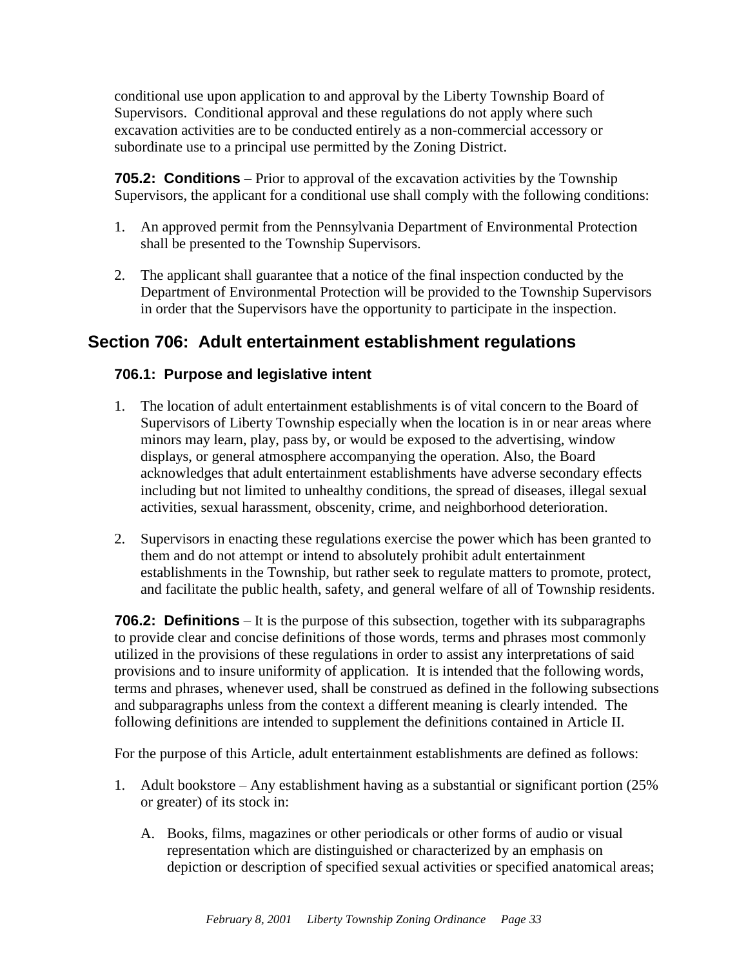conditional use upon application to and approval by the Liberty Township Board of Supervisors. Conditional approval and these regulations do not apply where such excavation activities are to be conducted entirely as a non-commercial accessory or subordinate use to a principal use permitted by the Zoning District.

**705.2: Conditions** – Prior to approval of the excavation activities by the Township Supervisors, the applicant for a conditional use shall comply with the following conditions:

- 1. An approved permit from the Pennsylvania Department of Environmental Protection shall be presented to the Township Supervisors.
- 2. The applicant shall guarantee that a notice of the final inspection conducted by the Department of Environmental Protection will be provided to the Township Supervisors in order that the Supervisors have the opportunity to participate in the inspection.

#### <span id="page-35-0"></span>**Section 706: Adult entertainment establishment regulations**

#### **706.1: Purpose and legislative intent**

- 1. The location of adult entertainment establishments is of vital concern to the Board of Supervisors of Liberty Township especially when the location is in or near areas where minors may learn, play, pass by, or would be exposed to the advertising, window displays, or general atmosphere accompanying the operation. Also, the Board acknowledges that adult entertainment establishments have adverse secondary effects including but not limited to unhealthy conditions, the spread of diseases, illegal sexual activities, sexual harassment, obscenity, crime, and neighborhood deterioration.
- 2. Supervisors in enacting these regulations exercise the power which has been granted to them and do not attempt or intend to absolutely prohibit adult entertainment establishments in the Township, but rather seek to regulate matters to promote, protect, and facilitate the public health, safety, and general welfare of all of Township residents.

**706.2: Definitions** – It is the purpose of this subsection, together with its subparagraphs to provide clear and concise definitions of those words, terms and phrases most commonly utilized in the provisions of these regulations in order to assist any interpretations of said provisions and to insure uniformity of application. It is intended that the following words, terms and phrases, whenever used, shall be construed as defined in the following subsections and subparagraphs unless from the context a different meaning is clearly intended. The following definitions are intended to supplement the definitions contained in Article II.

For the purpose of this Article, adult entertainment establishments are defined as follows:

- 1. Adult bookstore Any establishment having as a substantial or significant portion (25% or greater) of its stock in:
	- A. Books, films, magazines or other periodicals or other forms of audio or visual representation which are distinguished or characterized by an emphasis on depiction or description of specified sexual activities or specified anatomical areas;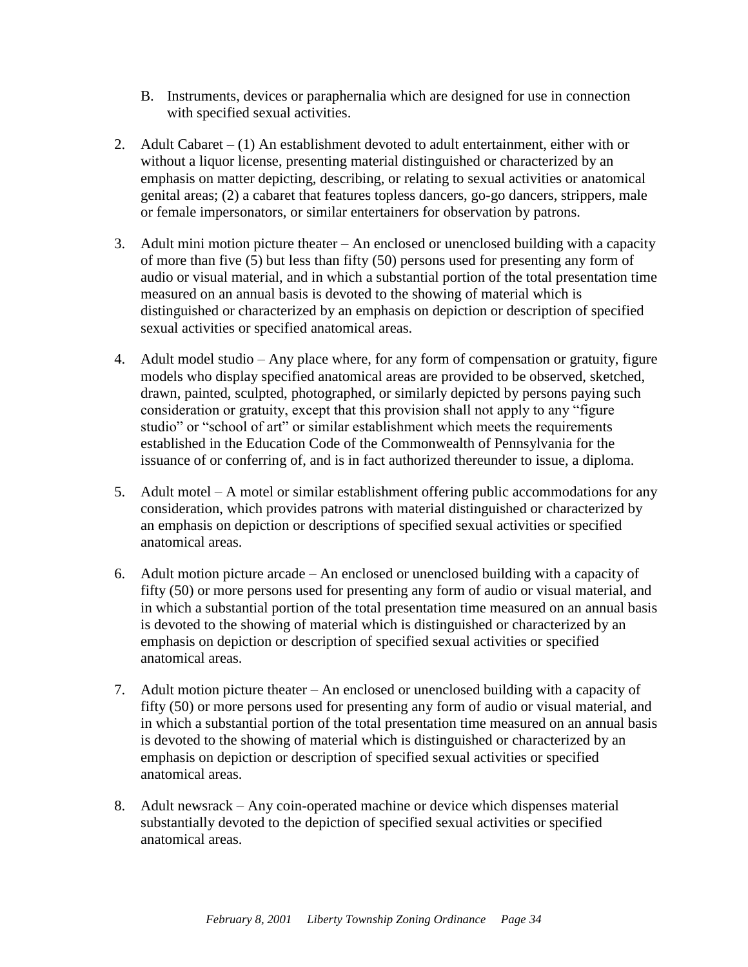- B. Instruments, devices or paraphernalia which are designed for use in connection with specified sexual activities.
- 2. Adult Cabaret (1) An establishment devoted to adult entertainment, either with or without a liquor license, presenting material distinguished or characterized by an emphasis on matter depicting, describing, or relating to sexual activities or anatomical genital areas; (2) a cabaret that features topless dancers, go-go dancers, strippers, male or female impersonators, or similar entertainers for observation by patrons.
- 3. Adult mini motion picture theater An enclosed or unenclosed building with a capacity of more than five (5) but less than fifty (50) persons used for presenting any form of audio or visual material, and in which a substantial portion of the total presentation time measured on an annual basis is devoted to the showing of material which is distinguished or characterized by an emphasis on depiction or description of specified sexual activities or specified anatomical areas.
- 4. Adult model studio Any place where, for any form of compensation or gratuity, figure models who display specified anatomical areas are provided to be observed, sketched, drawn, painted, sculpted, photographed, or similarly depicted by persons paying such consideration or gratuity, except that this provision shall not apply to any "figure studio" or "school of art" or similar establishment which meets the requirements established in the Education Code of the Commonwealth of Pennsylvania for the issuance of or conferring of, and is in fact authorized thereunder to issue, a diploma.
- 5. Adult motel A motel or similar establishment offering public accommodations for any consideration, which provides patrons with material distinguished or characterized by an emphasis on depiction or descriptions of specified sexual activities or specified anatomical areas.
- 6. Adult motion picture arcade An enclosed or unenclosed building with a capacity of fifty (50) or more persons used for presenting any form of audio or visual material, and in which a substantial portion of the total presentation time measured on an annual basis is devoted to the showing of material which is distinguished or characterized by an emphasis on depiction or description of specified sexual activities or specified anatomical areas.
- 7. Adult motion picture theater An enclosed or unenclosed building with a capacity of fifty (50) or more persons used for presenting any form of audio or visual material, and in which a substantial portion of the total presentation time measured on an annual basis is devoted to the showing of material which is distinguished or characterized by an emphasis on depiction or description of specified sexual activities or specified anatomical areas.
- 8. Adult newsrack Any coin-operated machine or device which dispenses material substantially devoted to the depiction of specified sexual activities or specified anatomical areas.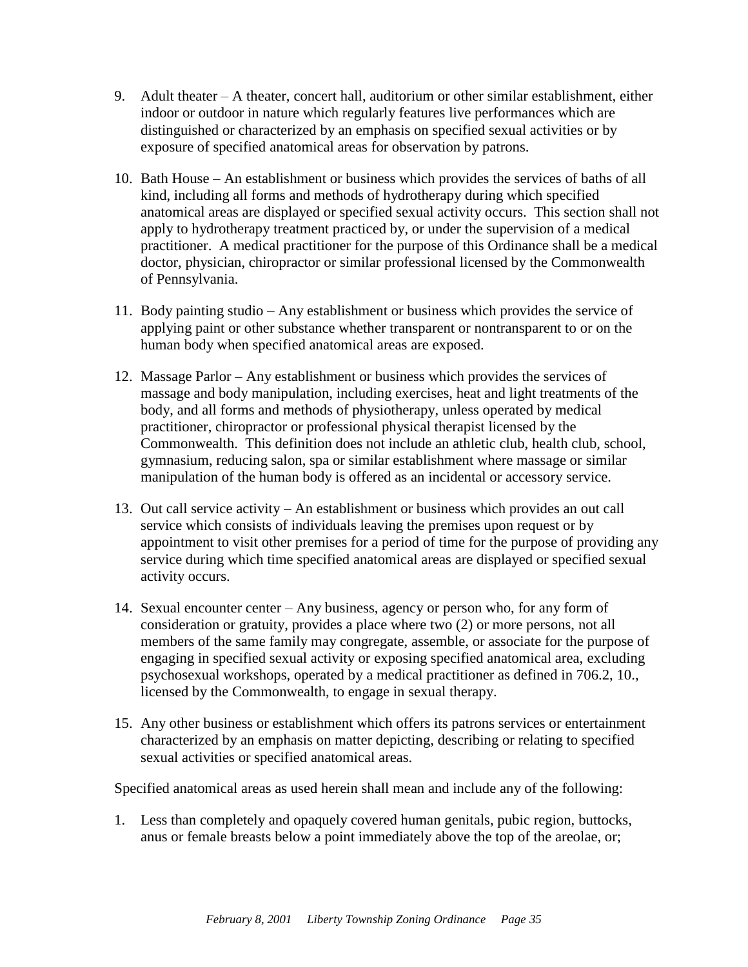- 9. Adult theater A theater, concert hall, auditorium or other similar establishment, either indoor or outdoor in nature which regularly features live performances which are distinguished or characterized by an emphasis on specified sexual activities or by exposure of specified anatomical areas for observation by patrons.
- 10. Bath House An establishment or business which provides the services of baths of all kind, including all forms and methods of hydrotherapy during which specified anatomical areas are displayed or specified sexual activity occurs. This section shall not apply to hydrotherapy treatment practiced by, or under the supervision of a medical practitioner. A medical practitioner for the purpose of this Ordinance shall be a medical doctor, physician, chiropractor or similar professional licensed by the Commonwealth of Pennsylvania.
- 11. Body painting studio Any establishment or business which provides the service of applying paint or other substance whether transparent or nontransparent to or on the human body when specified anatomical areas are exposed.
- 12. Massage Parlor Any establishment or business which provides the services of massage and body manipulation, including exercises, heat and light treatments of the body, and all forms and methods of physiotherapy, unless operated by medical practitioner, chiropractor or professional physical therapist licensed by the Commonwealth. This definition does not include an athletic club, health club, school, gymnasium, reducing salon, spa or similar establishment where massage or similar manipulation of the human body is offered as an incidental or accessory service.
- 13. Out call service activity An establishment or business which provides an out call service which consists of individuals leaving the premises upon request or by appointment to visit other premises for a period of time for the purpose of providing any service during which time specified anatomical areas are displayed or specified sexual activity occurs.
- 14. Sexual encounter center Any business, agency or person who, for any form of consideration or gratuity, provides a place where two (2) or more persons, not all members of the same family may congregate, assemble, or associate for the purpose of engaging in specified sexual activity or exposing specified anatomical area, excluding psychosexual workshops, operated by a medical practitioner as defined in 706.2, 10., licensed by the Commonwealth, to engage in sexual therapy.
- 15. Any other business or establishment which offers its patrons services or entertainment characterized by an emphasis on matter depicting, describing or relating to specified sexual activities or specified anatomical areas.

Specified anatomical areas as used herein shall mean and include any of the following:

1. Less than completely and opaquely covered human genitals, pubic region, buttocks, anus or female breasts below a point immediately above the top of the areolae, or;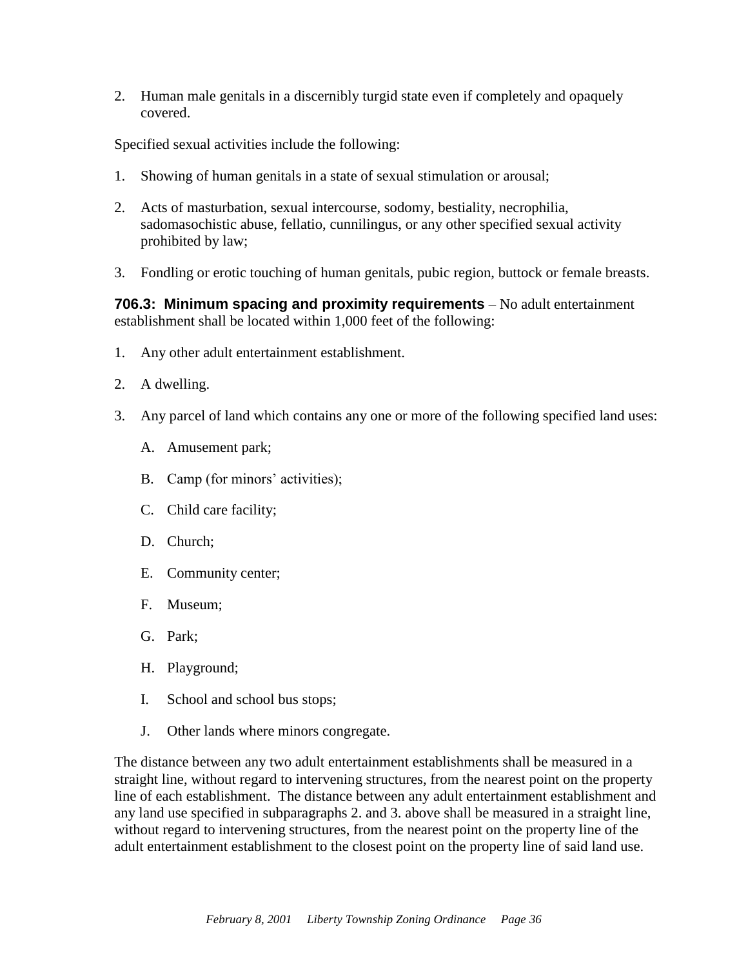2. Human male genitals in a discernibly turgid state even if completely and opaquely covered.

Specified sexual activities include the following:

- 1. Showing of human genitals in a state of sexual stimulation or arousal;
- 2. Acts of masturbation, sexual intercourse, sodomy, bestiality, necrophilia, sadomasochistic abuse, fellatio, cunnilingus, or any other specified sexual activity prohibited by law;
- 3. Fondling or erotic touching of human genitals, pubic region, buttock or female breasts.

**706.3: Minimum spacing and proximity requirements** – No adult entertainment establishment shall be located within 1,000 feet of the following:

- 1. Any other adult entertainment establishment.
- 2. A dwelling.
- 3. Any parcel of land which contains any one or more of the following specified land uses:
	- A. Amusement park;
	- B. Camp (for minors' activities);
	- C. Child care facility;
	- D. Church;
	- E. Community center;
	- F. Museum;
	- G. Park;
	- H. Playground;
	- I. School and school bus stops;
	- J. Other lands where minors congregate.

The distance between any two adult entertainment establishments shall be measured in a straight line, without regard to intervening structures, from the nearest point on the property line of each establishment. The distance between any adult entertainment establishment and any land use specified in subparagraphs 2. and 3. above shall be measured in a straight line, without regard to intervening structures, from the nearest point on the property line of the adult entertainment establishment to the closest point on the property line of said land use.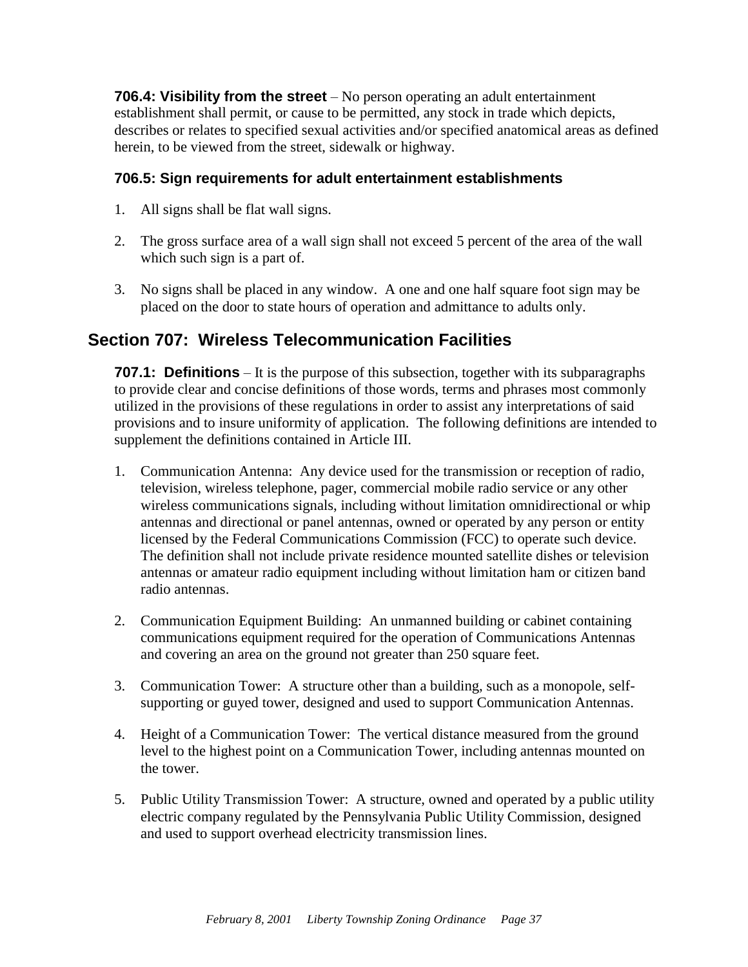**706.4: Visibility from the street** – No person operating an adult entertainment establishment shall permit, or cause to be permitted, any stock in trade which depicts, describes or relates to specified sexual activities and/or specified anatomical areas as defined herein, to be viewed from the street, sidewalk or highway.

#### **706.5: Sign requirements for adult entertainment establishments**

- 1. All signs shall be flat wall signs.
- 2. The gross surface area of a wall sign shall not exceed 5 percent of the area of the wall which such sign is a part of.
- 3. No signs shall be placed in any window. A one and one half square foot sign may be placed on the door to state hours of operation and admittance to adults only.

#### <span id="page-39-0"></span>**Section 707: Wireless Telecommunication Facilities**

**707.1: Definitions** – It is the purpose of this subsection, together with its subparagraphs to provide clear and concise definitions of those words, terms and phrases most commonly utilized in the provisions of these regulations in order to assist any interpretations of said provisions and to insure uniformity of application. The following definitions are intended to supplement the definitions contained in Article III.

- 1. Communication Antenna: Any device used for the transmission or reception of radio, television, wireless telephone, pager, commercial mobile radio service or any other wireless communications signals, including without limitation omnidirectional or whip antennas and directional or panel antennas, owned or operated by any person or entity licensed by the Federal Communications Commission (FCC) to operate such device. The definition shall not include private residence mounted satellite dishes or television antennas or amateur radio equipment including without limitation ham or citizen band radio antennas.
- 2. Communication Equipment Building: An unmanned building or cabinet containing communications equipment required for the operation of Communications Antennas and covering an area on the ground not greater than 250 square feet.
- 3. Communication Tower: A structure other than a building, such as a monopole, selfsupporting or guyed tower, designed and used to support Communication Antennas.
- 4. Height of a Communication Tower: The vertical distance measured from the ground level to the highest point on a Communication Tower, including antennas mounted on the tower.
- 5. Public Utility Transmission Tower: A structure, owned and operated by a public utility electric company regulated by the Pennsylvania Public Utility Commission, designed and used to support overhead electricity transmission lines.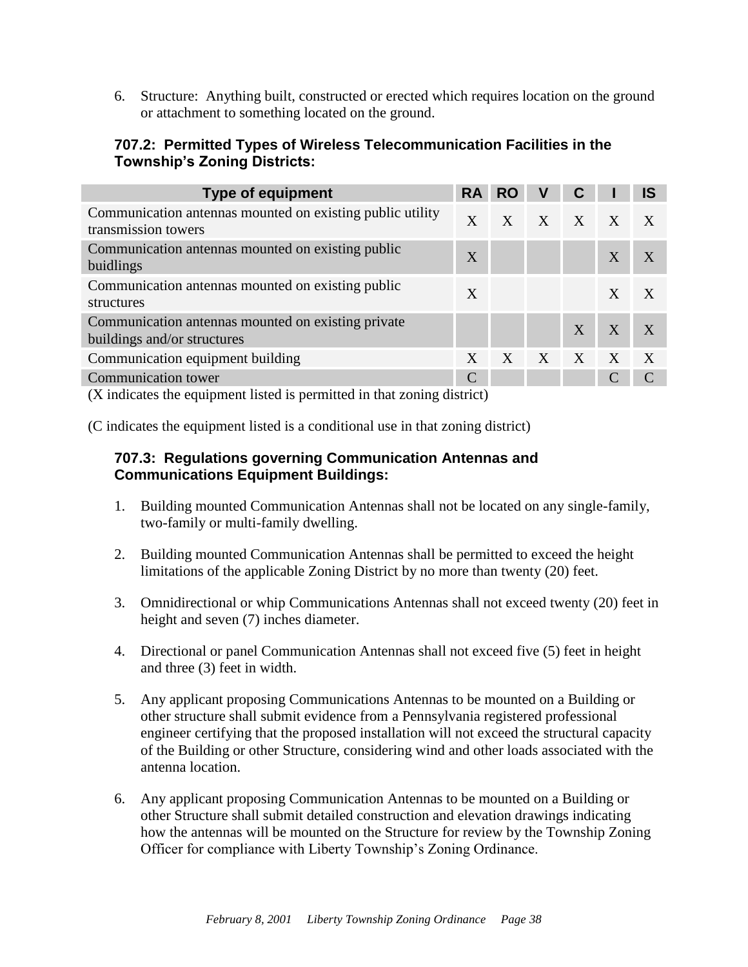6. Structure: Anything built, constructed or erected which requires location on the ground or attachment to something located on the ground.

#### **707.2: Permitted Types of Wireless Telecommunication Facilities in the Township's Zoning Districts:**

| <b>Type of equipment</b>                                                           | <b>RA</b>     | <b>RO</b>        | ٧            | $\mathbf C$ |   | <b>IS</b>        |
|------------------------------------------------------------------------------------|---------------|------------------|--------------|-------------|---|------------------|
| Communication antennas mounted on existing public utility<br>transmission towers   | $\mathbf{X}$  | $\mathbf{X}$     | $\mathbf{X}$ | $X$ $X$     |   | $\mathbf{X}$     |
| Communication antennas mounted on existing public<br>buidlings                     | X             |                  |              |             | X |                  |
| Communication antennas mounted on existing public<br>structures                    | X             |                  |              |             | X | X                |
| Communication antennas mounted on existing private<br>buildings and/or structures  |               |                  |              | X           | X |                  |
| Communication equipment building                                                   | X             | $\boldsymbol{X}$ | X            | X           | X | $\boldsymbol{X}$ |
| <b>Communication</b> tower                                                         | $\mathcal{C}$ |                  |              |             |   |                  |
| $(V_{\text{indicate}})$ the covingent ligted is normitted in that zoning district) |               |                  |              |             |   |                  |

(X indicates the equipment listed is permitted in that zoning district)

(C indicates the equipment listed is a conditional use in that zoning district)

#### **707.3: Regulations governing Communication Antennas and Communications Equipment Buildings:**

- 1. Building mounted Communication Antennas shall not be located on any single-family, two-family or multi-family dwelling.
- 2. Building mounted Communication Antennas shall be permitted to exceed the height limitations of the applicable Zoning District by no more than twenty (20) feet.
- 3. Omnidirectional or whip Communications Antennas shall not exceed twenty (20) feet in height and seven (7) inches diameter.
- 4. Directional or panel Communication Antennas shall not exceed five (5) feet in height and three (3) feet in width.
- 5. Any applicant proposing Communications Antennas to be mounted on a Building or other structure shall submit evidence from a Pennsylvania registered professional engineer certifying that the proposed installation will not exceed the structural capacity of the Building or other Structure, considering wind and other loads associated with the antenna location.
- 6. Any applicant proposing Communication Antennas to be mounted on a Building or other Structure shall submit detailed construction and elevation drawings indicating how the antennas will be mounted on the Structure for review by the Township Zoning Officer for compliance with Liberty Township's Zoning Ordinance.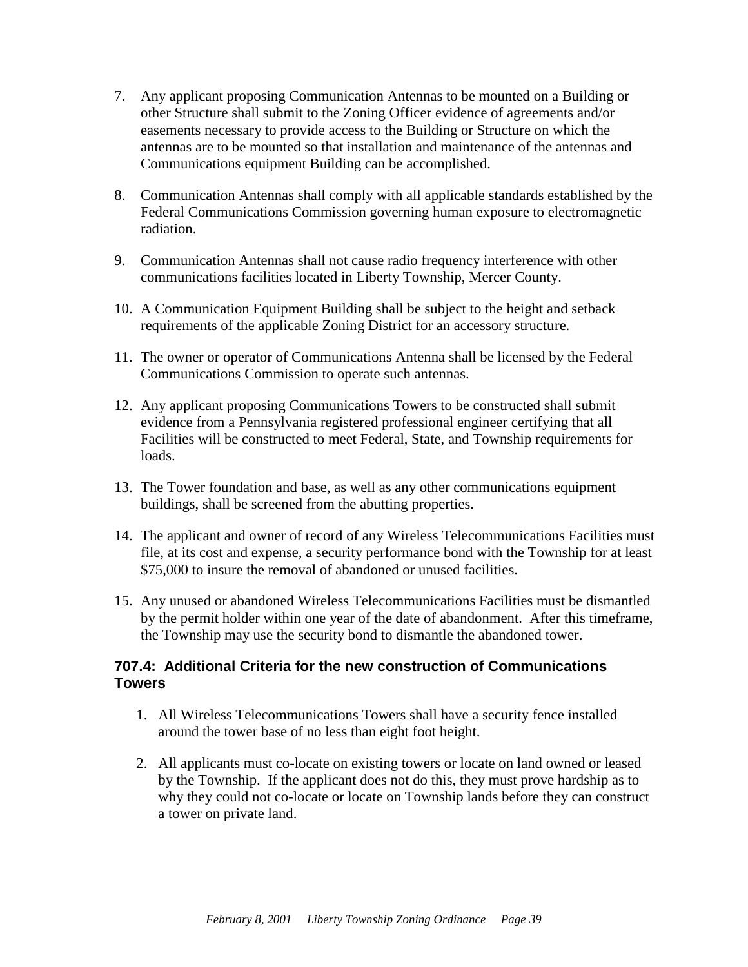- 7. Any applicant proposing Communication Antennas to be mounted on a Building or other Structure shall submit to the Zoning Officer evidence of agreements and/or easements necessary to provide access to the Building or Structure on which the antennas are to be mounted so that installation and maintenance of the antennas and Communications equipment Building can be accomplished.
- 8. Communication Antennas shall comply with all applicable standards established by the Federal Communications Commission governing human exposure to electromagnetic radiation.
- 9. Communication Antennas shall not cause radio frequency interference with other communications facilities located in Liberty Township, Mercer County.
- 10. A Communication Equipment Building shall be subject to the height and setback requirements of the applicable Zoning District for an accessory structure.
- 11. The owner or operator of Communications Antenna shall be licensed by the Federal Communications Commission to operate such antennas.
- 12. Any applicant proposing Communications Towers to be constructed shall submit evidence from a Pennsylvania registered professional engineer certifying that all Facilities will be constructed to meet Federal, State, and Township requirements for loads.
- 13. The Tower foundation and base, as well as any other communications equipment buildings, shall be screened from the abutting properties.
- 14. The applicant and owner of record of any Wireless Telecommunications Facilities must file, at its cost and expense, a security performance bond with the Township for at least \$75,000 to insure the removal of abandoned or unused facilities.
- 15. Any unused or abandoned Wireless Telecommunications Facilities must be dismantled by the permit holder within one year of the date of abandonment. After this timeframe, the Township may use the security bond to dismantle the abandoned tower.

#### **707.4: Additional Criteria for the new construction of Communications Towers**

- 1. All Wireless Telecommunications Towers shall have a security fence installed around the tower base of no less than eight foot height.
- 2. All applicants must co-locate on existing towers or locate on land owned or leased by the Township. If the applicant does not do this, they must prove hardship as to why they could not co-locate or locate on Township lands before they can construct a tower on private land.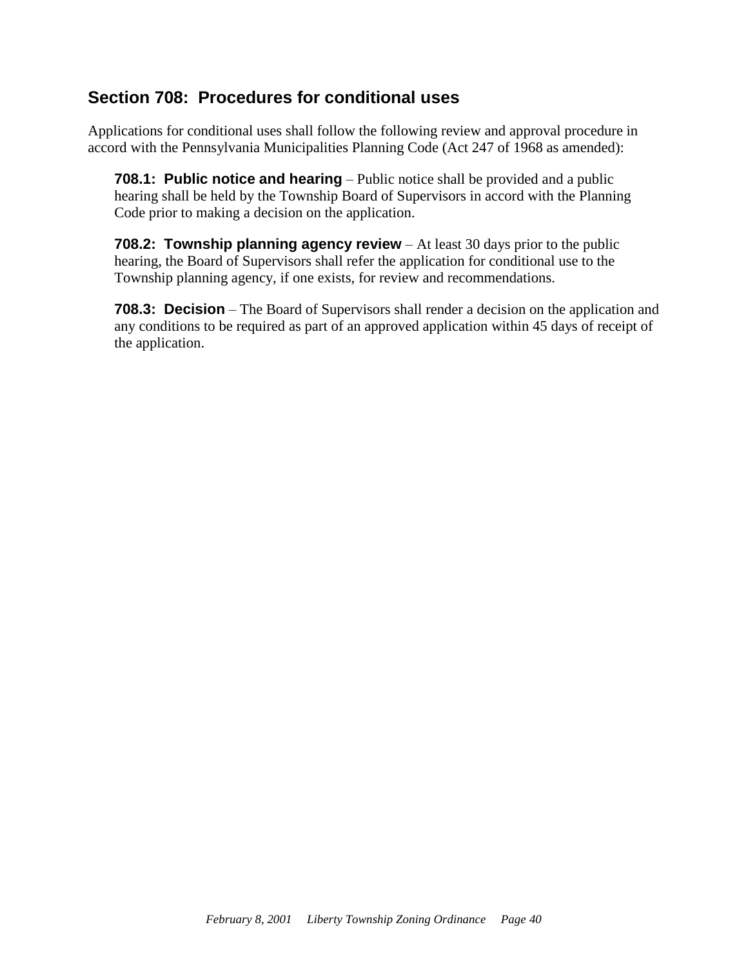### <span id="page-42-0"></span>**Section 708: Procedures for conditional uses**

Applications for conditional uses shall follow the following review and approval procedure in accord with the Pennsylvania Municipalities Planning Code (Act 247 of 1968 as amended):

**708.1: Public notice and hearing** – Public notice shall be provided and a public hearing shall be held by the Township Board of Supervisors in accord with the Planning Code prior to making a decision on the application.

**708.2: Township planning agency review** – At least 30 days prior to the public hearing, the Board of Supervisors shall refer the application for conditional use to the Township planning agency, if one exists, for review and recommendations.

**708.3: Decision** – The Board of Supervisors shall render a decision on the application and any conditions to be required as part of an approved application within 45 days of receipt of the application.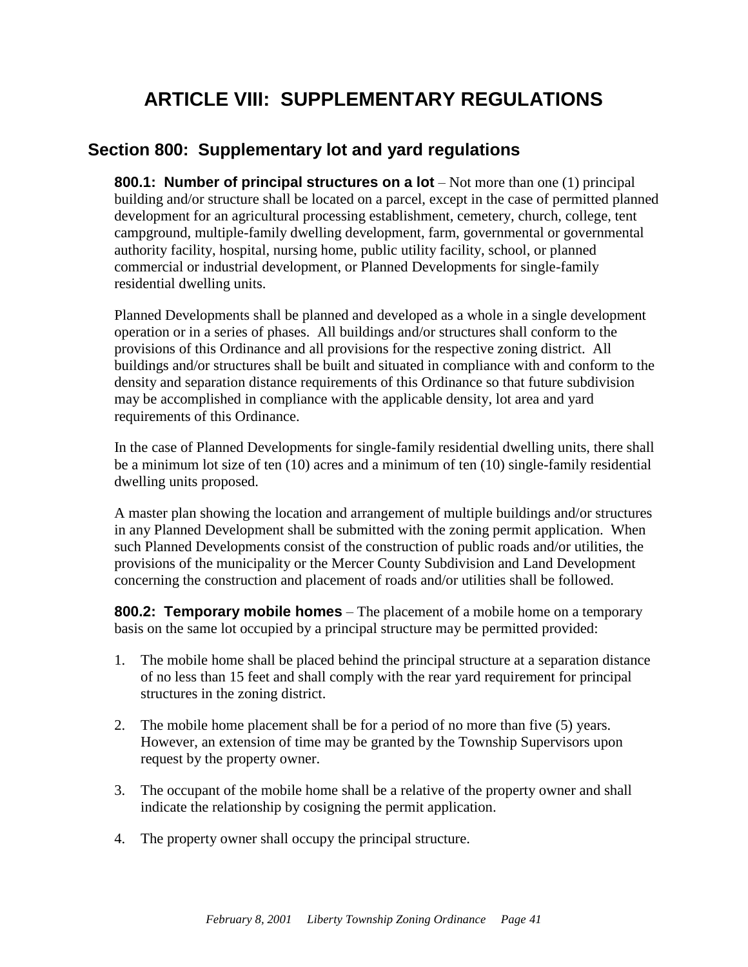# **ARTICLE VIII: SUPPLEMENTARY REGULATIONS**

### <span id="page-43-1"></span><span id="page-43-0"></span>**Section 800: Supplementary lot and yard regulations**

**800.1: Number of principal structures on a lot** – Not more than one (1) principal building and/or structure shall be located on a parcel, except in the case of permitted planned development for an agricultural processing establishment, cemetery, church, college, tent campground, multiple-family dwelling development, farm, governmental or governmental authority facility, hospital, nursing home, public utility facility, school, or planned commercial or industrial development, or Planned Developments for single-family residential dwelling units.

Planned Developments shall be planned and developed as a whole in a single development operation or in a series of phases. All buildings and/or structures shall conform to the provisions of this Ordinance and all provisions for the respective zoning district. All buildings and/or structures shall be built and situated in compliance with and conform to the density and separation distance requirements of this Ordinance so that future subdivision may be accomplished in compliance with the applicable density, lot area and yard requirements of this Ordinance.

In the case of Planned Developments for single-family residential dwelling units, there shall be a minimum lot size of ten (10) acres and a minimum of ten (10) single-family residential dwelling units proposed.

A master plan showing the location and arrangement of multiple buildings and/or structures in any Planned Development shall be submitted with the zoning permit application. When such Planned Developments consist of the construction of public roads and/or utilities, the provisions of the municipality or the Mercer County Subdivision and Land Development concerning the construction and placement of roads and/or utilities shall be followed.

**800.2: Temporary mobile homes** – The placement of a mobile home on a temporary basis on the same lot occupied by a principal structure may be permitted provided:

- 1. The mobile home shall be placed behind the principal structure at a separation distance of no less than 15 feet and shall comply with the rear yard requirement for principal structures in the zoning district.
- 2. The mobile home placement shall be for a period of no more than five (5) years. However, an extension of time may be granted by the Township Supervisors upon request by the property owner.
- 3. The occupant of the mobile home shall be a relative of the property owner and shall indicate the relationship by cosigning the permit application.
- 4. The property owner shall occupy the principal structure.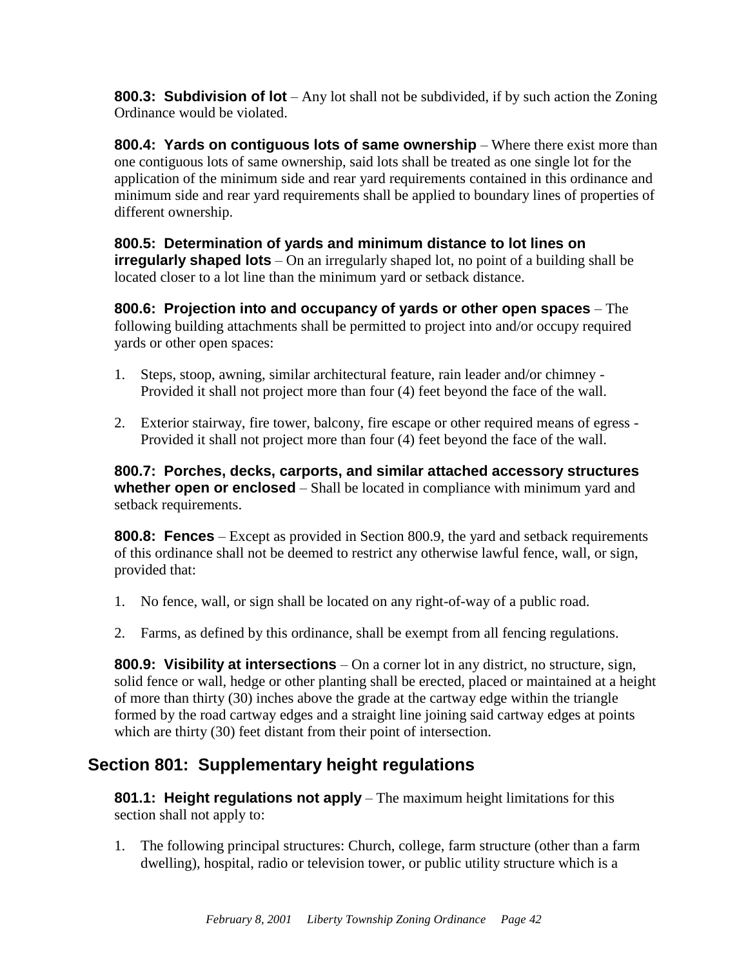**800.3: Subdivision of lot** – Any lot shall not be subdivided, if by such action the Zoning Ordinance would be violated.

**800.4: Yards on contiguous lots of same ownership** – Where there exist more than one contiguous lots of same ownership, said lots shall be treated as one single lot for the application of the minimum side and rear yard requirements contained in this ordinance and minimum side and rear yard requirements shall be applied to boundary lines of properties of different ownership.

**800.5: Determination of yards and minimum distance to lot lines on irregularly shaped lots** – On an irregularly shaped lot, no point of a building shall be located closer to a lot line than the minimum yard or setback distance.

**800.6: Projection into and occupancy of yards or other open spaces** – The following building attachments shall be permitted to project into and/or occupy required yards or other open spaces:

- 1. Steps, stoop, awning, similar architectural feature, rain leader and/or chimney Provided it shall not project more than four (4) feet beyond the face of the wall.
- 2. Exterior stairway, fire tower, balcony, fire escape or other required means of egress Provided it shall not project more than four (4) feet beyond the face of the wall.

**800.7: Porches, decks, carports, and similar attached accessory structures whether open or enclosed** – Shall be located in compliance with minimum yard and setback requirements.

**800.8: Fences** – Except as provided in Section 800.9, the yard and setback requirements of this ordinance shall not be deemed to restrict any otherwise lawful fence, wall, or sign, provided that:

- 1. No fence, wall, or sign shall be located on any right-of-way of a public road.
- 2. Farms, as defined by this ordinance, shall be exempt from all fencing regulations.

**800.9: Visibility at intersections** – On a corner lot in any district, no structure, sign, solid fence or wall, hedge or other planting shall be erected, placed or maintained at a height of more than thirty (30) inches above the grade at the cartway edge within the triangle formed by the road cartway edges and a straight line joining said cartway edges at points which are thirty (30) feet distant from their point of intersection.

## <span id="page-44-0"></span>**Section 801: Supplementary height regulations**

**801.1: Height regulations not apply** – The maximum height limitations for this section shall not apply to:

1. The following principal structures: Church, college, farm structure (other than a farm dwelling), hospital, radio or television tower, or public utility structure which is a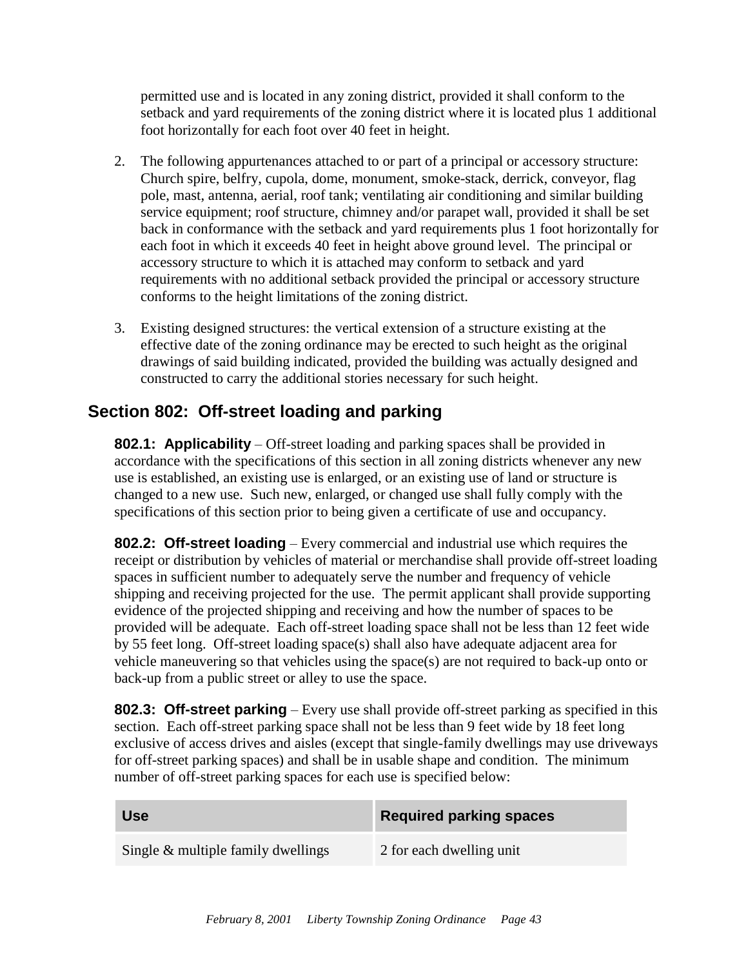permitted use and is located in any zoning district, provided it shall conform to the setback and yard requirements of the zoning district where it is located plus 1 additional foot horizontally for each foot over 40 feet in height.

- 2. The following appurtenances attached to or part of a principal or accessory structure: Church spire, belfry, cupola, dome, monument, smoke-stack, derrick, conveyor, flag pole, mast, antenna, aerial, roof tank; ventilating air conditioning and similar building service equipment; roof structure, chimney and/or parapet wall, provided it shall be set back in conformance with the setback and yard requirements plus 1 foot horizontally for each foot in which it exceeds 40 feet in height above ground level. The principal or accessory structure to which it is attached may conform to setback and yard requirements with no additional setback provided the principal or accessory structure conforms to the height limitations of the zoning district.
- 3. Existing designed structures: the vertical extension of a structure existing at the effective date of the zoning ordinance may be erected to such height as the original drawings of said building indicated, provided the building was actually designed and constructed to carry the additional stories necessary for such height.

## <span id="page-45-0"></span>**Section 802: Off-street loading and parking**

**802.1: Applicability** – Off-street loading and parking spaces shall be provided in accordance with the specifications of this section in all zoning districts whenever any new use is established, an existing use is enlarged, or an existing use of land or structure is changed to a new use. Such new, enlarged, or changed use shall fully comply with the specifications of this section prior to being given a certificate of use and occupancy.

**802.2: Off-street loading** – Every commercial and industrial use which requires the receipt or distribution by vehicles of material or merchandise shall provide off-street loading spaces in sufficient number to adequately serve the number and frequency of vehicle shipping and receiving projected for the use. The permit applicant shall provide supporting evidence of the projected shipping and receiving and how the number of spaces to be provided will be adequate. Each off-street loading space shall not be less than 12 feet wide by 55 feet long. Off-street loading space(s) shall also have adequate adjacent area for vehicle maneuvering so that vehicles using the space(s) are not required to back-up onto or back-up from a public street or alley to use the space.

**802.3: Off-street parking** – Every use shall provide off-street parking as specified in this section. Each off-street parking space shall not be less than 9 feet wide by 18 feet long exclusive of access drives and aisles (except that single-family dwellings may use driveways for off-street parking spaces) and shall be in usable shape and condition. The minimum number of off-street parking spaces for each use is specified below:

| <b>Use</b>                            | <b>Required parking spaces</b> |
|---------------------------------------|--------------------------------|
| Single $\&$ multiple family dwellings | 2 for each dwelling unit       |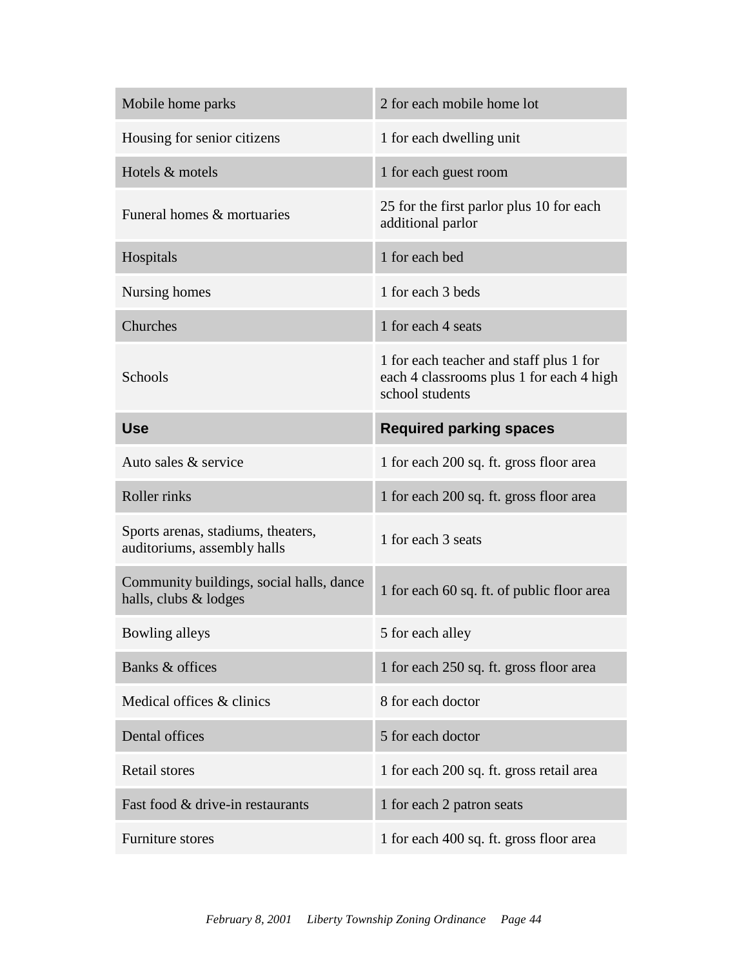| Mobile home parks                                                 | 2 for each mobile home lot                                                                             |
|-------------------------------------------------------------------|--------------------------------------------------------------------------------------------------------|
| Housing for senior citizens                                       | 1 for each dwelling unit                                                                               |
| Hotels & motels                                                   | 1 for each guest room                                                                                  |
| Funeral homes & mortuaries                                        | 25 for the first parlor plus 10 for each<br>additional parlor                                          |
| Hospitals                                                         | 1 for each bed                                                                                         |
| Nursing homes                                                     | 1 for each 3 beds                                                                                      |
| Churches                                                          | 1 for each 4 seats                                                                                     |
| Schools                                                           | 1 for each teacher and staff plus 1 for<br>each 4 classrooms plus 1 for each 4 high<br>school students |
| <b>Use</b>                                                        | <b>Required parking spaces</b>                                                                         |
| Auto sales & service                                              | 1 for each 200 sq. ft. gross floor area                                                                |
|                                                                   |                                                                                                        |
| Roller rinks                                                      | 1 for each 200 sq. ft. gross floor area                                                                |
| Sports arenas, stadiums, theaters,<br>auditoriums, assembly halls | 1 for each 3 seats                                                                                     |
| Community buildings, social halls, dance<br>halls, clubs & lodges | 1 for each 60 sq. ft. of public floor area                                                             |
| Bowling alleys                                                    | 5 for each alley                                                                                       |
| Banks & offices                                                   | 1 for each 250 sq. ft. gross floor area                                                                |
| Medical offices & clinics                                         | 8 for each doctor                                                                                      |
| Dental offices                                                    | 5 for each doctor                                                                                      |
| <b>Retail stores</b>                                              | 1 for each 200 sq. ft. gross retail area                                                               |
| Fast food & drive-in restaurants                                  | 1 for each 2 patron seats                                                                              |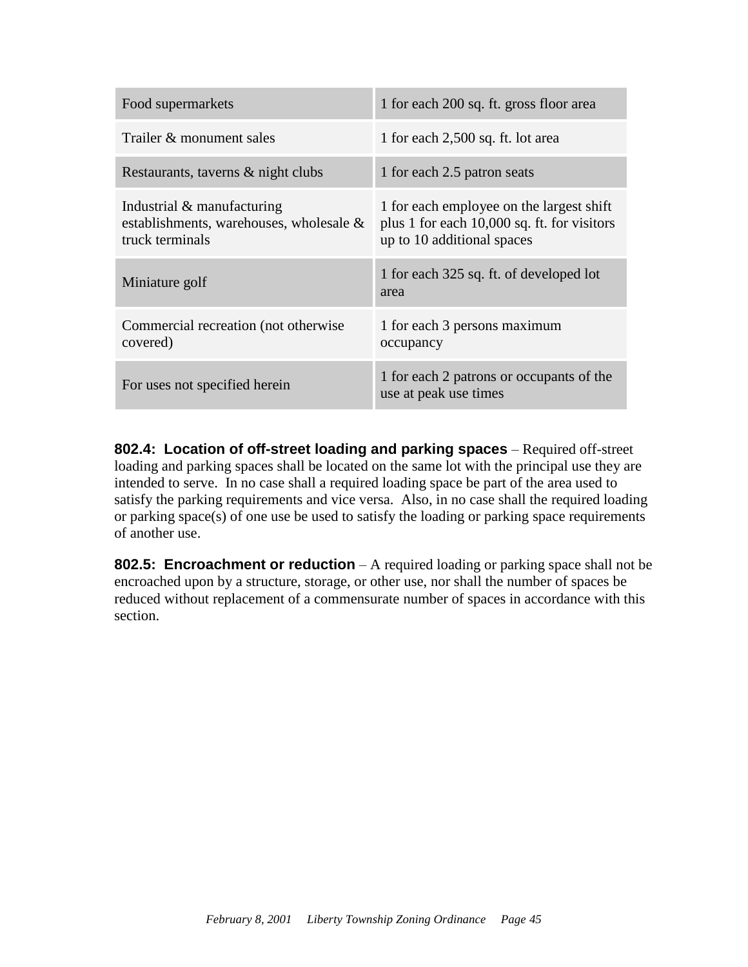| Food supermarkets                                                                           | 1 for each 200 sq. ft. gross floor area                                                                               |
|---------------------------------------------------------------------------------------------|-----------------------------------------------------------------------------------------------------------------------|
| Trailer & monument sales                                                                    | 1 for each 2,500 sq. ft. lot area                                                                                     |
| Restaurants, taverns & night clubs                                                          | 1 for each 2.5 patron seats                                                                                           |
| Industrial $\&$ manufacturing<br>establishments, warehouses, wholesale &<br>truck terminals | 1 for each employee on the largest shift<br>plus 1 for each 10,000 sq. ft. for visitors<br>up to 10 additional spaces |
| Miniature golf                                                                              | 1 for each 325 sq. ft. of developed lot<br>area                                                                       |
| Commercial recreation (not otherwise<br>covered)                                            | 1 for each 3 persons maximum<br>occupancy                                                                             |
| For uses not specified herein                                                               | 1 for each 2 patrons or occupants of the<br>use at peak use times                                                     |

**802.4: Location of off-street loading and parking spaces** – Required off-street loading and parking spaces shall be located on the same lot with the principal use they are intended to serve. In no case shall a required loading space be part of the area used to satisfy the parking requirements and vice versa. Also, in no case shall the required loading or parking space(s) of one use be used to satisfy the loading or parking space requirements of another use.

**802.5: Encroachment or reduction** – A required loading or parking space shall not be encroached upon by a structure, storage, or other use, nor shall the number of spaces be reduced without replacement of a commensurate number of spaces in accordance with this section.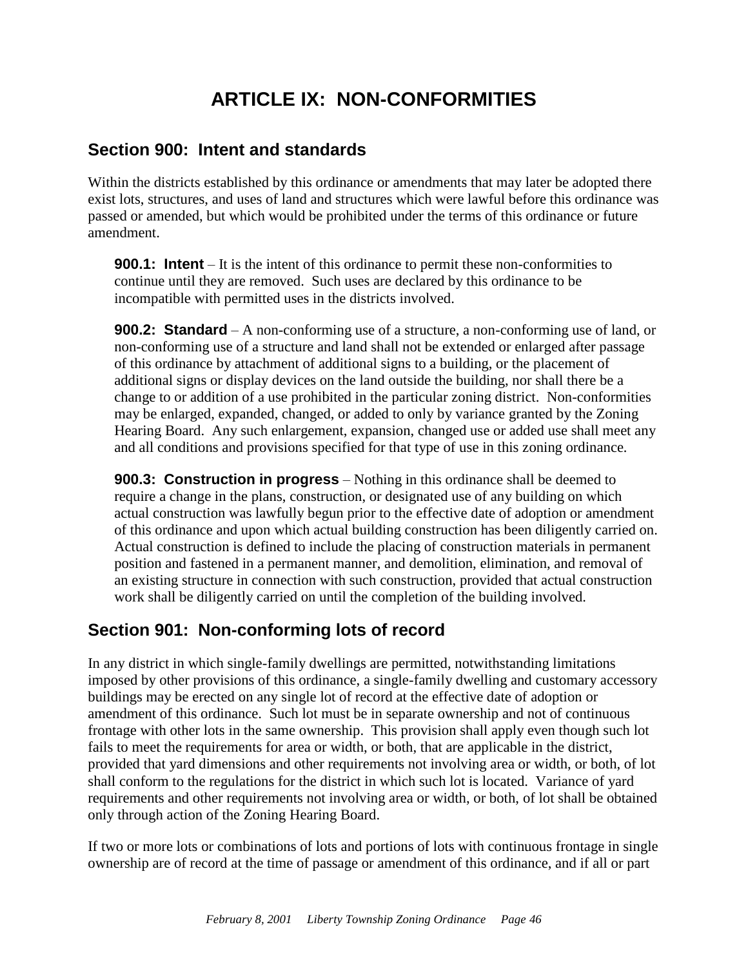# **ARTICLE IX: NON-CONFORMITIES**

## <span id="page-48-1"></span><span id="page-48-0"></span>**Section 900: Intent and standards**

Within the districts established by this ordinance or amendments that may later be adopted there exist lots, structures, and uses of land and structures which were lawful before this ordinance was passed or amended, but which would be prohibited under the terms of this ordinance or future amendment.

**900.1: Intent** – It is the intent of this ordinance to permit these non-conformities to continue until they are removed. Such uses are declared by this ordinance to be incompatible with permitted uses in the districts involved.

**900.2: Standard** – A non-conforming use of a structure, a non-conforming use of land, or non-conforming use of a structure and land shall not be extended or enlarged after passage of this ordinance by attachment of additional signs to a building, or the placement of additional signs or display devices on the land outside the building, nor shall there be a change to or addition of a use prohibited in the particular zoning district. Non-conformities may be enlarged, expanded, changed, or added to only by variance granted by the Zoning Hearing Board. Any such enlargement, expansion, changed use or added use shall meet any and all conditions and provisions specified for that type of use in this zoning ordinance*.*

**900.3: Construction in progress** – Nothing in this ordinance shall be deemed to require a change in the plans, construction, or designated use of any building on which actual construction was lawfully begun prior to the effective date of adoption or amendment of this ordinance and upon which actual building construction has been diligently carried on. Actual construction is defined to include the placing of construction materials in permanent position and fastened in a permanent manner, and demolition, elimination, and removal of an existing structure in connection with such construction, provided that actual construction work shall be diligently carried on until the completion of the building involved.

## <span id="page-48-2"></span>**Section 901: Non-conforming lots of record**

In any district in which single-family dwellings are permitted, notwithstanding limitations imposed by other provisions of this ordinance, a single-family dwelling and customary accessory buildings may be erected on any single lot of record at the effective date of adoption or amendment of this ordinance. Such lot must be in separate ownership and not of continuous frontage with other lots in the same ownership. This provision shall apply even though such lot fails to meet the requirements for area or width, or both, that are applicable in the district, provided that yard dimensions and other requirements not involving area or width, or both, of lot shall conform to the regulations for the district in which such lot is located. Variance of yard requirements and other requirements not involving area or width, or both, of lot shall be obtained only through action of the Zoning Hearing Board.

If two or more lots or combinations of lots and portions of lots with continuous frontage in single ownership are of record at the time of passage or amendment of this ordinance, and if all or part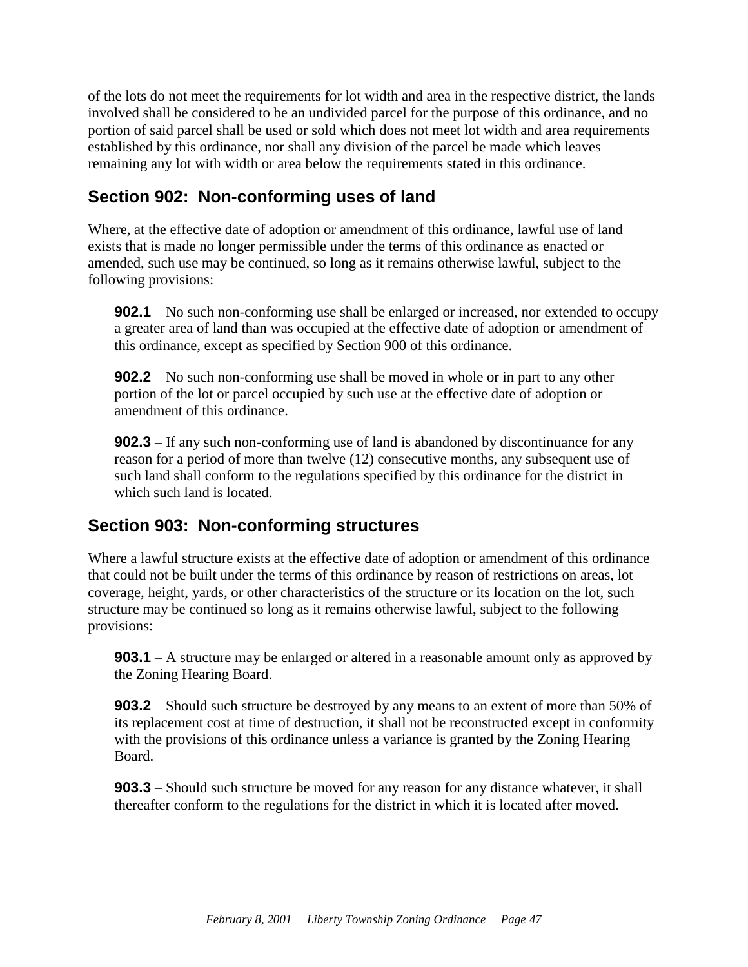of the lots do not meet the requirements for lot width and area in the respective district, the lands involved shall be considered to be an undivided parcel for the purpose of this ordinance, and no portion of said parcel shall be used or sold which does not meet lot width and area requirements established by this ordinance, nor shall any division of the parcel be made which leaves remaining any lot with width or area below the requirements stated in this ordinance.

## <span id="page-49-0"></span>**Section 902: Non-conforming uses of land**

Where, at the effective date of adoption or amendment of this ordinance, lawful use of land exists that is made no longer permissible under the terms of this ordinance as enacted or amended, such use may be continued, so long as it remains otherwise lawful, subject to the following provisions:

**902.1** – No such non-conforming use shall be enlarged or increased, nor extended to occupy a greater area of land than was occupied at the effective date of adoption or amendment of this ordinance, except as specified by Section 900 of this ordinance.

**902.2** – No such non-conforming use shall be moved in whole or in part to any other portion of the lot or parcel occupied by such use at the effective date of adoption or amendment of this ordinance.

**902.3** – If any such non-conforming use of land is abandoned by discontinuance for any reason for a period of more than twelve (12) consecutive months, any subsequent use of such land shall conform to the regulations specified by this ordinance for the district in which such land is located.

## <span id="page-49-1"></span>**Section 903: Non-conforming structures**

Where a lawful structure exists at the effective date of adoption or amendment of this ordinance that could not be built under the terms of this ordinance by reason of restrictions on areas, lot coverage, height, yards, or other characteristics of the structure or its location on the lot, such structure may be continued so long as it remains otherwise lawful, subject to the following provisions:

**903.1** – A structure may be enlarged or altered in a reasonable amount only as approved by the Zoning Hearing Board.

**903.2** – Should such structure be destroyed by any means to an extent of more than 50% of its replacement cost at time of destruction, it shall not be reconstructed except in conformity with the provisions of this ordinance unless a variance is granted by the Zoning Hearing Board.

**903.3** – Should such structure be moved for any reason for any distance whatever, it shall thereafter conform to the regulations for the district in which it is located after moved.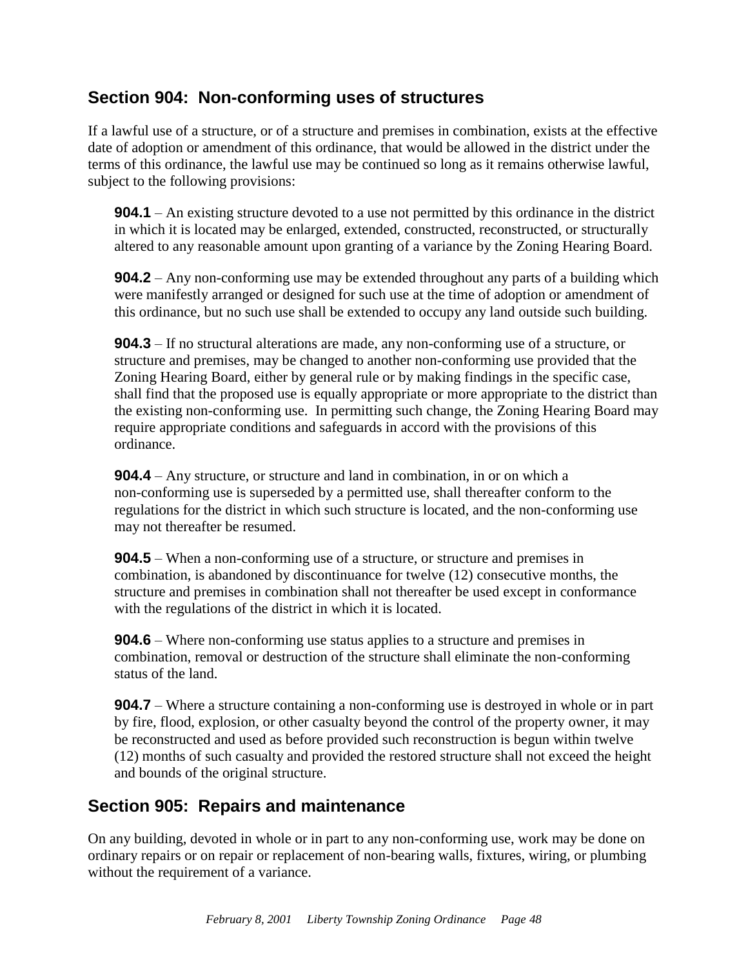## <span id="page-50-0"></span>**Section 904: Non-conforming uses of structures**

If a lawful use of a structure, or of a structure and premises in combination, exists at the effective date of adoption or amendment of this ordinance, that would be allowed in the district under the terms of this ordinance, the lawful use may be continued so long as it remains otherwise lawful, subject to the following provisions:

**904.1** – An existing structure devoted to a use not permitted by this ordinance in the district in which it is located may be enlarged, extended, constructed, reconstructed, or structurally altered to any reasonable amount upon granting of a variance by the Zoning Hearing Board.

**904.2** – Any non-conforming use may be extended throughout any parts of a building which were manifestly arranged or designed for such use at the time of adoption or amendment of this ordinance, but no such use shall be extended to occupy any land outside such building.

**904.3** – If no structural alterations are made, any non-conforming use of a structure, or structure and premises, may be changed to another non-conforming use provided that the Zoning Hearing Board, either by general rule or by making findings in the specific case, shall find that the proposed use is equally appropriate or more appropriate to the district than the existing non-conforming use. In permitting such change, the Zoning Hearing Board may require appropriate conditions and safeguards in accord with the provisions of this ordinance.

**904.4** – Any structure, or structure and land in combination, in or on which a non-conforming use is superseded by a permitted use, shall thereafter conform to the regulations for the district in which such structure is located, and the non-conforming use may not thereafter be resumed.

**904.5** – When a non-conforming use of a structure, or structure and premises in combination, is abandoned by discontinuance for twelve (12) consecutive months, the structure and premises in combination shall not thereafter be used except in conformance with the regulations of the district in which it is located.

**904.6** – Where non-conforming use status applies to a structure and premises in combination, removal or destruction of the structure shall eliminate the non-conforming status of the land.

**904.7** – Where a structure containing a non-conforming use is destroyed in whole or in part by fire, flood, explosion, or other casualty beyond the control of the property owner, it may be reconstructed and used as before provided such reconstruction is begun within twelve (12) months of such casualty and provided the restored structure shall not exceed the height and bounds of the original structure.

## <span id="page-50-1"></span>**Section 905: Repairs and maintenance**

On any building, devoted in whole or in part to any non-conforming use, work may be done on ordinary repairs or on repair or replacement of non-bearing walls, fixtures, wiring, or plumbing without the requirement of a variance.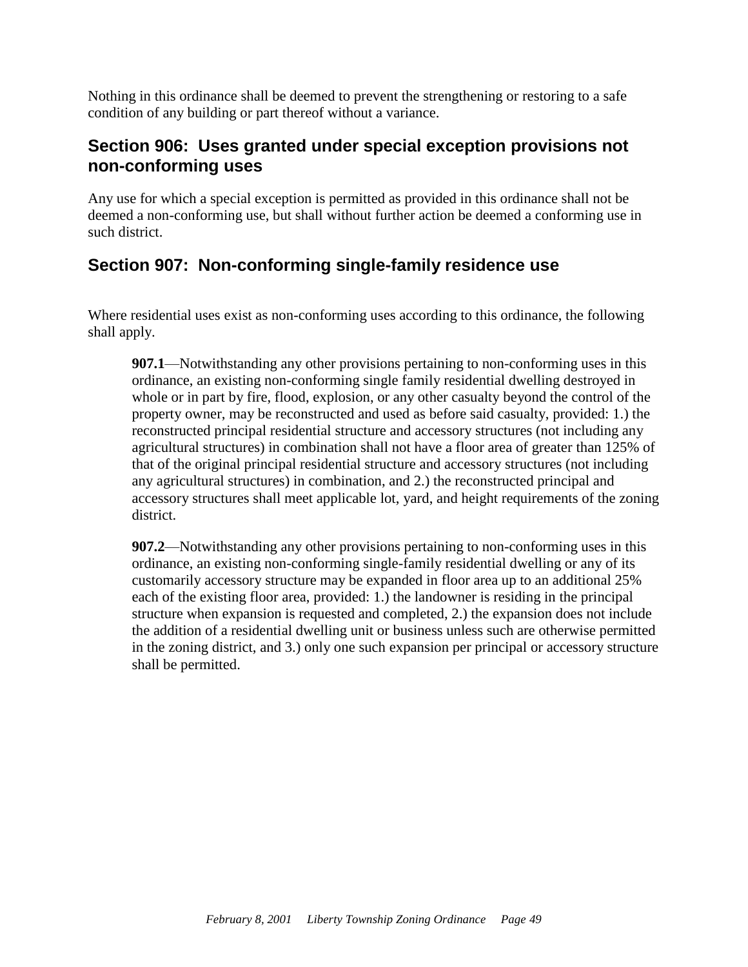Nothing in this ordinance shall be deemed to prevent the strengthening or restoring to a safe condition of any building or part thereof without a variance.

#### <span id="page-51-0"></span>**Section 906: Uses granted under special exception provisions not non-conforming uses**

Any use for which a special exception is permitted as provided in this ordinance shall not be deemed a non-conforming use, but shall without further action be deemed a conforming use in such district.

## **Section 907: Non-conforming single-family residence use**

Where residential uses exist as non-conforming uses according to this ordinance, the following shall apply.

**907.1**—Notwithstanding any other provisions pertaining to non-conforming uses in this ordinance, an existing non-conforming single family residential dwelling destroyed in whole or in part by fire, flood, explosion, or any other casualty beyond the control of the property owner, may be reconstructed and used as before said casualty, provided: 1.) the reconstructed principal residential structure and accessory structures (not including any agricultural structures) in combination shall not have a floor area of greater than 125% of that of the original principal residential structure and accessory structures (not including any agricultural structures) in combination, and 2.) the reconstructed principal and accessory structures shall meet applicable lot, yard, and height requirements of the zoning district.

**907.2**—Notwithstanding any other provisions pertaining to non-conforming uses in this ordinance, an existing non-conforming single-family residential dwelling or any of its customarily accessory structure may be expanded in floor area up to an additional 25% each of the existing floor area, provided: 1.) the landowner is residing in the principal structure when expansion is requested and completed, 2.) the expansion does not include the addition of a residential dwelling unit or business unless such are otherwise permitted in the zoning district, and 3.) only one such expansion per principal or accessory structure shall be permitted.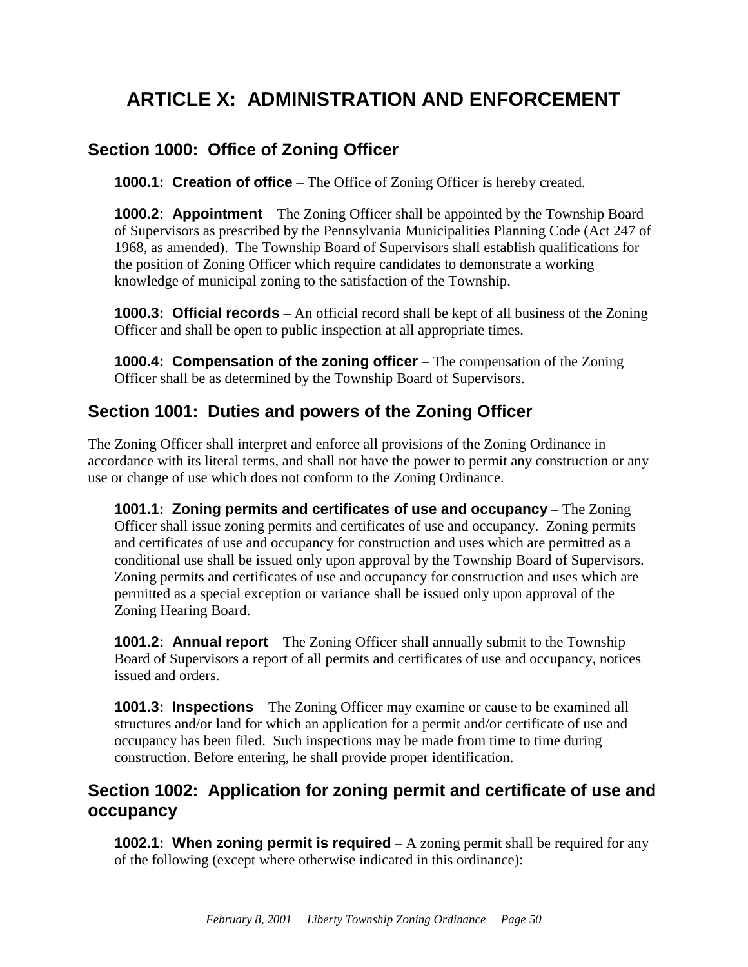# <span id="page-52-0"></span>**ARTICLE X: ADMINISTRATION AND ENFORCEMENT**

## <span id="page-52-1"></span>**Section 1000: Office of Zoning Officer**

**1000.1: Creation of office** – The Office of Zoning Officer is hereby created.

**1000.2: Appointment** – The Zoning Officer shall be appointed by the Township Board of Supervisors as prescribed by the Pennsylvania Municipalities Planning Code (Act 247 of 1968, as amended). The Township Board of Supervisors shall establish qualifications for the position of Zoning Officer which require candidates to demonstrate a working knowledge of municipal zoning to the satisfaction of the Township.

**1000.3: Official records** – An official record shall be kept of all business of the Zoning Officer and shall be open to public inspection at all appropriate times.

**1000.4: Compensation of the zoning officer** – The compensation of the Zoning Officer shall be as determined by the Township Board of Supervisors.

#### <span id="page-52-2"></span>**Section 1001: Duties and powers of the Zoning Officer**

The Zoning Officer shall interpret and enforce all provisions of the Zoning Ordinance in accordance with its literal terms, and shall not have the power to permit any construction or any use or change of use which does not conform to the Zoning Ordinance.

**1001.1: Zoning permits and certificates of use and occupancy** – The Zoning Officer shall issue zoning permits and certificates of use and occupancy. Zoning permits and certificates of use and occupancy for construction and uses which are permitted as a conditional use shall be issued only upon approval by the Township Board of Supervisors. Zoning permits and certificates of use and occupancy for construction and uses which are permitted as a special exception or variance shall be issued only upon approval of the Zoning Hearing Board.

**1001.2: Annual report** – The Zoning Officer shall annually submit to the Township Board of Supervisors a report of all permits and certificates of use and occupancy, notices issued and orders.

**1001.3: Inspections** – The Zoning Officer may examine or cause to be examined all structures and/or land for which an application for a permit and/or certificate of use and occupancy has been filed. Such inspections may be made from time to time during construction. Before entering, he shall provide proper identification.

## <span id="page-52-3"></span>**Section 1002: Application for zoning permit and certificate of use and occupancy**

**1002.1: When zoning permit is required** – A zoning permit shall be required for any of the following (except where otherwise indicated in this ordinance):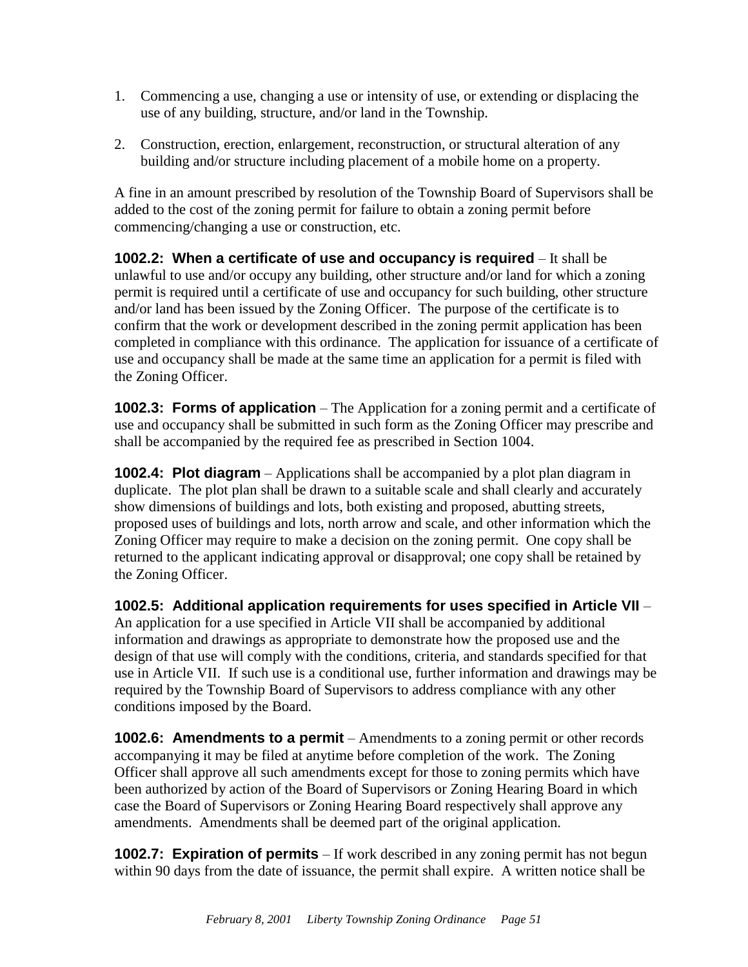- 1. Commencing a use, changing a use or intensity of use, or extending or displacing the use of any building, structure, and/or land in the Township.
- 2. Construction, erection, enlargement, reconstruction, or structural alteration of any building and/or structure including placement of a mobile home on a property.

A fine in an amount prescribed by resolution of the Township Board of Supervisors shall be added to the cost of the zoning permit for failure to obtain a zoning permit before commencing/changing a use or construction, etc.

**1002.2: When a certificate of use and occupancy is required** – It shall be unlawful to use and/or occupy any building, other structure and/or land for which a zoning permit is required until a certificate of use and occupancy for such building, other structure and/or land has been issued by the Zoning Officer. The purpose of the certificate is to confirm that the work or development described in the zoning permit application has been completed in compliance with this ordinance. The application for issuance of a certificate of use and occupancy shall be made at the same time an application for a permit is filed with the Zoning Officer.

**1002.3: Forms of application** – The Application for a zoning permit and a certificate of use and occupancy shall be submitted in such form as the Zoning Officer may prescribe and shall be accompanied by the required fee as prescribed in Section 1004.

**1002.4: Plot diagram** – Applications shall be accompanied by a plot plan diagram in duplicate. The plot plan shall be drawn to a suitable scale and shall clearly and accurately show dimensions of buildings and lots, both existing and proposed, abutting streets, proposed uses of buildings and lots, north arrow and scale, and other information which the Zoning Officer may require to make a decision on the zoning permit. One copy shall be returned to the applicant indicating approval or disapproval; one copy shall be retained by the Zoning Officer.

**1002.5: Additional application requirements for uses specified in Article VII** – An application for a use specified in Article VII shall be accompanied by additional information and drawings as appropriate to demonstrate how the proposed use and the design of that use will comply with the conditions, criteria, and standards specified for that use in Article VII. If such use is a conditional use, further information and drawings may be required by the Township Board of Supervisors to address compliance with any other conditions imposed by the Board.

**1002.6: Amendments to a permit** – Amendments to a zoning permit or other records accompanying it may be filed at anytime before completion of the work. The Zoning Officer shall approve all such amendments except for those to zoning permits which have been authorized by action of the Board of Supervisors or Zoning Hearing Board in which case the Board of Supervisors or Zoning Hearing Board respectively shall approve any amendments. Amendments shall be deemed part of the original application.

**1002.7: Expiration of permits** – If work described in any zoning permit has not begun within 90 days from the date of issuance, the permit shall expire. A written notice shall be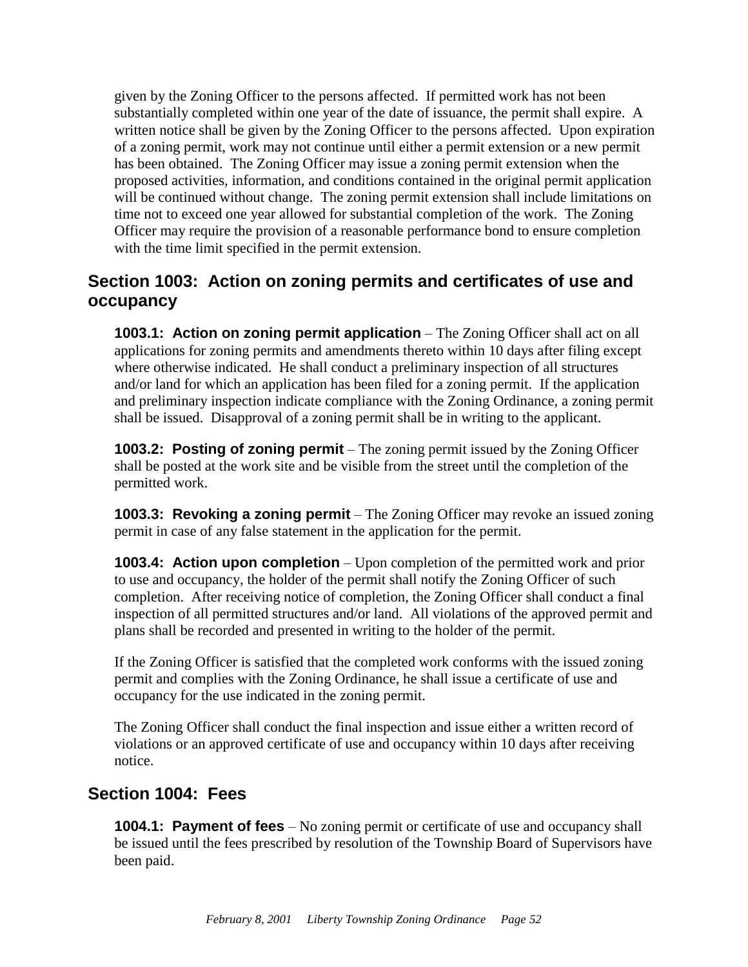given by the Zoning Officer to the persons affected. If permitted work has not been substantially completed within one year of the date of issuance, the permit shall expire. A written notice shall be given by the Zoning Officer to the persons affected. Upon expiration of a zoning permit, work may not continue until either a permit extension or a new permit has been obtained. The Zoning Officer may issue a zoning permit extension when the proposed activities, information, and conditions contained in the original permit application will be continued without change. The zoning permit extension shall include limitations on time not to exceed one year allowed for substantial completion of the work. The Zoning Officer may require the provision of a reasonable performance bond to ensure completion with the time limit specified in the permit extension.

## <span id="page-54-0"></span>**Section 1003: Action on zoning permits and certificates of use and occupancy**

**1003.1: Action on zoning permit application** – The Zoning Officer shall act on all applications for zoning permits and amendments thereto within 10 days after filing except where otherwise indicated. He shall conduct a preliminary inspection of all structures and/or land for which an application has been filed for a zoning permit. If the application and preliminary inspection indicate compliance with the Zoning Ordinance, a zoning permit shall be issued. Disapproval of a zoning permit shall be in writing to the applicant.

**1003.2: Posting of zoning permit** – The zoning permit issued by the Zoning Officer shall be posted at the work site and be visible from the street until the completion of the permitted work.

**1003.3: Revoking a zoning permit** – The Zoning Officer may revoke an issued zoning permit in case of any false statement in the application for the permit.

**1003.4: Action upon completion** – Upon completion of the permitted work and prior to use and occupancy, the holder of the permit shall notify the Zoning Officer of such completion. After receiving notice of completion, the Zoning Officer shall conduct a final inspection of all permitted structures and/or land. All violations of the approved permit and plans shall be recorded and presented in writing to the holder of the permit.

If the Zoning Officer is satisfied that the completed work conforms with the issued zoning permit and complies with the Zoning Ordinance, he shall issue a certificate of use and occupancy for the use indicated in the zoning permit.

The Zoning Officer shall conduct the final inspection and issue either a written record of violations or an approved certificate of use and occupancy within 10 days after receiving notice.

#### <span id="page-54-1"></span>**Section 1004: Fees**

**1004.1: Payment of fees** – No zoning permit or certificate of use and occupancy shall be issued until the fees prescribed by resolution of the Township Board of Supervisors have been paid.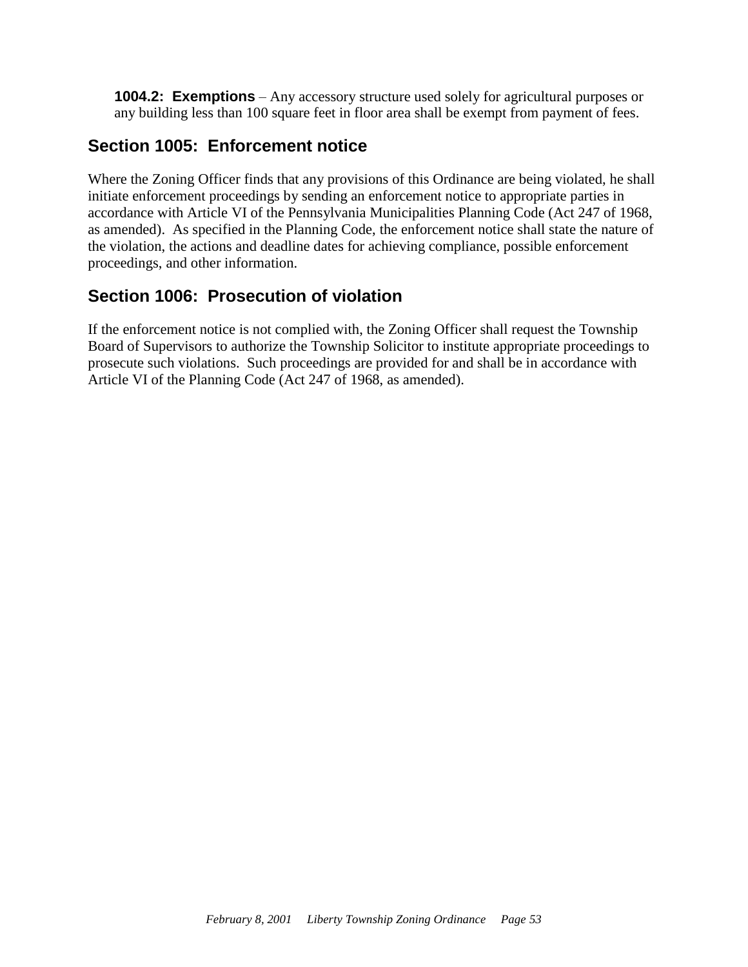**1004.2: Exemptions** – Any accessory structure used solely for agricultural purposes or any building less than 100 square feet in floor area shall be exempt from payment of fees.

### <span id="page-55-0"></span>**Section 1005: Enforcement notice**

Where the Zoning Officer finds that any provisions of this Ordinance are being violated, he shall initiate enforcement proceedings by sending an enforcement notice to appropriate parties in accordance with Article VI of the Pennsylvania Municipalities Planning Code (Act 247 of 1968, as amended). As specified in the Planning Code, the enforcement notice shall state the nature of the violation, the actions and deadline dates for achieving compliance, possible enforcement proceedings, and other information.

## <span id="page-55-1"></span>**Section 1006: Prosecution of violation**

If the enforcement notice is not complied with, the Zoning Officer shall request the Township Board of Supervisors to authorize the Township Solicitor to institute appropriate proceedings to prosecute such violations. Such proceedings are provided for and shall be in accordance with Article VI of the Planning Code (Act 247 of 1968, as amended).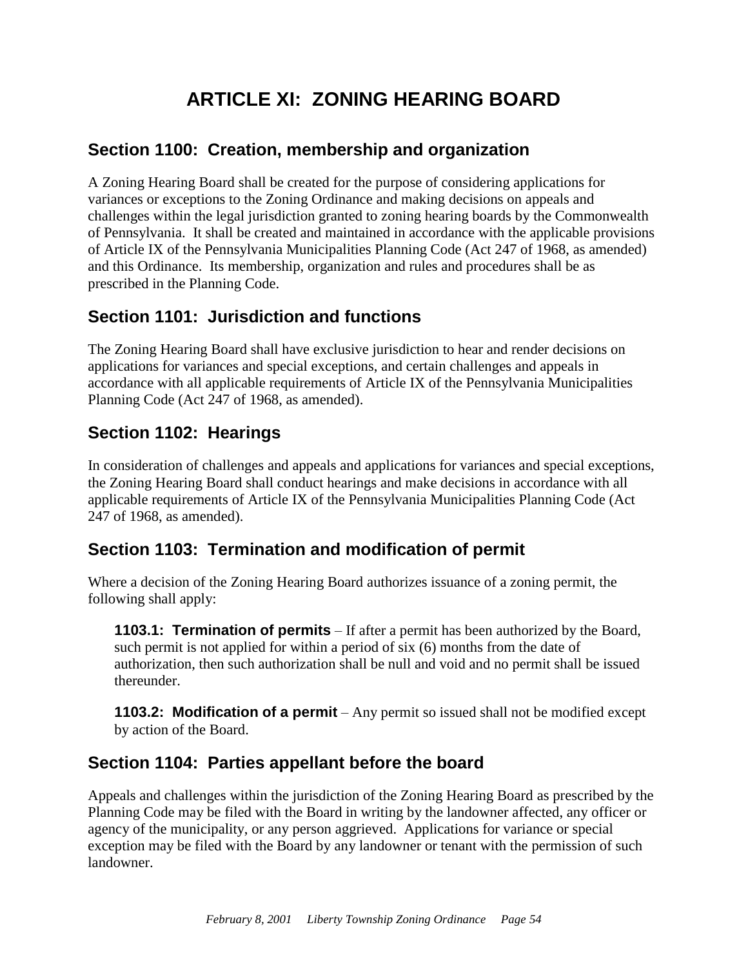# **ARTICLE XI: ZONING HEARING BOARD**

## <span id="page-56-1"></span><span id="page-56-0"></span>**Section 1100: Creation, membership and organization**

A Zoning Hearing Board shall be created for the purpose of considering applications for variances or exceptions to the Zoning Ordinance and making decisions on appeals and challenges within the legal jurisdiction granted to zoning hearing boards by the Commonwealth of Pennsylvania. It shall be created and maintained in accordance with the applicable provisions of Article IX of the Pennsylvania Municipalities Planning Code (Act 247 of 1968, as amended) and this Ordinance. Its membership, organization and rules and procedures shall be as prescribed in the Planning Code.

## <span id="page-56-2"></span>**Section 1101: Jurisdiction and functions**

The Zoning Hearing Board shall have exclusive jurisdiction to hear and render decisions on applications for variances and special exceptions, and certain challenges and appeals in accordance with all applicable requirements of Article IX of the Pennsylvania Municipalities Planning Code (Act 247 of 1968, as amended).

## <span id="page-56-3"></span>**Section 1102: Hearings**

In consideration of challenges and appeals and applications for variances and special exceptions, the Zoning Hearing Board shall conduct hearings and make decisions in accordance with all applicable requirements of Article IX of the Pennsylvania Municipalities Planning Code (Act 247 of 1968, as amended).

## <span id="page-56-4"></span>**Section 1103: Termination and modification of permit**

Where a decision of the Zoning Hearing Board authorizes issuance of a zoning permit, the following shall apply:

**1103.1: Termination of permits** – If after a permit has been authorized by the Board, such permit is not applied for within a period of six (6) months from the date of authorization, then such authorization shall be null and void and no permit shall be issued thereunder.

**1103.2: Modification of a permit** – Any permit so issued shall not be modified except by action of the Board.

## <span id="page-56-5"></span>**Section 1104: Parties appellant before the board**

Appeals and challenges within the jurisdiction of the Zoning Hearing Board as prescribed by the Planning Code may be filed with the Board in writing by the landowner affected, any officer or agency of the municipality, or any person aggrieved. Applications for variance or special exception may be filed with the Board by any landowner or tenant with the permission of such landowner.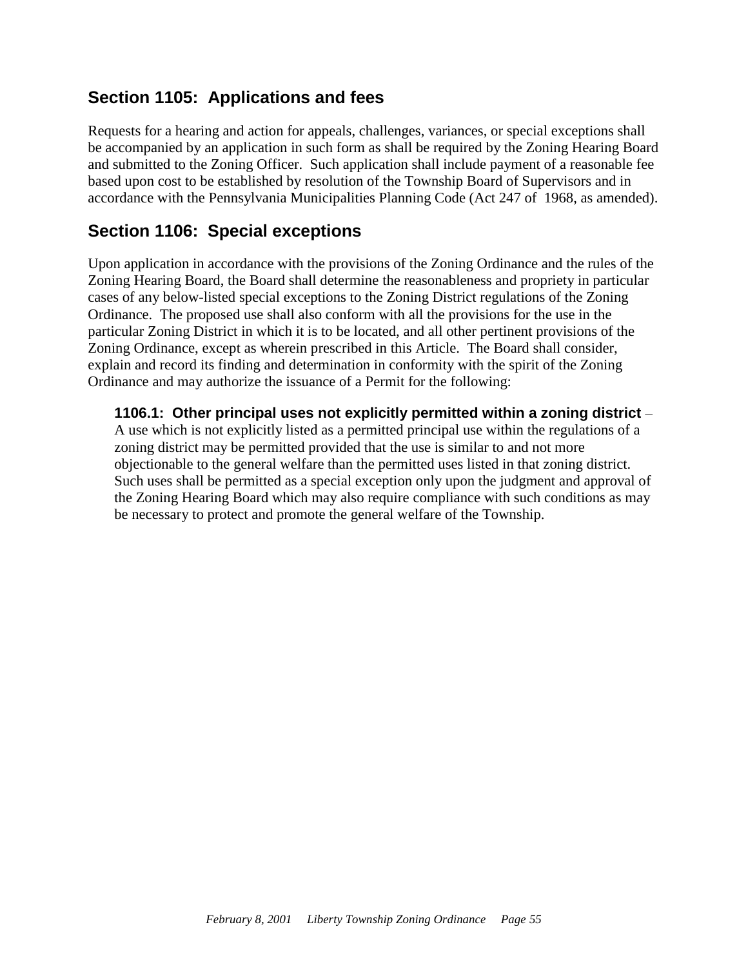## <span id="page-57-0"></span>**Section 1105: Applications and fees**

Requests for a hearing and action for appeals, challenges, variances, or special exceptions shall be accompanied by an application in such form as shall be required by the Zoning Hearing Board and submitted to the Zoning Officer. Such application shall include payment of a reasonable fee based upon cost to be established by resolution of the Township Board of Supervisors and in accordance with the Pennsylvania Municipalities Planning Code (Act 247 of 1968, as amended).

#### <span id="page-57-1"></span>**Section 1106: Special exceptions**

Upon application in accordance with the provisions of the Zoning Ordinance and the rules of the Zoning Hearing Board, the Board shall determine the reasonableness and propriety in particular cases of any below-listed special exceptions to the Zoning District regulations of the Zoning Ordinance. The proposed use shall also conform with all the provisions for the use in the particular Zoning District in which it is to be located, and all other pertinent provisions of the Zoning Ordinance, except as wherein prescribed in this Article. The Board shall consider, explain and record its finding and determination in conformity with the spirit of the Zoning Ordinance and may authorize the issuance of a Permit for the following:

**1106.1: Other principal uses not explicitly permitted within a zoning district** – A use which is not explicitly listed as a permitted principal use within the regulations of a zoning district may be permitted provided that the use is similar to and not more objectionable to the general welfare than the permitted uses listed in that zoning district. Such uses shall be permitted as a special exception only upon the judgment and approval of the Zoning Hearing Board which may also require compliance with such conditions as may be necessary to protect and promote the general welfare of the Township.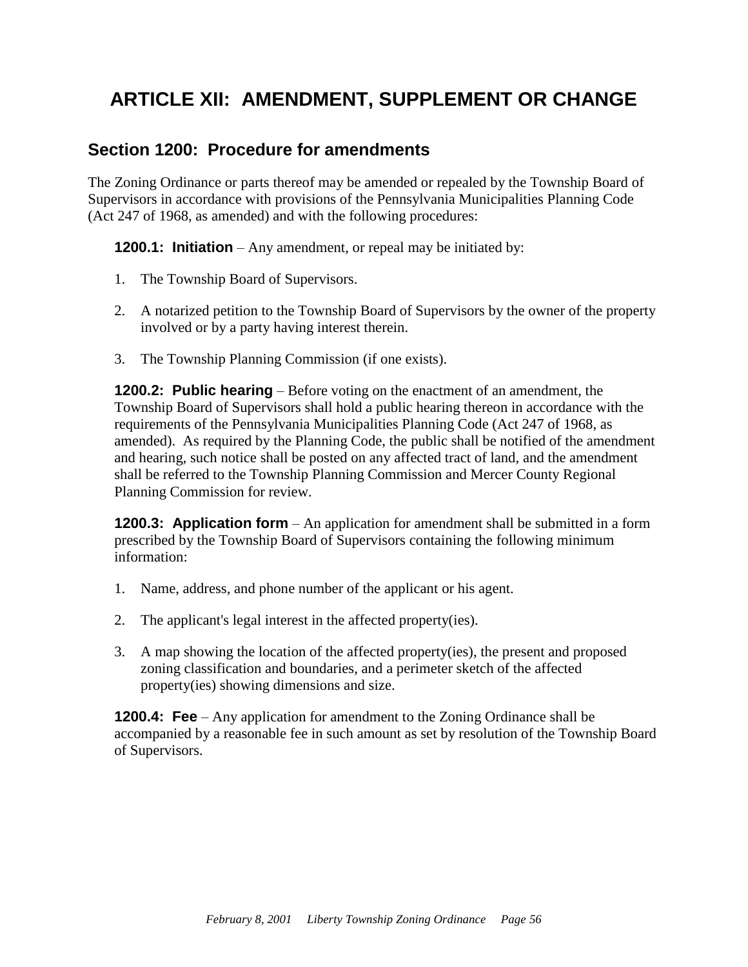# <span id="page-58-0"></span>**ARTICLE XII: AMENDMENT, SUPPLEMENT OR CHANGE**

#### <span id="page-58-1"></span>**Section 1200: Procedure for amendments**

The Zoning Ordinance or parts thereof may be amended or repealed by the Township Board of Supervisors in accordance with provisions of the Pennsylvania Municipalities Planning Code (Act 247 of 1968, as amended) and with the following procedures:

**1200.1: Initiation** – Any amendment, or repeal may be initiated by:

- 1. The Township Board of Supervisors.
- 2. A notarized petition to the Township Board of Supervisors by the owner of the property involved or by a party having interest therein.
- 3. The Township Planning Commission (if one exists).

**1200.2: Public hearing** – Before voting on the enactment of an amendment, the Township Board of Supervisors shall hold a public hearing thereon in accordance with the requirements of the Pennsylvania Municipalities Planning Code (Act 247 of 1968, as amended). As required by the Planning Code, the public shall be notified of the amendment and hearing, such notice shall be posted on any affected tract of land, and the amendment shall be referred to the Township Planning Commission and Mercer County Regional Planning Commission for review.

**1200.3: Application form** – An application for amendment shall be submitted in a form prescribed by the Township Board of Supervisors containing the following minimum information:

- 1. Name, address, and phone number of the applicant or his agent.
- 2. The applicant's legal interest in the affected property(ies).
- 3. A map showing the location of the affected property(ies), the present and proposed zoning classification and boundaries, and a perimeter sketch of the affected property(ies) showing dimensions and size.

**1200.4: Fee** – Any application for amendment to the Zoning Ordinance shall be accompanied by a reasonable fee in such amount as set by resolution of the Township Board of Supervisors.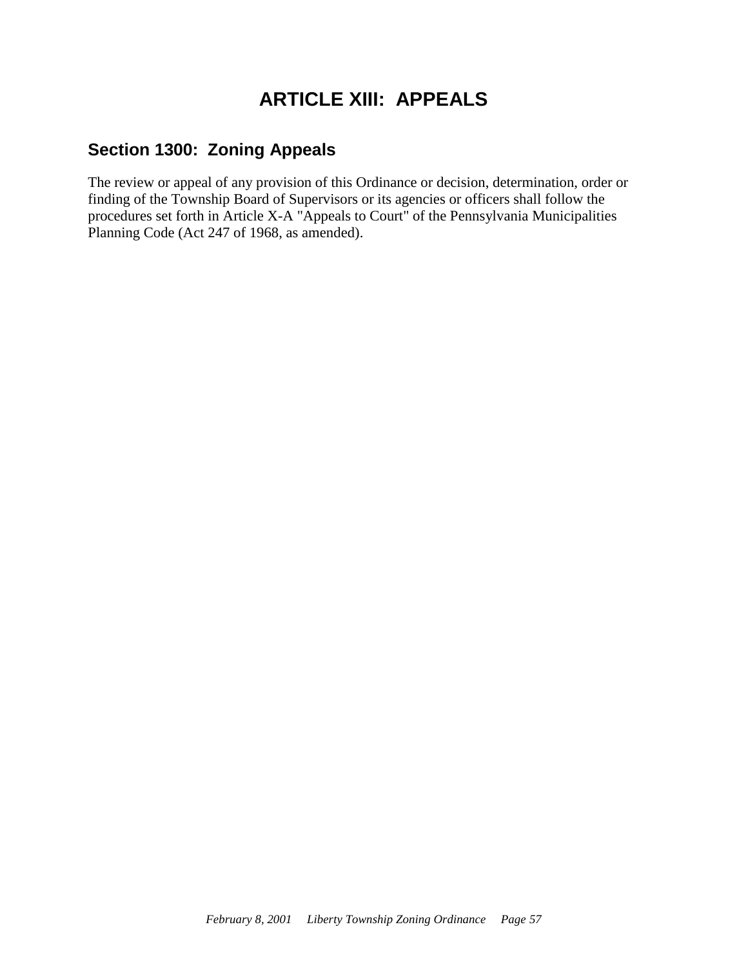# **ARTICLE XIII: APPEALS**

#### <span id="page-59-1"></span><span id="page-59-0"></span>**Section 1300: Zoning Appeals**

The review or appeal of any provision of this Ordinance or decision, determination, order or finding of the Township Board of Supervisors or its agencies or officers shall follow the procedures set forth in Article X-A "Appeals to Court" of the Pennsylvania Municipalities Planning Code (Act 247 of 1968, as amended).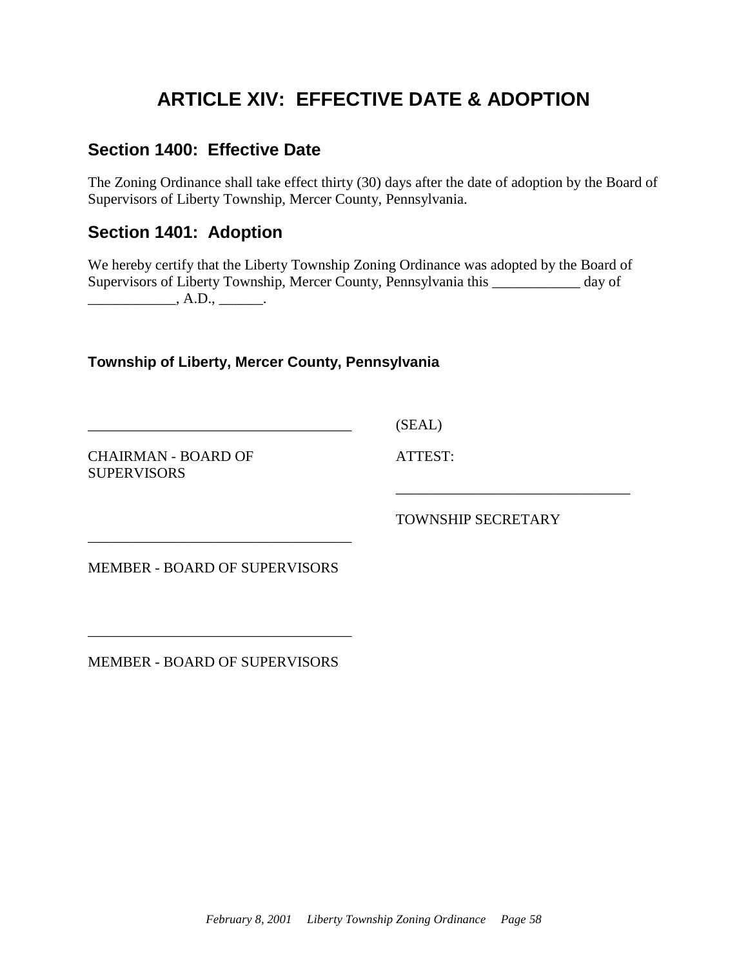# **ARTICLE XIV: EFFECTIVE DATE & ADOPTION**

## <span id="page-60-1"></span><span id="page-60-0"></span>**Section 1400: Effective Date**

The Zoning Ordinance shall take effect thirty (30) days after the date of adoption by the Board of Supervisors of Liberty Township, Mercer County, Pennsylvania.

#### <span id="page-60-2"></span>**Section 1401: Adoption**

We hereby certify that the Liberty Township Zoning Ordinance was adopted by the Board of Supervisors of Liberty Township, Mercer County, Pennsylvania this \_\_\_\_\_\_\_\_\_\_\_\_ day of  $\overline{\phantom{a}}$ , A.D.,  $\overline{\phantom{a}}$ .

**Township of Liberty, Mercer County, Pennsylvania**

CHAIRMAN - BOARD OF **SUPERVISORS** 

(SEAL)

ATTEST:

TOWNSHIP SECRETARY

\_\_\_\_\_\_\_\_\_\_\_\_\_\_\_\_\_\_\_\_\_\_\_\_\_\_\_\_\_\_\_\_

MEMBER - BOARD OF SUPERVISORS

\_\_\_\_\_\_\_\_\_\_\_\_\_\_\_\_\_\_\_\_\_\_\_\_\_\_\_\_\_\_\_\_\_\_\_\_

\_\_\_\_\_\_\_\_\_\_\_\_\_\_\_\_\_\_\_\_\_\_\_\_\_\_\_\_\_\_\_\_\_\_\_\_

MEMBER - BOARD OF SUPERVISORS

\_\_\_\_\_\_\_\_\_\_\_\_\_\_\_\_\_\_\_\_\_\_\_\_\_\_\_\_\_\_\_\_\_\_\_\_